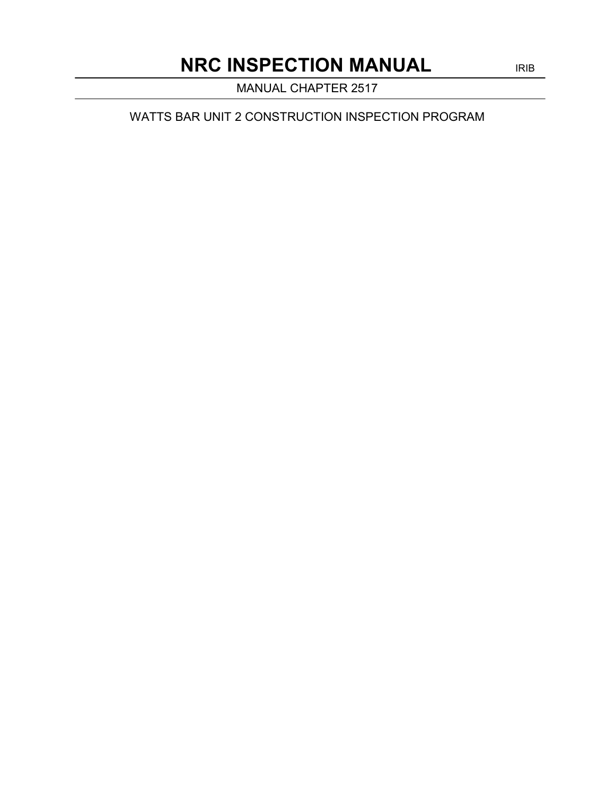MANUAL CHAPTER 2517

WATTS BAR UNIT 2 CONSTRUCTION INSPECTION PROGRAM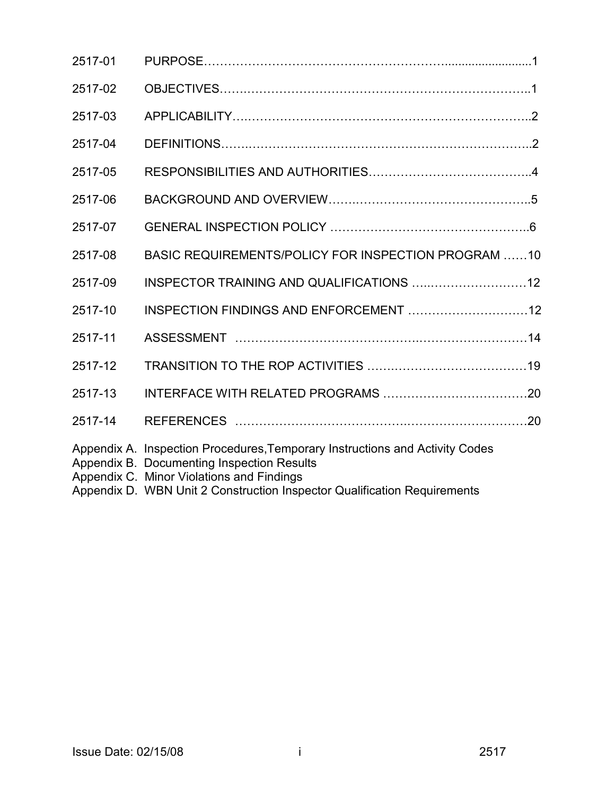| 2517-01 |                                                                                                                                                                                                                                                     |  |
|---------|-----------------------------------------------------------------------------------------------------------------------------------------------------------------------------------------------------------------------------------------------------|--|
| 2517-02 |                                                                                                                                                                                                                                                     |  |
| 2517-03 |                                                                                                                                                                                                                                                     |  |
| 2517-04 |                                                                                                                                                                                                                                                     |  |
| 2517-05 |                                                                                                                                                                                                                                                     |  |
| 2517-06 |                                                                                                                                                                                                                                                     |  |
| 2517-07 |                                                                                                                                                                                                                                                     |  |
| 2517-08 | BASIC REQUIREMENTS/POLICY FOR INSPECTION PROGRAM 10                                                                                                                                                                                                 |  |
| 2517-09 |                                                                                                                                                                                                                                                     |  |
| 2517-10 |                                                                                                                                                                                                                                                     |  |
| 2517-11 |                                                                                                                                                                                                                                                     |  |
| 2517-12 |                                                                                                                                                                                                                                                     |  |
| 2517-13 |                                                                                                                                                                                                                                                     |  |
| 2517-14 |                                                                                                                                                                                                                                                     |  |
|         | Appendix A. Inspection Procedures, Temporary Instructions and Activity Codes<br>Appendix B. Documenting Inspection Results<br>Appendix C. Minor Violations and Findings<br>Appendix D. WBN Unit 2 Construction Inspector Qualification Requirements |  |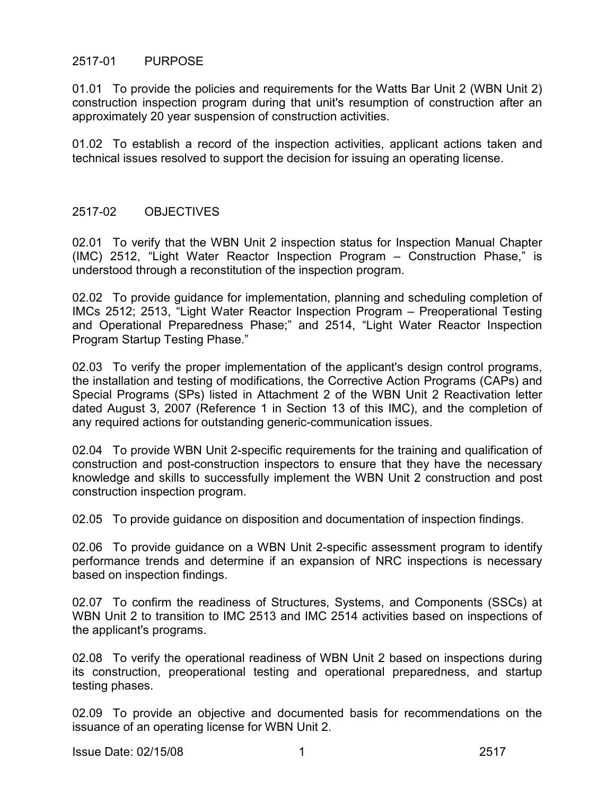# 2517-01 PURPOSE

01.01 To provide the policies and requirements for the Watts Bar Unit 2 (WBN Unit 2) construction inspection program during that unit's resumption of construction after an approximately 20 year suspension of construction activities.

01.02 To establish a record of the inspection activities, applicant actions taken and technical issues resolved to support the decision for issuing an operating license.

#### 2517-02 OBJECTIVES

02.01 To verify that the WBN Unit 2 inspection status for Inspection Manual Chapter (IMC) 2512, "Light Water Reactor Inspection Program – Construction Phase," is understood through a reconstitution of the inspection program.

02.02 To provide guidance for implementation, planning and scheduling completion of IMCs 2512; 2513, "Light Water Reactor Inspection Program – Preoperational Testing and Operational Preparedness Phase;" and 2514, "Light Water Reactor Inspection Program Startup Testing Phase."

02.03 To verify the proper implementation of the applicant's design control programs, the installation and testing of modifications, the Corrective Action Programs (CAPs) and Special Programs (SPs) listed in Attachment 2 of the WBN Unit 2 Reactivation letter dated August 3, 2007 (Reference 1 in Section 13 of this IMC), and the completion of any required actions for outstanding generic-communication issues.

02.04 To provide WBN Unit 2-specific requirements for the training and qualification of construction and post-construction inspectors to ensure that they have the necessary knowledge and skills to successfully implement the WBN Unit 2 construction and post construction inspection program.

02.05 To provide guidance on disposition and documentation of inspection findings.

02.06 To provide guidance on a WBN Unit 2-specific assessment program to identify performance trends and determine if an expansion of NRC inspections is necessary based on inspection findings.

02.07 To confirm the readiness of Structures, Systems, and Components (SSCs) at WBN Unit 2 to transition to IMC 2513 and IMC 2514 activities based on inspections of the applicant's programs.

02.08 To verify the operational readiness of WBN Unit 2 based on inspections during its construction, preoperational testing and operational preparedness, and startup testing phases.

02.09 To provide an objective and documented basis for recommendations on the issuance of an operating license for WBN Unit 2.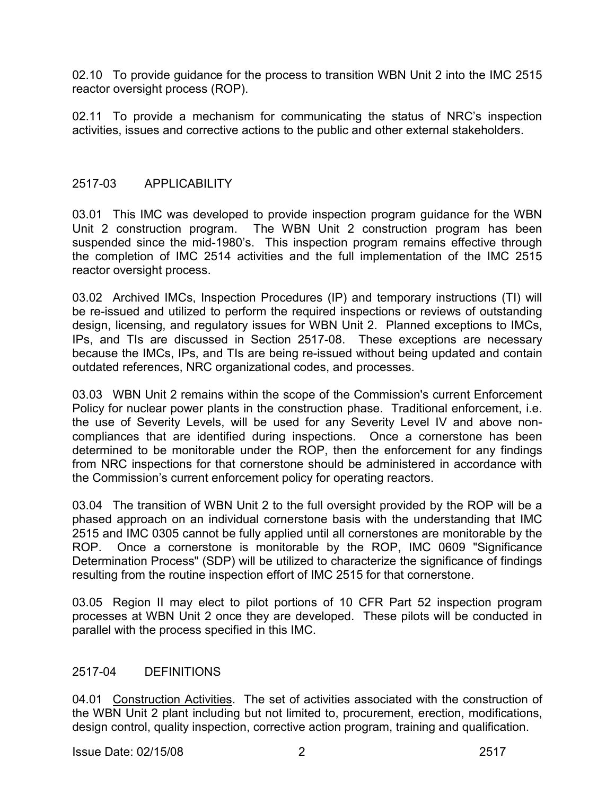02.10 To provide guidance for the process to transition WBN Unit 2 into the IMC 2515 reactor oversight process (ROP).

02.11 To provide a mechanism for communicating the status of NRC's inspection activities, issues and corrective actions to the public and other external stakeholders.

# 2517-03 APPLICABILITY

03.01 This IMC was developed to provide inspection program guidance for the WBN Unit 2 construction program. The WBN Unit 2 construction program has been suspended since the mid-1980's. This inspection program remains effective through the completion of IMC 2514 activities and the full implementation of the IMC 2515 reactor oversight process.

03.02 Archived IMCs, Inspection Procedures (IP) and temporary instructions (TI) will be re-issued and utilized to perform the required inspections or reviews of outstanding design, licensing, and regulatory issues for WBN Unit 2. Planned exceptions to IMCs, IPs, and TIs are discussed in Section 2517-08. These exceptions are necessary because the IMCs, IPs, and TIs are being re-issued without being updated and contain outdated references, NRC organizational codes, and processes.

03.03 WBN Unit 2 remains within the scope of the Commission's current Enforcement Policy for nuclear power plants in the construction phase. Traditional enforcement, i.e. the use of Severity Levels, will be used for any Severity Level IV and above noncompliances that are identified during inspections. Once a cornerstone has been determined to be monitorable under the ROP, then the enforcement for any findings from NRC inspections for that cornerstone should be administered in accordance with the Commission's current enforcement policy for operating reactors.

03.04 The transition of WBN Unit 2 to the full oversight provided by the ROP will be a phased approach on an individual cornerstone basis with the understanding that IMC 2515 and IMC 0305 cannot be fully applied until all cornerstones are monitorable by the ROP. Once a cornerstone is monitorable by the ROP, IMC 0609 "Significance Determination Process" (SDP) will be utilized to characterize the significance of findings resulting from the routine inspection effort of IMC 2515 for that cornerstone.

03.05 Region II may elect to pilot portions of 10 CFR Part 52 inspection program processes at WBN Unit 2 once they are developed. These pilots will be conducted in parallel with the process specified in this IMC.

# 2517-04 DEFINITIONS

04.01 Construction Activities. The set of activities associated with the construction of the WBN Unit 2 plant including but not limited to, procurement, erection, modifications, design control, quality inspection, corrective action program, training and qualification.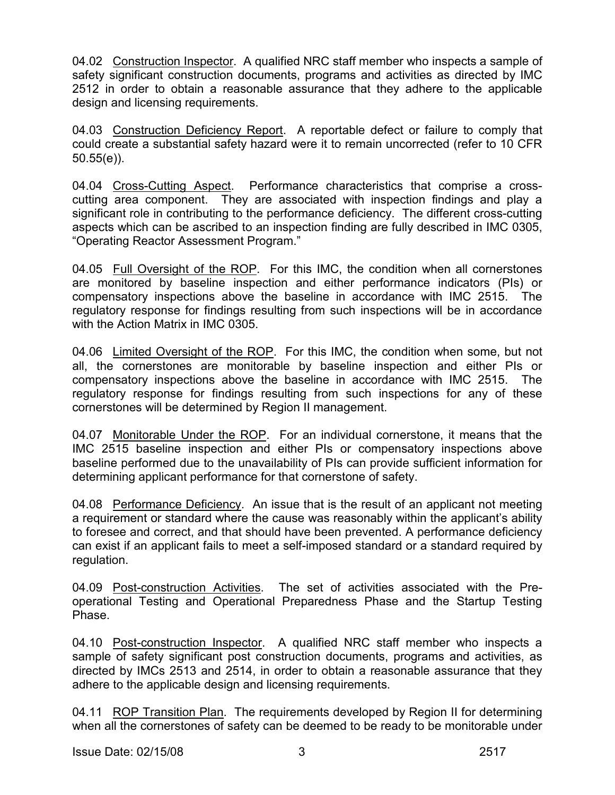04.02 Construction Inspector. A qualified NRC staff member who inspects a sample of safety significant construction documents, programs and activities as directed by IMC 2512 in order to obtain a reasonable assurance that they adhere to the applicable design and licensing requirements.

04.03 Construction Deficiency Report. A reportable defect or failure to comply that could create a substantial safety hazard were it to remain uncorrected (refer to 10 CFR 50.55(e)).

04.04 Cross-Cutting Aspect. Performance characteristics that comprise a crosscutting area component. They are associated with inspection findings and play a significant role in contributing to the performance deficiency. The different cross-cutting aspects which can be ascribed to an inspection finding are fully described in IMC 0305, "Operating Reactor Assessment Program."

04.05 Full Oversight of the ROP. For this IMC, the condition when all cornerstones are monitored by baseline inspection and either performance indicators (PIs) or compensatory inspections above the baseline in accordance with IMC 2515. The regulatory response for findings resulting from such inspections will be in accordance with the Action Matrix in IMC 0305.

04.06 Limited Oversight of the ROP. For this IMC, the condition when some, but not all, the cornerstones are monitorable by baseline inspection and either PIs or compensatory inspections above the baseline in accordance with IMC 2515. The regulatory response for findings resulting from such inspections for any of these cornerstones will be determined by Region II management.

04.07 Monitorable Under the ROP. For an individual cornerstone, it means that the IMC 2515 baseline inspection and either PIs or compensatory inspections above baseline performed due to the unavailability of PIs can provide sufficient information for determining applicant performance for that cornerstone of safety.

04.08 Performance Deficiency. An issue that is the result of an applicant not meeting a requirement or standard where the cause was reasonably within the applicant's ability to foresee and correct, and that should have been prevented. A performance deficiency can exist if an applicant fails to meet a self-imposed standard or a standard required by regulation.

04.09 Post-construction Activities. The set of activities associated with the Preoperational Testing and Operational Preparedness Phase and the Startup Testing Phase.

04.10 Post-construction Inspector. A qualified NRC staff member who inspects a sample of safety significant post construction documents, programs and activities, as directed by IMCs 2513 and 2514, in order to obtain a reasonable assurance that they adhere to the applicable design and licensing requirements.

04.11 ROP Transition Plan. The requirements developed by Region II for determining when all the cornerstones of safety can be deemed to be ready to be monitorable under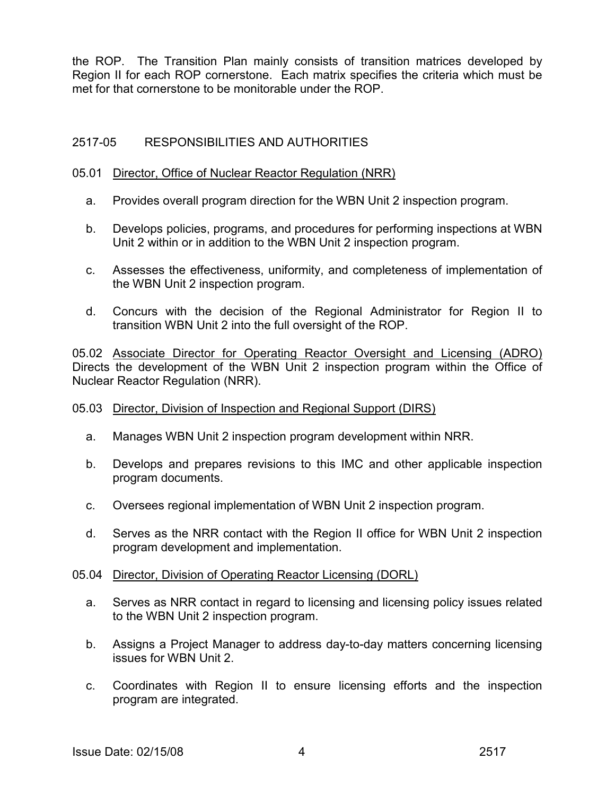the ROP. The Transition Plan mainly consists of transition matrices developed by Region II for each ROP cornerstone. Each matrix specifies the criteria which must be met for that cornerstone to be monitorable under the ROP.

# 2517-05 RESPONSIBILITIES AND AUTHORITIES

### 05.01 Director, Office of Nuclear Reactor Regulation (NRR)

- a. Provides overall program direction for the WBN Unit 2 inspection program.
- b. Develops policies, programs, and procedures for performing inspections at WBN Unit 2 within or in addition to the WBN Unit 2 inspection program.
- c. Assesses the effectiveness, uniformity, and completeness of implementation of the WBN Unit 2 inspection program.
- d. Concurs with the decision of the Regional Administrator for Region II to transition WBN Unit 2 into the full oversight of the ROP.

05.02 Associate Director for Operating Reactor Oversight and Licensing (ADRO) Directs the development of the WBN Unit 2 inspection program within the Office of Nuclear Reactor Regulation (NRR).

# 05.03 Director, Division of Inspection and Regional Support (DIRS)

- a. Manages WBN Unit 2 inspection program development within NRR.
- b. Develops and prepares revisions to this IMC and other applicable inspection program documents.
- c. Oversees regional implementation of WBN Unit 2 inspection program.
- d. Serves as the NRR contact with the Region II office for WBN Unit 2 inspection program development and implementation.

#### 05.04 Director, Division of Operating Reactor Licensing (DORL)

- a. Serves as NRR contact in regard to licensing and licensing policy issues related to the WBN Unit 2 inspection program.
- b. Assigns a Project Manager to address day-to-day matters concerning licensing issues for WBN Unit 2.
- c. Coordinates with Region II to ensure licensing efforts and the inspection program are integrated.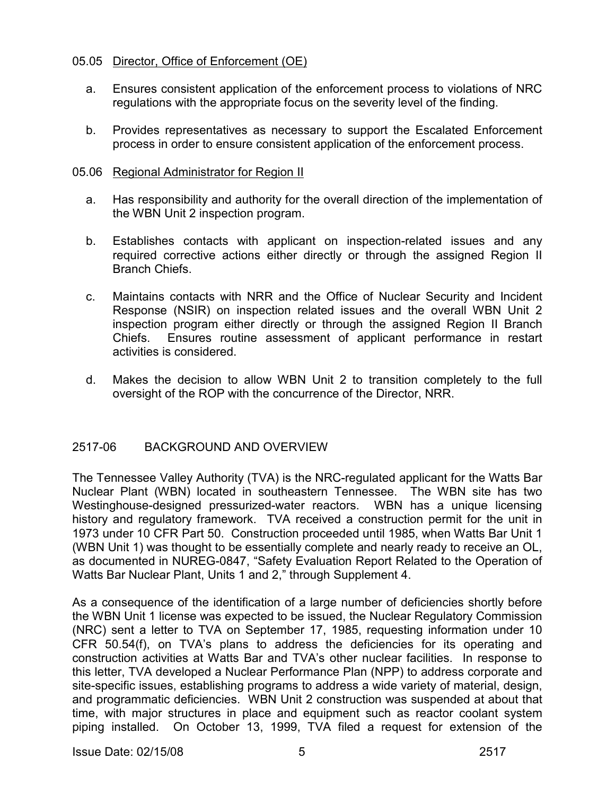### 05.05 Director, Office of Enforcement (OE)

- a. Ensures consistent application of the enforcement process to violations of NRC regulations with the appropriate focus on the severity level of the finding.
- b. Provides representatives as necessary to support the Escalated Enforcement process in order to ensure consistent application of the enforcement process.

#### 05.06 Regional Administrator for Region II

- a. Has responsibility and authority for the overall direction of the implementation of the WBN Unit 2 inspection program.
- b. Establishes contacts with applicant on inspection-related issues and any required corrective actions either directly or through the assigned Region II Branch Chiefs.
- c. Maintains contacts with NRR and the Office of Nuclear Security and Incident Response (NSIR) on inspection related issues and the overall WBN Unit 2 inspection program either directly or through the assigned Region II Branch Chiefs. Ensures routine assessment of applicant performance in restart activities is considered.
- d. Makes the decision to allow WBN Unit 2 to transition completely to the full oversight of the ROP with the concurrence of the Director, NRR.

# 2517-06 BACKGROUND AND OVERVIEW

The Tennessee Valley Authority (TVA) is the NRC-regulated applicant for the Watts Bar Nuclear Plant (WBN) located in southeastern Tennessee. The WBN site has two Westinghouse-designed pressurized-water reactors. WBN has a unique licensing history and regulatory framework. TVA received a construction permit for the unit in 1973 under 10 CFR Part 50. Construction proceeded until 1985, when Watts Bar Unit 1 (WBN Unit 1) was thought to be essentially complete and nearly ready to receive an OL, as documented in NUREG-0847, "Safety Evaluation Report Related to the Operation of Watts Bar Nuclear Plant, Units 1 and 2," through Supplement 4.

As a consequence of the identification of a large number of deficiencies shortly before the WBN Unit 1 license was expected to be issued, the Nuclear Regulatory Commission (NRC) sent a letter to TVA on September 17, 1985, requesting information under 10 CFR 50.54(f), on TVA's plans to address the deficiencies for its operating and construction activities at Watts Bar and TVA's other nuclear facilities. In response to this letter, TVA developed a Nuclear Performance Plan (NPP) to address corporate and site-specific issues, establishing programs to address a wide variety of material, design, and programmatic deficiencies. WBN Unit 2 construction was suspended at about that time, with major structures in place and equipment such as reactor coolant system piping installed. On October 13, 1999, TVA filed a request for extension of the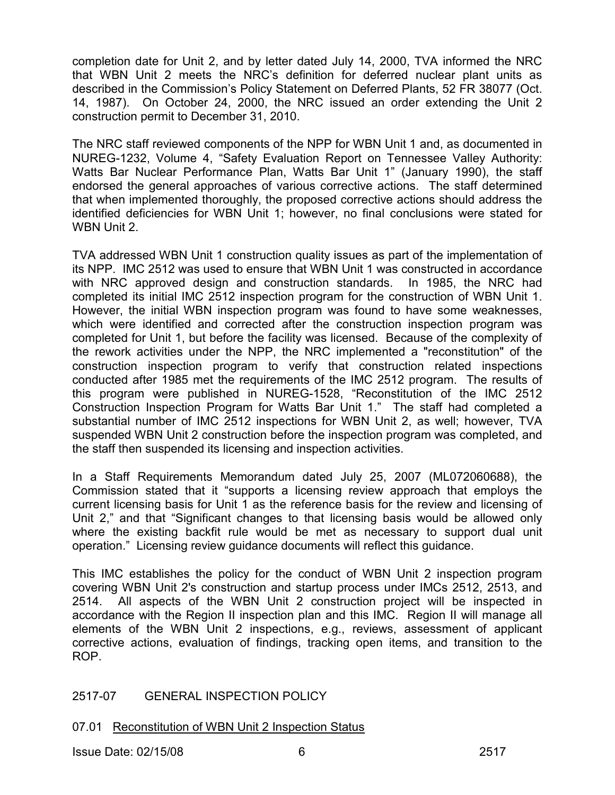completion date for Unit 2, and by letter dated July 14, 2000, TVA informed the NRC that WBN Unit 2 meets the NRC's definition for deferred nuclear plant units as described in the Commission's Policy Statement on Deferred Plants, 52 FR 38077 (Oct. 14, 1987). On October 24, 2000, the NRC issued an order extending the Unit 2 construction permit to December 31, 2010.

The NRC staff reviewed components of the NPP for WBN Unit 1 and, as documented in NUREG-1232, Volume 4, "Safety Evaluation Report on Tennessee Valley Authority: Watts Bar Nuclear Performance Plan, Watts Bar Unit 1" (January 1990), the staff endorsed the general approaches of various corrective actions. The staff determined that when implemented thoroughly, the proposed corrective actions should address the identified deficiencies for WBN Unit 1; however, no final conclusions were stated for WBN Unit 2.

TVA addressed WBN Unit 1 construction quality issues as part of the implementation of its NPP. IMC 2512 was used to ensure that WBN Unit 1 was constructed in accordance with NRC approved design and construction standards. In 1985, the NRC had completed its initial IMC 2512 inspection program for the construction of WBN Unit 1. However, the initial WBN inspection program was found to have some weaknesses, which were identified and corrected after the construction inspection program was completed for Unit 1, but before the facility was licensed. Because of the complexity of the rework activities under the NPP, the NRC implemented a "reconstitution" of the construction inspection program to verify that construction related inspections conducted after 1985 met the requirements of the IMC 2512 program. The results of this program were published in NUREG-1528, "Reconstitution of the IMC 2512 Construction Inspection Program for Watts Bar Unit 1." The staff had completed a substantial number of IMC 2512 inspections for WBN Unit 2, as well; however, TVA suspended WBN Unit 2 construction before the inspection program was completed, and the staff then suspended its licensing and inspection activities.

In a Staff Requirements Memorandum dated July 25, 2007 (ML072060688), the Commission stated that it "supports a licensing review approach that employs the current licensing basis for Unit 1 as the reference basis for the review and licensing of Unit 2," and that "Significant changes to that licensing basis would be allowed only where the existing backfit rule would be met as necessary to support dual unit operation." Licensing review guidance documents will reflect this guidance.

This IMC establishes the policy for the conduct of WBN Unit 2 inspection program covering WBN Unit 2's construction and startup process under IMCs 2512, 2513, and 2514. All aspects of the WBN Unit 2 construction project will be inspected in accordance with the Region II inspection plan and this IMC. Region II will manage all elements of the WBN Unit 2 inspections, e.g., reviews, assessment of applicant corrective actions, evaluation of findings, tracking open items, and transition to the ROP.

# 2517-07 GENERAL INSPECTION POLICY

07.01 Reconstitution of WBN Unit 2 Inspection Status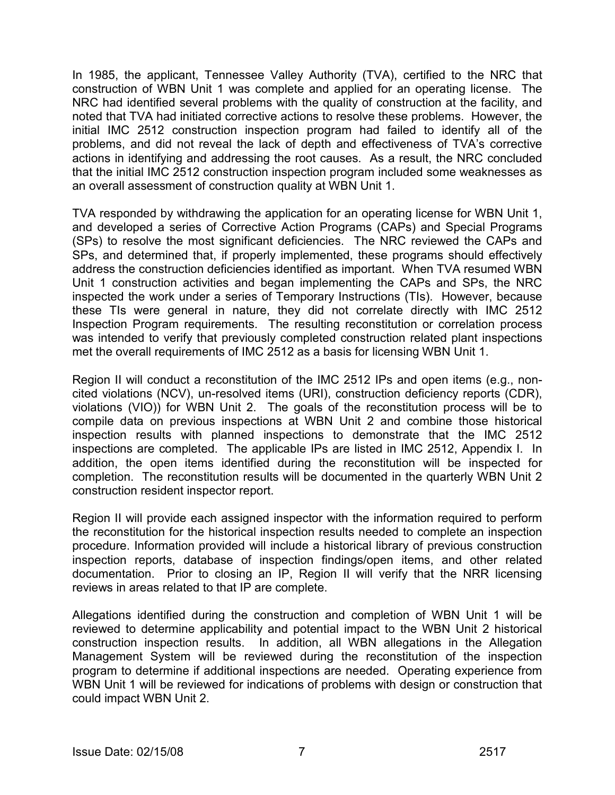In 1985, the applicant, Tennessee Valley Authority (TVA), certified to the NRC that construction of WBN Unit 1 was complete and applied for an operating license. The NRC had identified several problems with the quality of construction at the facility, and noted that TVA had initiated corrective actions to resolve these problems. However, the initial IMC 2512 construction inspection program had failed to identify all of the problems, and did not reveal the lack of depth and effectiveness of TVA's corrective actions in identifying and addressing the root causes. As a result, the NRC concluded that the initial IMC 2512 construction inspection program included some weaknesses as an overall assessment of construction quality at WBN Unit 1.

TVA responded by withdrawing the application for an operating license for WBN Unit 1, and developed a series of Corrective Action Programs (CAPs) and Special Programs (SPs) to resolve the most significant deficiencies. The NRC reviewed the CAPs and SPs, and determined that, if properly implemented, these programs should effectively address the construction deficiencies identified as important. When TVA resumed WBN Unit 1 construction activities and began implementing the CAPs and SPs, the NRC inspected the work under a series of Temporary Instructions (TIs). However, because these TIs were general in nature, they did not correlate directly with IMC 2512 Inspection Program requirements. The resulting reconstitution or correlation process was intended to verify that previously completed construction related plant inspections met the overall requirements of IMC 2512 as a basis for licensing WBN Unit 1.

Region II will conduct a reconstitution of the IMC 2512 IPs and open items (e.g., noncited violations (NCV), un-resolved items (URI), construction deficiency reports (CDR), violations (VIO)) for WBN Unit 2. The goals of the reconstitution process will be to compile data on previous inspections at WBN Unit 2 and combine those historical inspection results with planned inspections to demonstrate that the IMC 2512 inspections are completed. The applicable IPs are listed in IMC 2512, Appendix I. In addition, the open items identified during the reconstitution will be inspected for completion. The reconstitution results will be documented in the quarterly WBN Unit 2 construction resident inspector report.

Region II will provide each assigned inspector with the information required to perform the reconstitution for the historical inspection results needed to complete an inspection procedure. Information provided will include a historical library of previous construction inspection reports, database of inspection findings/open items, and other related documentation. Prior to closing an IP, Region II will verify that the NRR licensing reviews in areas related to that IP are complete.

Allegations identified during the construction and completion of WBN Unit 1 will be reviewed to determine applicability and potential impact to the WBN Unit 2 historical construction inspection results. In addition, all WBN allegations in the Allegation Management System will be reviewed during the reconstitution of the inspection program to determine if additional inspections are needed. Operating experience from WBN Unit 1 will be reviewed for indications of problems with design or construction that could impact WBN Unit 2.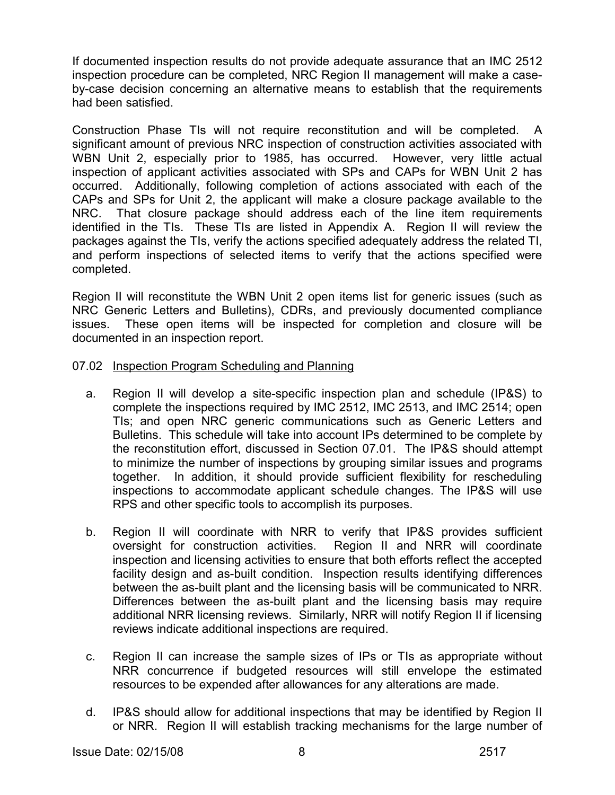If documented inspection results do not provide adequate assurance that an IMC 2512 inspection procedure can be completed, NRC Region II management will make a caseby-case decision concerning an alternative means to establish that the requirements had been satisfied.

Construction Phase TIs will not require reconstitution and will be completed. A significant amount of previous NRC inspection of construction activities associated with WBN Unit 2, especially prior to 1985, has occurred. However, very little actual inspection of applicant activities associated with SPs and CAPs for WBN Unit 2 has occurred. Additionally, following completion of actions associated with each of the CAPs and SPs for Unit 2, the applicant will make a closure package available to the NRC. That closure package should address each of the line item requirements identified in the TIs. These TIs are listed in Appendix A. Region II will review the packages against the TIs, verify the actions specified adequately address the related TI, and perform inspections of selected items to verify that the actions specified were completed.

Region II will reconstitute the WBN Unit 2 open items list for generic issues (such as NRC Generic Letters and Bulletins), CDRs, and previously documented compliance issues. These open items will be inspected for completion and closure will be documented in an inspection report.

# 07.02 Inspection Program Scheduling and Planning

- a. Region II will develop a site-specific inspection plan and schedule (IP&S) to complete the inspections required by IMC 2512, IMC 2513, and IMC 2514; open TIs; and open NRC generic communications such as Generic Letters and Bulletins. This schedule will take into account IPs determined to be complete by the reconstitution effort, discussed in Section 07.01. The IP&S should attempt to minimize the number of inspections by grouping similar issues and programs together. In addition, it should provide sufficient flexibility for rescheduling inspections to accommodate applicant schedule changes. The IP&S will use RPS and other specific tools to accomplish its purposes.
- b. Region II will coordinate with NRR to verify that IP&S provides sufficient oversight for construction activities. Region II and NRR will coordinate inspection and licensing activities to ensure that both efforts reflect the accepted facility design and as-built condition. Inspection results identifying differences between the as-built plant and the licensing basis will be communicated to NRR. Differences between the as-built plant and the licensing basis may require additional NRR licensing reviews. Similarly, NRR will notify Region II if licensing reviews indicate additional inspections are required.
- c. Region II can increase the sample sizes of IPs or TIs as appropriate without NRR concurrence if budgeted resources will still envelope the estimated resources to be expended after allowances for any alterations are made.
- d. IP&S should allow for additional inspections that may be identified by Region II or NRR. Region II will establish tracking mechanisms for the large number of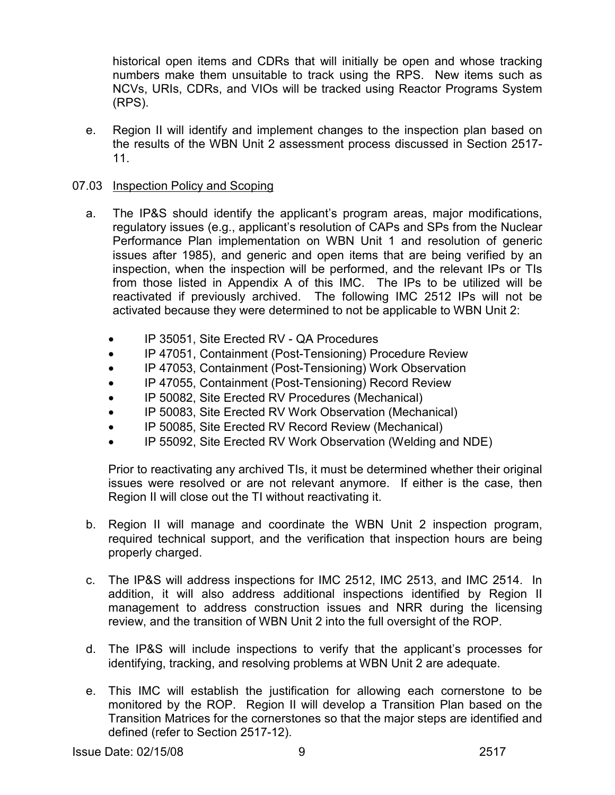historical open items and CDRs that will initially be open and whose tracking numbers make them unsuitable to track using the RPS. New items such as NCVs, URIs, CDRs, and VIOs will be tracked using Reactor Programs System (RPS).

 e. Region II will identify and implement changes to the inspection plan based on the results of the WBN Unit 2 assessment process discussed in Section 2517- 11.

# 07.03 Inspection Policy and Scoping

- a. The IP&S should identify the applicant's program areas, major modifications, regulatory issues (e.g., applicant's resolution of CAPs and SPs from the Nuclear Performance Plan implementation on WBN Unit 1 and resolution of generic issues after 1985), and generic and open items that are being verified by an inspection, when the inspection will be performed, and the relevant IPs or TIs from those listed in Appendix A of this IMC. The IPs to be utilized will be reactivated if previously archived. The following IMC 2512 IPs will not be activated because they were determined to not be applicable to WBN Unit 2:
	- IP 35051, Site Erected RV QA Procedures
	- IP 47051, Containment (Post-Tensioning) Procedure Review
	- IP 47053, Containment (Post-Tensioning) Work Observation
	- IP 47055, Containment (Post-Tensioning) Record Review
	- IP 50082, Site Erected RV Procedures (Mechanical)
	- IP 50083, Site Erected RV Work Observation (Mechanical)
	- IP 50085, Site Erected RV Record Review (Mechanical)
	- IP 55092, Site Erected RV Work Observation (Welding and NDE)

 Prior to reactivating any archived TIs, it must be determined whether their original issues were resolved or are not relevant anymore. If either is the case, then Region II will close out the TI without reactivating it.

- b. Region II will manage and coordinate the WBN Unit 2 inspection program, required technical support, and the verification that inspection hours are being properly charged.
- c. The IP&S will address inspections for IMC 2512, IMC 2513, and IMC 2514. In addition, it will also address additional inspections identified by Region II management to address construction issues and NRR during the licensing review, and the transition of WBN Unit 2 into the full oversight of the ROP.
- d. The IP&S will include inspections to verify that the applicant's processes for identifying, tracking, and resolving problems at WBN Unit 2 are adequate.
- e. This IMC will establish the justification for allowing each cornerstone to be monitored by the ROP. Region II will develop a Transition Plan based on the Transition Matrices for the cornerstones so that the major steps are identified and defined (refer to Section 2517-12).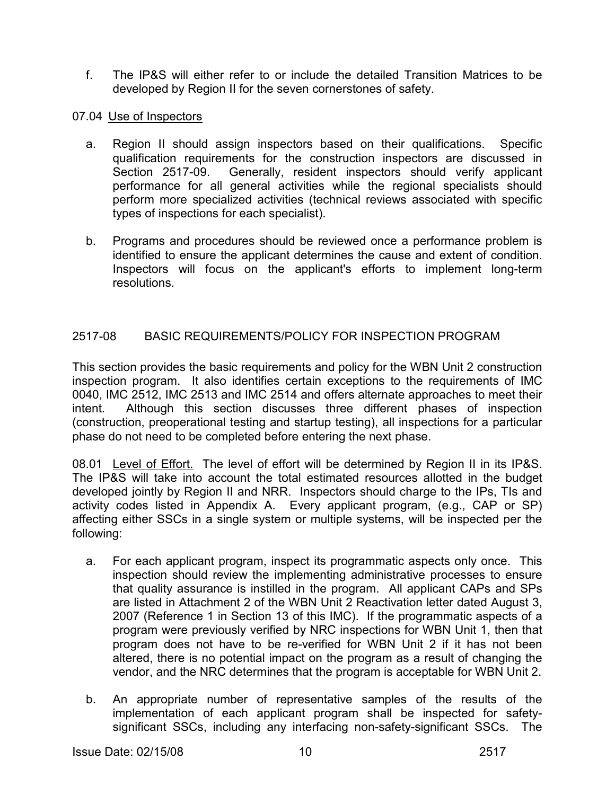f. The IP&S will either refer to or include the detailed Transition Matrices to be developed by Region II for the seven cornerstones of safety.

# 07.04 Use of Inspectors

- a. Region II should assign inspectors based on their qualifications. Specific qualification requirements for the construction inspectors are discussed in Section 2517-09. Generally, resident inspectors should verify applicant performance for all general activities while the regional specialists should perform more specialized activities (technical reviews associated with specific types of inspections for each specialist).
- b. Programs and procedures should be reviewed once a performance problem is identified to ensure the applicant determines the cause and extent of condition. Inspectors will focus on the applicant's efforts to implement long-term resolutions.

# 2517-08 BASIC REQUIREMENTS/POLICY FOR INSPECTION PROGRAM

This section provides the basic requirements and policy for the WBN Unit 2 construction inspection program. It also identifies certain exceptions to the requirements of IMC 0040, IMC 2512, IMC 2513 and IMC 2514 and offers alternate approaches to meet their intent. Although this section discusses three different phases of inspection (construction, preoperational testing and startup testing), all inspections for a particular phase do not need to be completed before entering the next phase.

08.01 Level of Effort. The level of effort will be determined by Region II in its IP&S. The IP&S will take into account the total estimated resources allotted in the budget developed jointly by Region II and NRR. Inspectors should charge to the IPs, TIs and activity codes listed in Appendix A. Every applicant program, (e.g., CAP or SP) affecting either SSCs in a single system or multiple systems, will be inspected per the following:

- a. For each applicant program, inspect its programmatic aspects only once. This inspection should review the implementing administrative processes to ensure that quality assurance is instilled in the program. All applicant CAPs and SPs are listed in Attachment 2 of the WBN Unit 2 Reactivation letter dated August 3, 2007 (Reference 1 in Section 13 of this IMC). If the programmatic aspects of a program were previously verified by NRC inspections for WBN Unit 1, then that program does not have to be re-verified for WBN Unit 2 if it has not been altered, there is no potential impact on the program as a result of changing the vendor, and the NRC determines that the program is acceptable for WBN Unit 2.
- b. An appropriate number of representative samples of the results of the implementation of each applicant program shall be inspected for safetysignificant SSCs, including any interfacing non-safety-significant SSCs. The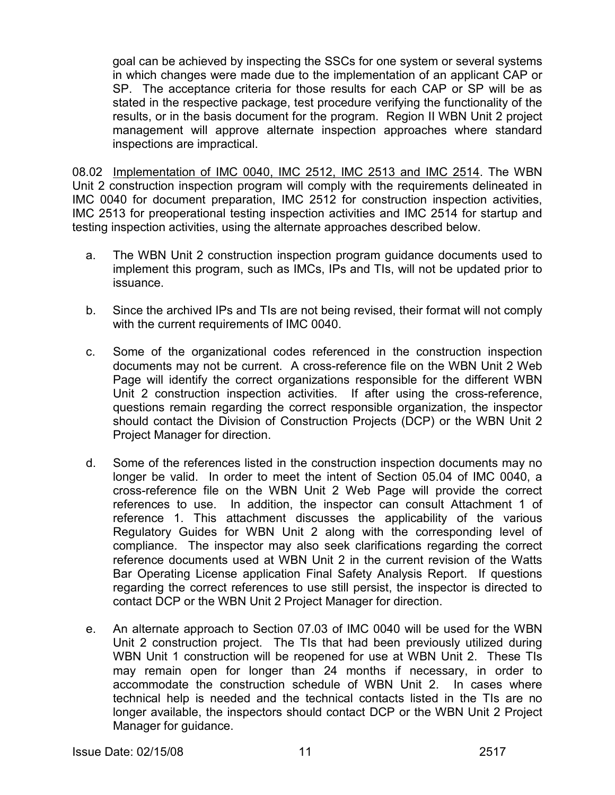goal can be achieved by inspecting the SSCs for one system or several systems in which changes were made due to the implementation of an applicant CAP or SP. The acceptance criteria for those results for each CAP or SP will be as stated in the respective package, test procedure verifying the functionality of the results, or in the basis document for the program. Region II WBN Unit 2 project management will approve alternate inspection approaches where standard inspections are impractical.

08.02 Implementation of IMC 0040, IMC 2512, IMC 2513 and IMC 2514. The WBN Unit 2 construction inspection program will comply with the requirements delineated in IMC 0040 for document preparation, IMC 2512 for construction inspection activities, IMC 2513 for preoperational testing inspection activities and IMC 2514 for startup and testing inspection activities, using the alternate approaches described below.

- a. The WBN Unit 2 construction inspection program guidance documents used to implement this program, such as IMCs, IPs and TIs, will not be updated prior to issuance.
- b. Since the archived IPs and TIs are not being revised, their format will not comply with the current requirements of IMC 0040.
- c. Some of the organizational codes referenced in the construction inspection documents may not be current. A cross-reference file on the WBN Unit 2 Web Page will identify the correct organizations responsible for the different WBN Unit 2 construction inspection activities. If after using the cross-reference, questions remain regarding the correct responsible organization, the inspector should contact the Division of Construction Projects (DCP) or the WBN Unit 2 Project Manager for direction.
- d. Some of the references listed in the construction inspection documents may no longer be valid. In order to meet the intent of Section 05.04 of IMC 0040, a cross-reference file on the WBN Unit 2 Web Page will provide the correct references to use. In addition, the inspector can consult Attachment 1 of reference 1. This attachment discusses the applicability of the various Regulatory Guides for WBN Unit 2 along with the corresponding level of compliance. The inspector may also seek clarifications regarding the correct reference documents used at WBN Unit 2 in the current revision of the Watts Bar Operating License application Final Safety Analysis Report. If questions regarding the correct references to use still persist, the inspector is directed to contact DCP or the WBN Unit 2 Project Manager for direction.
- e. An alternate approach to Section 07.03 of IMC 0040 will be used for the WBN Unit 2 construction project. The TIs that had been previously utilized during WBN Unit 1 construction will be reopened for use at WBN Unit 2. These TIs may remain open for longer than 24 months if necessary, in order to accommodate the construction schedule of WBN Unit 2. In cases where technical help is needed and the technical contacts listed in the TIs are no longer available, the inspectors should contact DCP or the WBN Unit 2 Project Manager for guidance.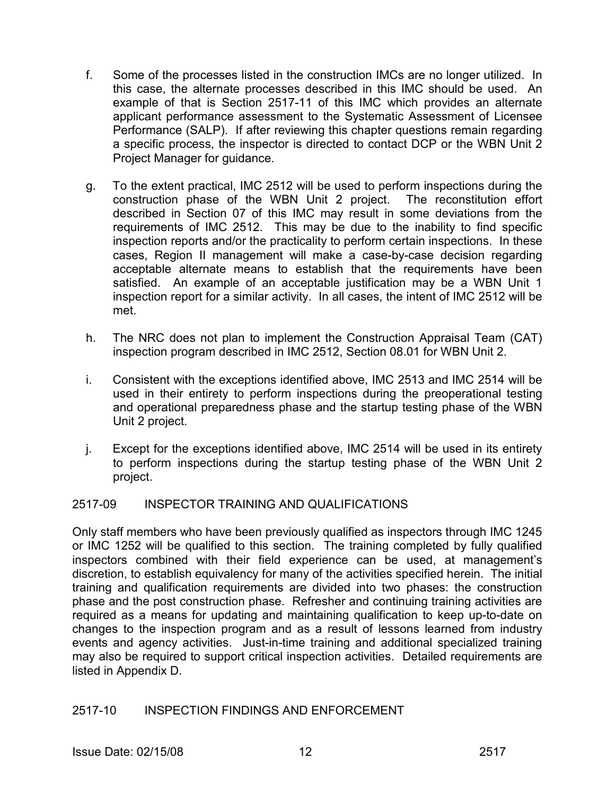- f. Some of the processes listed in the construction IMCs are no longer utilized. In this case, the alternate processes described in this IMC should be used. An example of that is Section 2517-11 of this IMC which provides an alternate applicant performance assessment to the Systematic Assessment of Licensee Performance (SALP). If after reviewing this chapter questions remain regarding a specific process, the inspector is directed to contact DCP or the WBN Unit 2 Project Manager for guidance.
- g. To the extent practical, IMC 2512 will be used to perform inspections during the construction phase of the WBN Unit 2 project. The reconstitution effort described in Section 07 of this IMC may result in some deviations from the requirements of IMC 2512. This may be due to the inability to find specific inspection reports and/or the practicality to perform certain inspections. In these cases, Region II management will make a case-by-case decision regarding acceptable alternate means to establish that the requirements have been satisfied. An example of an acceptable justification may be a WBN Unit 1 inspection report for a similar activity. In all cases, the intent of IMC 2512 will be met.
- h. The NRC does not plan to implement the Construction Appraisal Team (CAT) inspection program described in IMC 2512, Section 08.01 for WBN Unit 2.
- i. Consistent with the exceptions identified above, IMC 2513 and IMC 2514 will be used in their entirety to perform inspections during the preoperational testing and operational preparedness phase and the startup testing phase of the WBN Unit 2 project.
- j. Except for the exceptions identified above, IMC 2514 will be used in its entirety to perform inspections during the startup testing phase of the WBN Unit 2 project.

# 2517-09 INSPECTOR TRAINING AND QUALIFICATIONS

Only staff members who have been previously qualified as inspectors through IMC 1245 or IMC 1252 will be qualified to this section. The training completed by fully qualified inspectors combined with their field experience can be used, at management's discretion, to establish equivalency for many of the activities specified herein. The initial training and qualification requirements are divided into two phases: the construction phase and the post construction phase. Refresher and continuing training activities are required as a means for updating and maintaining qualification to keep up-to-date on changes to the inspection program and as a result of lessons learned from industry events and agency activities. Just-in-time training and additional specialized training may also be required to support critical inspection activities. Detailed requirements are listed in Appendix D.

# 2517-10 INSPECTION FINDINGS AND ENFORCEMENT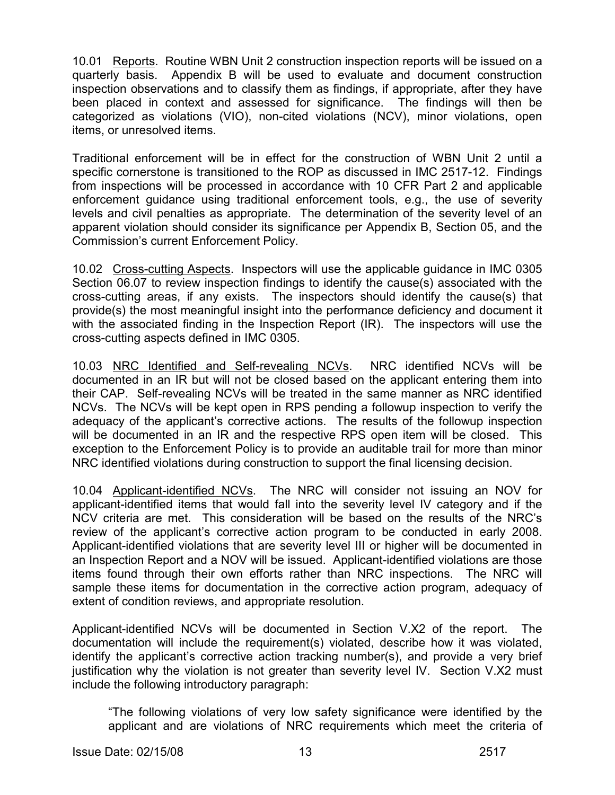10.01 Reports. Routine WBN Unit 2 construction inspection reports will be issued on a quarterly basis. Appendix B will be used to evaluate and document construction inspection observations and to classify them as findings, if appropriate, after they have been placed in context and assessed for significance. The findings will then be categorized as violations (VIO), non-cited violations (NCV), minor violations, open items, or unresolved items.

Traditional enforcement will be in effect for the construction of WBN Unit 2 until a specific cornerstone is transitioned to the ROP as discussed in IMC 2517-12. Findings from inspections will be processed in accordance with 10 CFR Part 2 and applicable enforcement guidance using traditional enforcement tools, e.g., the use of severity levels and civil penalties as appropriate. The determination of the severity level of an apparent violation should consider its significance per Appendix B, Section 05, and the Commission's current Enforcement Policy.

10.02 Cross-cutting Aspects. Inspectors will use the applicable guidance in IMC 0305 Section 06.07 to review inspection findings to identify the cause(s) associated with the cross-cutting areas, if any exists. The inspectors should identify the cause(s) that provide(s) the most meaningful insight into the performance deficiency and document it with the associated finding in the Inspection Report (IR). The inspectors will use the cross-cutting aspects defined in IMC 0305.

10.03 NRC Identified and Self-revealing NCVs. NRC identified NCVs will be documented in an IR but will not be closed based on the applicant entering them into their CAP. Self-revealing NCVs will be treated in the same manner as NRC identified NCVs. The NCVs will be kept open in RPS pending a followup inspection to verify the adequacy of the applicant's corrective actions. The results of the followup inspection will be documented in an IR and the respective RPS open item will be closed. This exception to the Enforcement Policy is to provide an auditable trail for more than minor NRC identified violations during construction to support the final licensing decision.

10.04 Applicant-identified NCVs. The NRC will consider not issuing an NOV for applicant-identified items that would fall into the severity level IV category and if the NCV criteria are met. This consideration will be based on the results of the NRC's review of the applicant's corrective action program to be conducted in early 2008. Applicant-identified violations that are severity level III or higher will be documented in an Inspection Report and a NOV will be issued. Applicant-identified violations are those items found through their own efforts rather than NRC inspections. The NRC will sample these items for documentation in the corrective action program, adequacy of extent of condition reviews, and appropriate resolution.

Applicant-identified NCVs will be documented in Section V.X2 of the report. The documentation will include the requirement(s) violated, describe how it was violated, identify the applicant's corrective action tracking number(s), and provide a very brief justification why the violation is not greater than severity level IV. Section V.X2 must include the following introductory paragraph:

"The following violations of very low safety significance were identified by the applicant and are violations of NRC requirements which meet the criteria of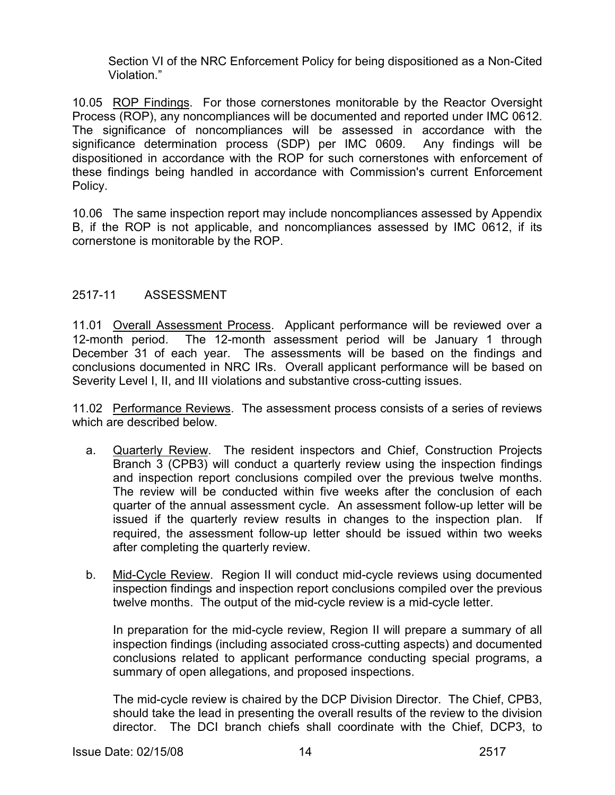Section VI of the NRC Enforcement Policy for being dispositioned as a Non-Cited Violation."

10.05 ROP Findings. For those cornerstones monitorable by the Reactor Oversight Process (ROP), any noncompliances will be documented and reported under IMC 0612. The significance of noncompliances will be assessed in accordance with the significance determination process (SDP) per IMC 0609. Any findings will be dispositioned in accordance with the ROP for such cornerstones with enforcement of these findings being handled in accordance with Commission's current Enforcement Policy.

10.06 The same inspection report may include noncompliances assessed by Appendix B, if the ROP is not applicable, and noncompliances assessed by IMC 0612, if its cornerstone is monitorable by the ROP.

# 2517-11 ASSESSMENT

11.01 Overall Assessment Process. Applicant performance will be reviewed over a 12-month period. The 12-month assessment period will be January 1 through December 31 of each year. The assessments will be based on the findings and conclusions documented in NRC IRs. Overall applicant performance will be based on Severity Level I, II, and III violations and substantive cross-cutting issues.

11.02 Performance Reviews. The assessment process consists of a series of reviews which are described below.

- a. Quarterly Review. The resident inspectors and Chief, Construction Projects Branch 3 (CPB3) will conduct a quarterly review using the inspection findings and inspection report conclusions compiled over the previous twelve months. The review will be conducted within five weeks after the conclusion of each quarter of the annual assessment cycle. An assessment follow-up letter will be issued if the quarterly review results in changes to the inspection plan. If required, the assessment follow-up letter should be issued within two weeks after completing the quarterly review.
- b. Mid-Cycle Review. Region II will conduct mid-cycle reviews using documented inspection findings and inspection report conclusions compiled over the previous twelve months. The output of the mid-cycle review is a mid-cycle letter.

In preparation for the mid-cycle review, Region II will prepare a summary of all inspection findings (including associated cross-cutting aspects) and documented conclusions related to applicant performance conducting special programs, a summary of open allegations, and proposed inspections.

The mid-cycle review is chaired by the DCP Division Director. The Chief, CPB3, should take the lead in presenting the overall results of the review to the division director. The DCI branch chiefs shall coordinate with the Chief, DCP3, to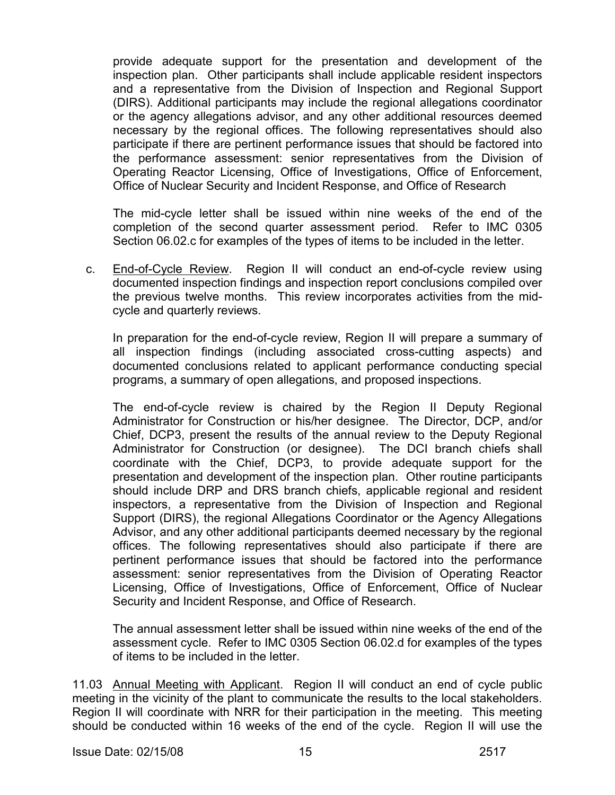provide adequate support for the presentation and development of the inspection plan. Other participants shall include applicable resident inspectors and a representative from the Division of Inspection and Regional Support (DIRS). Additional participants may include the regional allegations coordinator or the agency allegations advisor, and any other additional resources deemed necessary by the regional offices. The following representatives should also participate if there are pertinent performance issues that should be factored into the performance assessment: senior representatives from the Division of Operating Reactor Licensing, Office of Investigations, Office of Enforcement, Office of Nuclear Security and Incident Response, and Office of Research

The mid-cycle letter shall be issued within nine weeks of the end of the completion of the second quarter assessment period. Refer to IMC 0305 Section 06.02.c for examples of the types of items to be included in the letter.

 c. End-of-Cycle Review. Region II will conduct an end-of-cycle review using documented inspection findings and inspection report conclusions compiled over the previous twelve months. This review incorporates activities from the midcycle and quarterly reviews.

In preparation for the end-of-cycle review, Region II will prepare a summary of all inspection findings (including associated cross-cutting aspects) and documented conclusions related to applicant performance conducting special programs, a summary of open allegations, and proposed inspections.

The end-of-cycle review is chaired by the Region II Deputy Regional Administrator for Construction or his/her designee. The Director, DCP, and/or Chief, DCP3, present the results of the annual review to the Deputy Regional Administrator for Construction (or designee). The DCI branch chiefs shall coordinate with the Chief, DCP3, to provide adequate support for the presentation and development of the inspection plan. Other routine participants should include DRP and DRS branch chiefs, applicable regional and resident inspectors, a representative from the Division of Inspection and Regional Support (DIRS), the regional Allegations Coordinator or the Agency Allegations Advisor, and any other additional participants deemed necessary by the regional offices. The following representatives should also participate if there are pertinent performance issues that should be factored into the performance assessment: senior representatives from the Division of Operating Reactor Licensing, Office of Investigations, Office of Enforcement, Office of Nuclear Security and Incident Response, and Office of Research.

The annual assessment letter shall be issued within nine weeks of the end of the assessment cycle. Refer to IMC 0305 Section 06.02.d for examples of the types of items to be included in the letter.

11.03 Annual Meeting with Applicant. Region II will conduct an end of cycle public meeting in the vicinity of the plant to communicate the results to the local stakeholders. Region II will coordinate with NRR for their participation in the meeting. This meeting should be conducted within 16 weeks of the end of the cycle. Region II will use the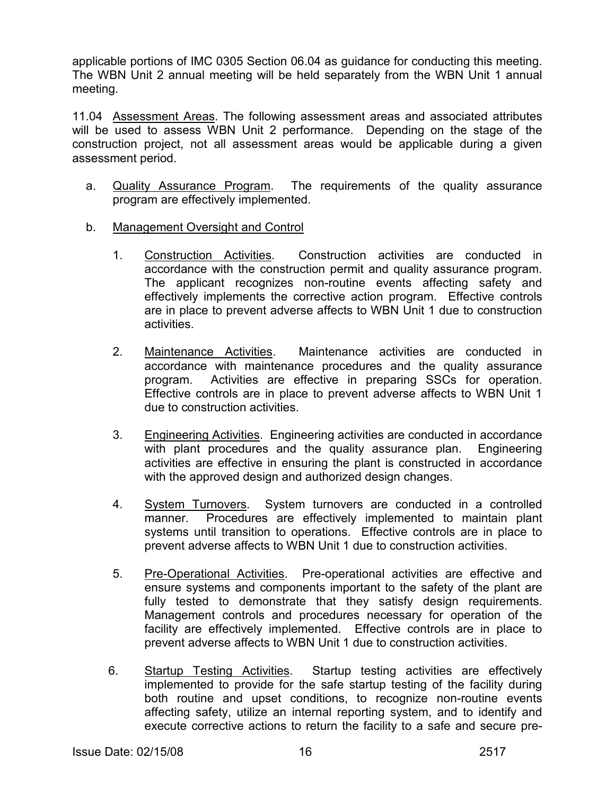applicable portions of IMC 0305 Section 06.04 as guidance for conducting this meeting. The WBN Unit 2 annual meeting will be held separately from the WBN Unit 1 annual meeting.

11.04 Assessment Areas. The following assessment areas and associated attributes will be used to assess WBN Unit 2 performance. Depending on the stage of the construction project, not all assessment areas would be applicable during a given assessment period.

- a. Quality Assurance Program. The requirements of the quality assurance program are effectively implemented.
- b. Management Oversight and Control
	- 1. Construction Activities. Construction activities are conducted in accordance with the construction permit and quality assurance program. The applicant recognizes non-routine events affecting safety and effectively implements the corrective action program. Effective controls are in place to prevent adverse affects to WBN Unit 1 due to construction activities.
	- 2. Maintenance Activities. Maintenance activities are conducted in accordance with maintenance procedures and the quality assurance program. Activities are effective in preparing SSCs for operation. Effective controls are in place to prevent adverse affects to WBN Unit 1 due to construction activities.
	- 3. Engineering Activities. Engineering activities are conducted in accordance with plant procedures and the quality assurance plan. Engineering activities are effective in ensuring the plant is constructed in accordance with the approved design and authorized design changes.
	- 4. System Turnovers. System turnovers are conducted in a controlled manner. Procedures are effectively implemented to maintain plant systems until transition to operations. Effective controls are in place to prevent adverse affects to WBN Unit 1 due to construction activities.
	- 5. Pre-Operational Activities. Pre-operational activities are effective and ensure systems and components important to the safety of the plant are fully tested to demonstrate that they satisfy design requirements. Management controls and procedures necessary for operation of the facility are effectively implemented. Effective controls are in place to prevent adverse affects to WBN Unit 1 due to construction activities.
	- 6. Startup Testing Activities. Startup testing activities are effectively implemented to provide for the safe startup testing of the facility during both routine and upset conditions, to recognize non-routine events affecting safety, utilize an internal reporting system, and to identify and execute corrective actions to return the facility to a safe and secure pre-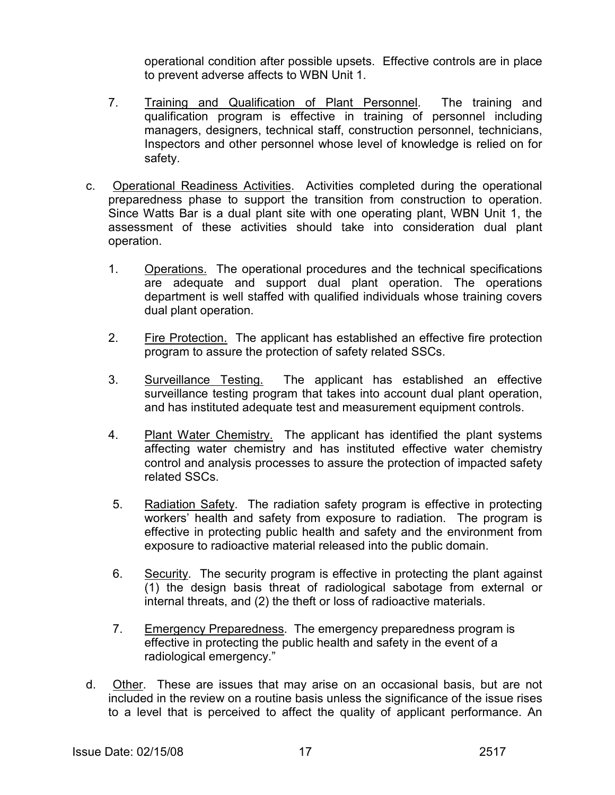operational condition after possible upsets. Effective controls are in place to prevent adverse affects to WBN Unit 1.

- 7. Training and Qualification of Plant Personnel. The training and qualification program is effective in training of personnel including managers, designers, technical staff, construction personnel, technicians, Inspectors and other personnel whose level of knowledge is relied on for safety.
- c. Operational Readiness Activities. Activities completed during the operational preparedness phase to support the transition from construction to operation. Since Watts Bar is a dual plant site with one operating plant, WBN Unit 1, the assessment of these activities should take into consideration dual plant operation.
	- 1. Operations. The operational procedures and the technical specifications are adequate and support dual plant operation. The operations department is well staffed with qualified individuals whose training covers dual plant operation.
	- 2. Fire Protection. The applicant has established an effective fire protection program to assure the protection of safety related SSCs.
	- 3. Surveillance Testing. The applicant has established an effective surveillance testing program that takes into account dual plant operation, and has instituted adequate test and measurement equipment controls.
	- 4. Plant Water Chemistry. The applicant has identified the plant systems affecting water chemistry and has instituted effective water chemistry control and analysis processes to assure the protection of impacted safety related SSCs.
	- 5. Radiation Safety. The radiation safety program is effective in protecting workers' health and safety from exposure to radiation. The program is effective in protecting public health and safety and the environment from exposure to radioactive material released into the public domain.
	- 6. Security. The security program is effective in protecting the plant against (1) the design basis threat of radiological sabotage from external or internal threats, and (2) the theft or loss of radioactive materials.
	- 7. Emergency Preparedness. The emergency preparedness program is effective in protecting the public health and safety in the event of a radiological emergency."
- d. Other. These are issues that may arise on an occasional basis, but are not included in the review on a routine basis unless the significance of the issue rises to a level that is perceived to affect the quality of applicant performance. An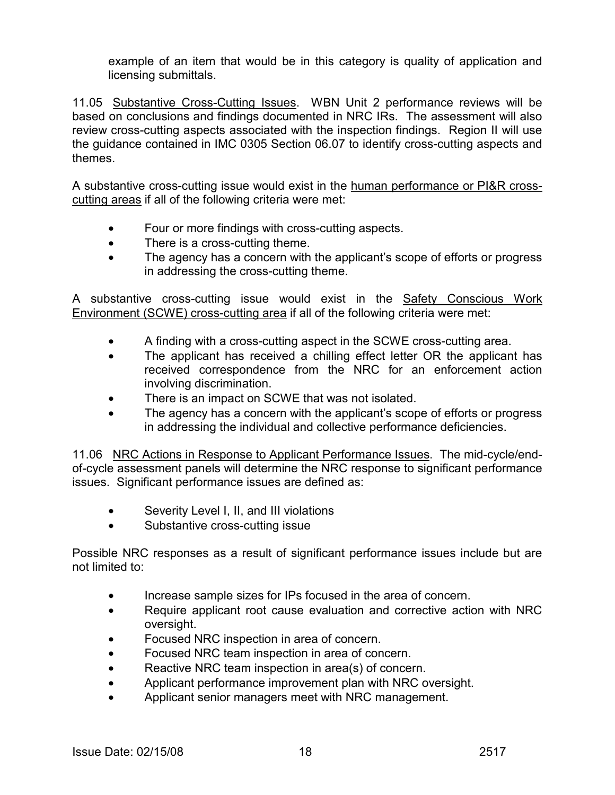example of an item that would be in this category is quality of application and licensing submittals.

11.05 Substantive Cross-Cutting Issues. WBN Unit 2 performance reviews will be based on conclusions and findings documented in NRC IRs. The assessment will also review cross-cutting aspects associated with the inspection findings. Region II will use the guidance contained in IMC 0305 Section 06.07 to identify cross-cutting aspects and themes.

A substantive cross-cutting issue would exist in the human performance or PI&R crosscutting areas if all of the following criteria were met:

- Four or more findings with cross-cutting aspects.
- There is a cross-cutting theme.
- The agency has a concern with the applicant's scope of efforts or progress in addressing the cross-cutting theme.

A substantive cross-cutting issue would exist in the Safety Conscious Work Environment (SCWE) cross-cutting area if all of the following criteria were met:

- A finding with a cross-cutting aspect in the SCWE cross-cutting area.
- The applicant has received a chilling effect letter OR the applicant has received correspondence from the NRC for an enforcement action involving discrimination.
- There is an impact on SCWE that was not isolated.
- The agency has a concern with the applicant's scope of efforts or progress in addressing the individual and collective performance deficiencies.

11.06 NRC Actions in Response to Applicant Performance Issues. The mid-cycle/endof-cycle assessment panels will determine the NRC response to significant performance issues. Significant performance issues are defined as:

- Severity Level I, II, and III violations
- Substantive cross-cutting issue

Possible NRC responses as a result of significant performance issues include but are not limited to:

- Increase sample sizes for IPs focused in the area of concern.
- Require applicant root cause evaluation and corrective action with NRC oversight.
- Focused NRC inspection in area of concern.
- Focused NRC team inspection in area of concern.
- Reactive NRC team inspection in area(s) of concern.
- Applicant performance improvement plan with NRC oversight.
- Applicant senior managers meet with NRC management.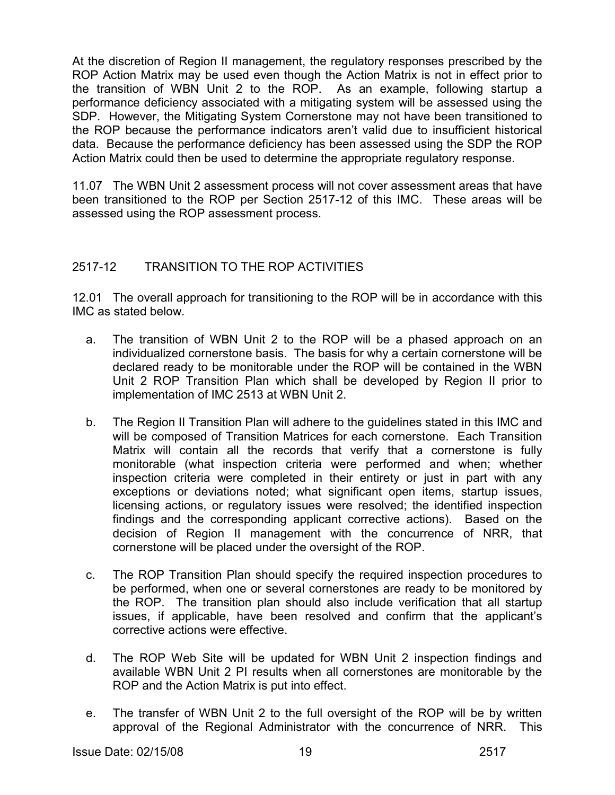At the discretion of Region II management, the regulatory responses prescribed by the ROP Action Matrix may be used even though the Action Matrix is not in effect prior to the transition of WBN Unit 2 to the ROP. As an example, following startup a performance deficiency associated with a mitigating system will be assessed using the SDP. However, the Mitigating System Cornerstone may not have been transitioned to the ROP because the performance indicators aren't valid due to insufficient historical data. Because the performance deficiency has been assessed using the SDP the ROP Action Matrix could then be used to determine the appropriate regulatory response.

11.07 The WBN Unit 2 assessment process will not cover assessment areas that have been transitioned to the ROP per Section 2517-12 of this IMC. These areas will be assessed using the ROP assessment process.

# 2517-12 TRANSITION TO THE ROP ACTIVITIES

12.01 The overall approach for transitioning to the ROP will be in accordance with this IMC as stated below.

- a. The transition of WBN Unit 2 to the ROP will be a phased approach on an individualized cornerstone basis. The basis for why a certain cornerstone will be declared ready to be monitorable under the ROP will be contained in the WBN Unit 2 ROP Transition Plan which shall be developed by Region II prior to implementation of IMC 2513 at WBN Unit 2.
- b. The Region II Transition Plan will adhere to the guidelines stated in this IMC and will be composed of Transition Matrices for each cornerstone. Each Transition Matrix will contain all the records that verify that a cornerstone is fully monitorable (what inspection criteria were performed and when; whether inspection criteria were completed in their entirety or just in part with any exceptions or deviations noted; what significant open items, startup issues, licensing actions, or regulatory issues were resolved; the identified inspection findings and the corresponding applicant corrective actions). Based on the decision of Region II management with the concurrence of NRR, that cornerstone will be placed under the oversight of the ROP.
- c. The ROP Transition Plan should specify the required inspection procedures to be performed, when one or several cornerstones are ready to be monitored by the ROP. The transition plan should also include verification that all startup issues, if applicable, have been resolved and confirm that the applicant's corrective actions were effective.
- d. The ROP Web Site will be updated for WBN Unit 2 inspection findings and available WBN Unit 2 PI results when all cornerstones are monitorable by the ROP and the Action Matrix is put into effect.
- e. The transfer of WBN Unit 2 to the full oversight of the ROP will be by written approval of the Regional Administrator with the concurrence of NRR. This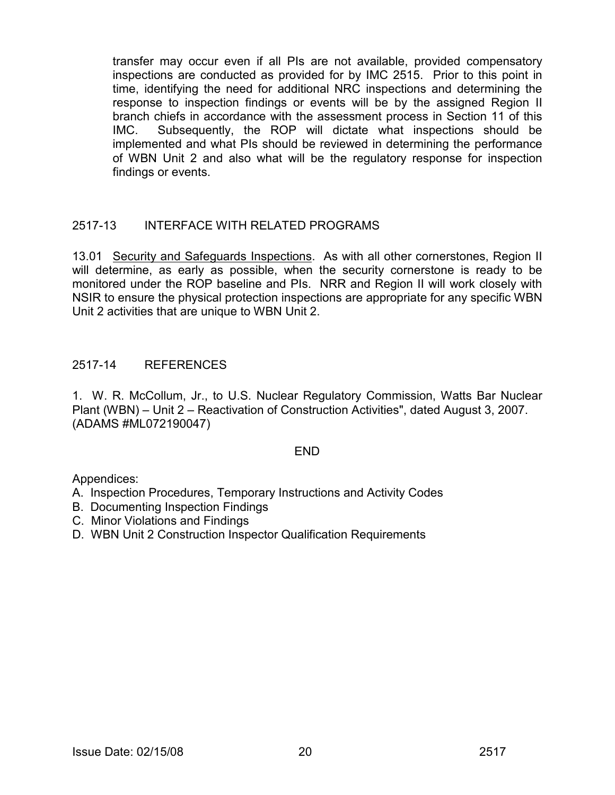transfer may occur even if all PIs are not available, provided compensatory inspections are conducted as provided for by IMC 2515. Prior to this point in time, identifying the need for additional NRC inspections and determining the response to inspection findings or events will be by the assigned Region II branch chiefs in accordance with the assessment process in Section 11 of this IMC. Subsequently, the ROP will dictate what inspections should be implemented and what PIs should be reviewed in determining the performance of WBN Unit 2 and also what will be the regulatory response for inspection findings or events.

# 2517-13 INTERFACE WITH RELATED PROGRAMS

13.01 Security and Safeguards Inspections. As with all other cornerstones. Region II will determine, as early as possible, when the security cornerstone is ready to be monitored under the ROP baseline and PIs. NRR and Region II will work closely with NSIR to ensure the physical protection inspections are appropriate for any specific WBN Unit 2 activities that are unique to WBN Unit 2.

# 2517-14 REFERENCES

1. W. R. McCollum, Jr., to U.S. Nuclear Regulatory Commission, Watts Bar Nuclear Plant (WBN) – Unit 2 – Reactivation of Construction Activities", dated August 3, 2007. (ADAMS #ML072190047)

# END

Appendices:

A. Inspection Procedures, Temporary Instructions and Activity Codes

- B. Documenting Inspection Findings
- C. Minor Violations and Findings
- D. WBN Unit 2 Construction Inspector Qualification Requirements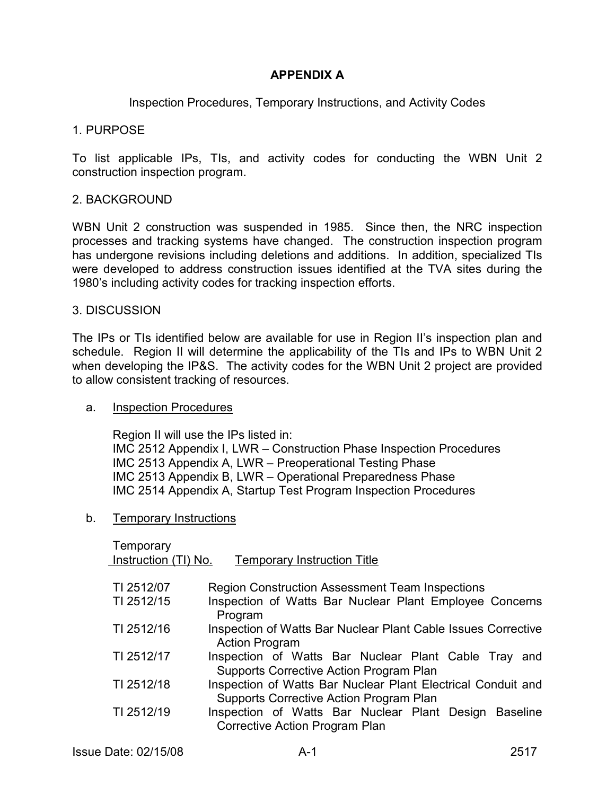# **APPENDIX A**

Inspection Procedures, Temporary Instructions, and Activity Codes

#### 1. PURPOSE

To list applicable IPs, TIs, and activity codes for conducting the WBN Unit 2 construction inspection program.

# 2. BACKGROUND

WBN Unit 2 construction was suspended in 1985. Since then, the NRC inspection processes and tracking systems have changed. The construction inspection program has undergone revisions including deletions and additions. In addition, specialized TIs were developed to address construction issues identified at the TVA sites during the 1980's including activity codes for tracking inspection efforts.

#### 3. DISCUSSION

The IPs or TIs identified below are available for use in Region II's inspection plan and schedule. Region II will determine the applicability of the TIs and IPs to WBN Unit 2 when developing the IP&S. The activity codes for the WBN Unit 2 project are provided to allow consistent tracking of resources.

#### a. Inspection Procedures

 Region II will use the IPs listed in: IMC 2512 Appendix I, LWR – Construction Phase Inspection Procedures IMC 2513 Appendix A, LWR – Preoperational Testing Phase IMC 2513 Appendix B, LWR – Operational Preparedness Phase IMC 2514 Appendix A, Startup Test Program Inspection Procedures

# b. Temporary Instructions

| Temporary<br>Instruction (TI) No. | <b>Temporary Instruction Title</b>                                                                      |
|-----------------------------------|---------------------------------------------------------------------------------------------------------|
| TI 2512/07                        | <b>Region Construction Assessment Team Inspections</b>                                                  |
| TI 2512/15                        | Inspection of Watts Bar Nuclear Plant Employee Concerns<br>Program                                      |
| TI 2512/16                        | Inspection of Watts Bar Nuclear Plant Cable Issues Corrective<br><b>Action Program</b>                  |
| TI 2512/17                        | Inspection of Watts Bar Nuclear Plant Cable Tray<br>and<br>Supports Corrective Action Program Plan      |
| TI 2512/18                        | Inspection of Watts Bar Nuclear Plant Electrical Conduit and<br>Supports Corrective Action Program Plan |
| TI 2512/19                        | Inspection of Watts Bar Nuclear Plant Design Baseline<br>Corrective Action Program Plan                 |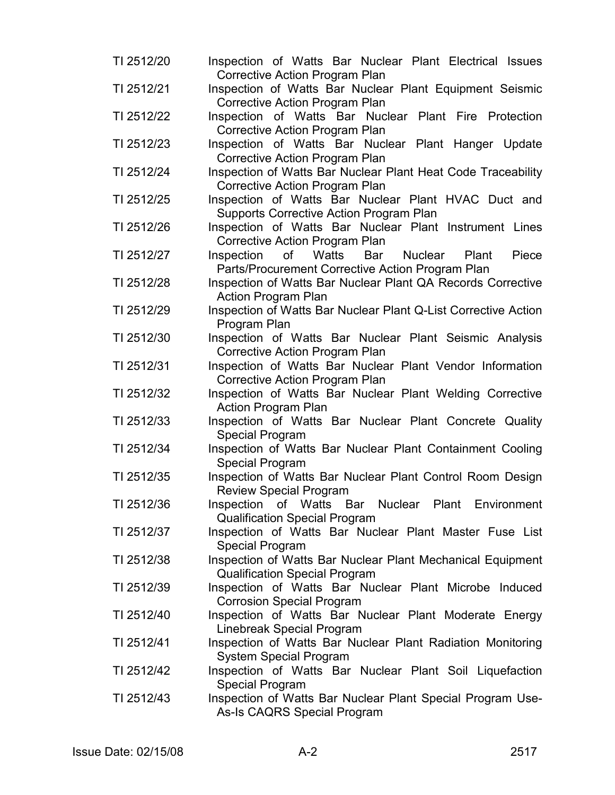- TI 2512/20 Inspection of Watts Bar Nuclear Plant Electrical Issues Corrective Action Program Plan
- TI 2512/21 Inspection of Watts Bar Nuclear Plant Equipment Seismic Corrective Action Program Plan
- TI 2512/22 Inspection of Watts Bar Nuclear Plant Fire Protection Corrective Action Program Plan
- TI 2512/23 Inspection of Watts Bar Nuclear Plant Hanger Update Corrective Action Program Plan
- TI 2512/24 Inspection of Watts Bar Nuclear Plant Heat Code Traceability Corrective Action Program Plan
- TI 2512/25 Inspection of Watts Bar Nuclear Plant HVAC Duct and Supports Corrective Action Program Plan
- TI 2512/26 Inspection of Watts Bar Nuclear Plant Instrument Lines Corrective Action Program Plan
- TI 2512/27 Inspection of Watts Bar Nuclear Plant Piece Parts/Procurement Corrective Action Program Plan
- TI 2512/28 Inspection of Watts Bar Nuclear Plant QA Records Corrective Action Program Plan
- TI 2512/29 Inspection of Watts Bar Nuclear Plant Q-List Corrective Action Program Plan
- TI 2512/30 Inspection of Watts Bar Nuclear Plant Seismic Analysis Corrective Action Program Plan
- TI 2512/31 Inspection of Watts Bar Nuclear Plant Vendor Information Corrective Action Program Plan
- TI 2512/32 Inspection of Watts Bar Nuclear Plant Welding Corrective Action Program Plan
- TI 2512/33 Inspection of Watts Bar Nuclear Plant Concrete Quality Special Program
- TI 2512/34 Inspection of Watts Bar Nuclear Plant Containment Cooling Special Program
- TI 2512/35 Inspection of Watts Bar Nuclear Plant Control Room Design Review Special Program
- TI 2512/36 Inspection of Watts Bar Nuclear Plant Environment Qualification Special Program
- TI 2512/37 Inspection of Watts Bar Nuclear Plant Master Fuse List Special Program
- TI 2512/38 Inspection of Watts Bar Nuclear Plant Mechanical Equipment Qualification Special Program
- TI 2512/39 Inspection of Watts Bar Nuclear Plant Microbe Induced Corrosion Special Program
- TI 2512/40 Inspection of Watts Bar Nuclear Plant Moderate Energy Linebreak Special Program
- TI 2512/41 Inspection of Watts Bar Nuclear Plant Radiation Monitoring System Special Program
- TI 2512/42 Inspection of Watts Bar Nuclear Plant Soil Liquefaction Special Program
- TI 2512/43 Inspection of Watts Bar Nuclear Plant Special Program Use-As-Is CAQRS Special Program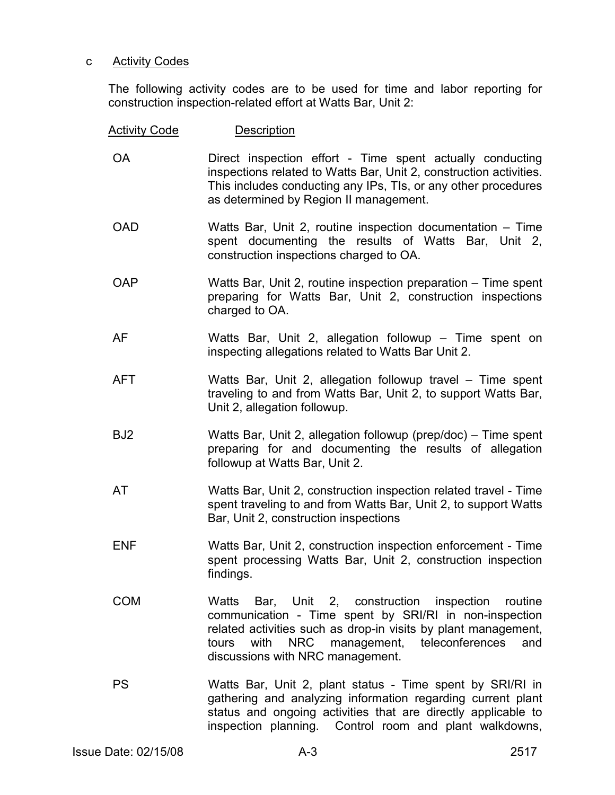# c Activity Codes

The following activity codes are to be used for time and labor reporting for construction inspection-related effort at Watts Bar, Unit 2:

| <b>Activity Code</b> | <b>Description</b>                                                                                                                                                                                                                                                         |
|----------------------|----------------------------------------------------------------------------------------------------------------------------------------------------------------------------------------------------------------------------------------------------------------------------|
| <b>OA</b>            | Direct inspection effort - Time spent actually conducting<br>inspections related to Watts Bar, Unit 2, construction activities.<br>This includes conducting any IPs, TIs, or any other procedures<br>as determined by Region II management.                                |
| <b>OAD</b>           | Watts Bar, Unit 2, routine inspection documentation - Time<br>spent documenting the results of Watts Bar, Unit 2,<br>construction inspections charged to OA.                                                                                                               |
| <b>OAP</b>           | Watts Bar, Unit 2, routine inspection preparation – Time spent<br>preparing for Watts Bar, Unit 2, construction inspections<br>charged to OA.                                                                                                                              |
| AF                   | Watts Bar, Unit 2, allegation followup – Time spent on<br>inspecting allegations related to Watts Bar Unit 2.                                                                                                                                                              |
| <b>AFT</b>           | Watts Bar, Unit 2, allegation followup travel – Time spent<br>traveling to and from Watts Bar, Unit 2, to support Watts Bar,<br>Unit 2, allegation followup.                                                                                                               |
| BJ <sub>2</sub>      | Watts Bar, Unit 2, allegation followup (prep/doc) - Time spent<br>preparing for and documenting the results of allegation<br>followup at Watts Bar, Unit 2.                                                                                                                |
| AT                   | Watts Bar, Unit 2, construction inspection related travel - Time<br>spent traveling to and from Watts Bar, Unit 2, to support Watts<br>Bar, Unit 2, construction inspections                                                                                               |
| <b>ENF</b>           | Watts Bar, Unit 2, construction inspection enforcement - Time<br>spent processing Watts Bar, Unit 2, construction inspection<br>findings.                                                                                                                                  |
| <b>COM</b>           | Watts Bar, Unit 2, construction inspection routine<br>communication - Time spent by SRI/RI in non-inspection<br>related activities such as drop-in visits by plant management,<br>with NRC management, teleconferences<br>tours<br>and<br>discussions with NRC management. |
| <b>PS</b>            | Watts Bar, Unit 2, plant status - Time spent by SRI/RI in<br>gathering and analyzing information regarding current plant<br>status and ongoing activities that are directly applicable to<br>inspection planning. Control room and plant walkdowns,                        |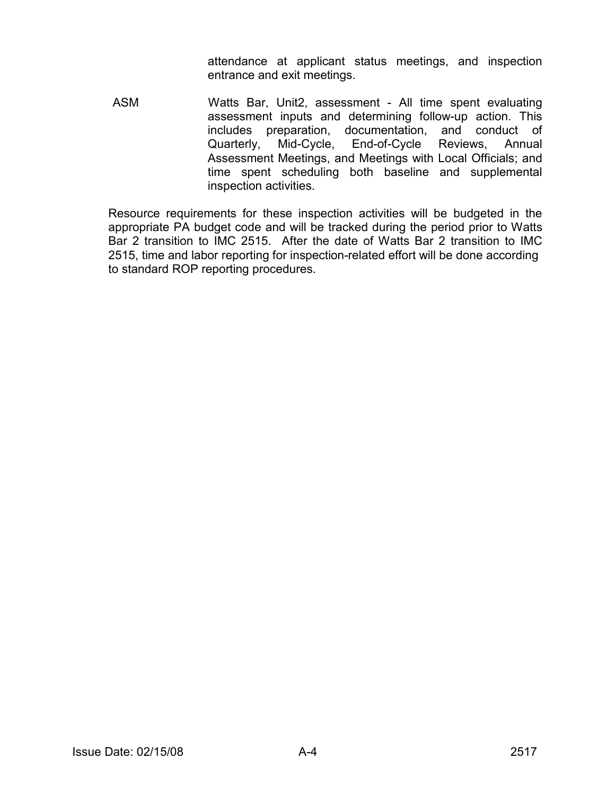attendance at applicant status meetings, and inspection entrance and exit meetings.

 ASM Watts Bar, Unit2, assessment - All time spent evaluating assessment inputs and determining follow-up action. This includes preparation, documentation, and conduct of Quarterly, Mid-Cycle, End-of-Cycle Reviews, Annual Assessment Meetings, and Meetings with Local Officials; and time spent scheduling both baseline and supplemental inspection activities.

Resource requirements for these inspection activities will be budgeted in the appropriate PA budget code and will be tracked during the period prior to Watts Bar 2 transition to IMC 2515. After the date of Watts Bar 2 transition to IMC 2515, time and labor reporting for inspection-related effort will be done according to standard ROP reporting procedures.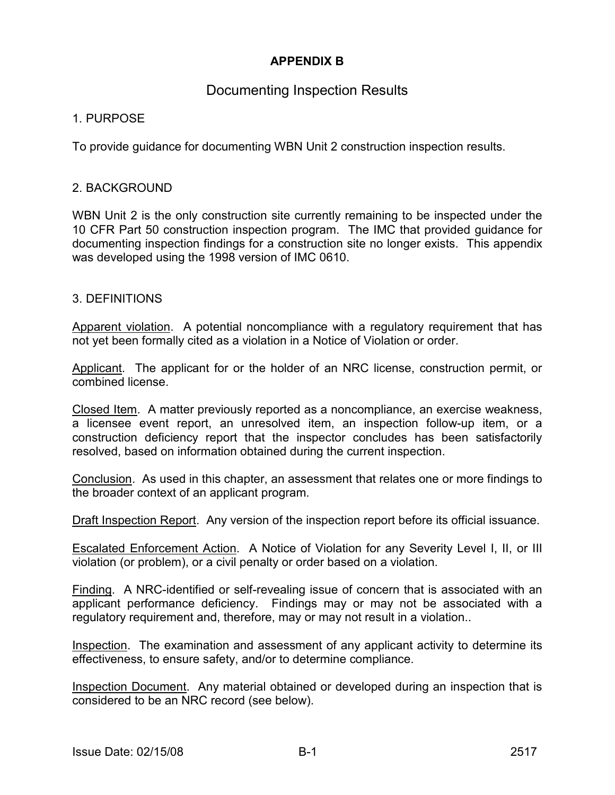# **APPENDIX B**

# Documenting Inspection Results

# 1. PURPOSE

To provide guidance for documenting WBN Unit 2 construction inspection results.

# 2. BACKGROUND

WBN Unit 2 is the only construction site currently remaining to be inspected under the 10 CFR Part 50 construction inspection program. The IMC that provided guidance for documenting inspection findings for a construction site no longer exists. This appendix was developed using the 1998 version of IMC 0610.

# 3. DEFINITIONS

Apparent violation. A potential noncompliance with a regulatory requirement that has not yet been formally cited as a violation in a Notice of Violation or order.

Applicant. The applicant for or the holder of an NRC license, construction permit, or combined license.

Closed Item. A matter previously reported as a noncompliance, an exercise weakness, a licensee event report, an unresolved item, an inspection follow-up item, or a construction deficiency report that the inspector concludes has been satisfactorily resolved, based on information obtained during the current inspection.

Conclusion. As used in this chapter, an assessment that relates one or more findings to the broader context of an applicant program.

Draft Inspection Report. Any version of the inspection report before its official issuance.

Escalated Enforcement Action. A Notice of Violation for any Severity Level I, II, or III violation (or problem), or a civil penalty or order based on a violation.

Finding. A NRC-identified or self-revealing issue of concern that is associated with an applicant performance deficiency. Findings may or may not be associated with a regulatory requirement and, therefore, may or may not result in a violation..

Inspection. The examination and assessment of any applicant activity to determine its effectiveness, to ensure safety, and/or to determine compliance.

Inspection Document. Any material obtained or developed during an inspection that is considered to be an NRC record (see below).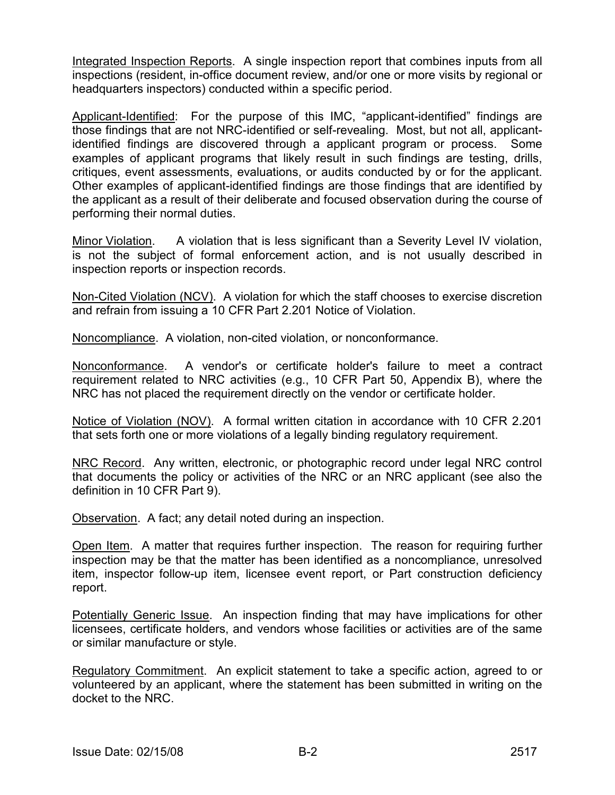Integrated Inspection Reports. A single inspection report that combines inputs from all inspections (resident, in-office document review, and/or one or more visits by regional or headquarters inspectors) conducted within a specific period.

Applicant-Identified: For the purpose of this IMC, "applicant-identified" findings are those findings that are not NRC-identified or self-revealing. Most, but not all, applicantidentified findings are discovered through a applicant program or process. Some examples of applicant programs that likely result in such findings are testing, drills, critiques, event assessments, evaluations, or audits conducted by or for the applicant. Other examples of applicant-identified findings are those findings that are identified by the applicant as a result of their deliberate and focused observation during the course of performing their normal duties.

Minor Violation. A violation that is less significant than a Severity Level IV violation, is not the subject of formal enforcement action, and is not usually described in inspection reports or inspection records.

Non-Cited Violation (NCV). A violation for which the staff chooses to exercise discretion and refrain from issuing a 10 CFR Part 2.201 Notice of Violation.

Noncompliance. A violation, non-cited violation, or nonconformance.

Nonconformance. A vendor's or certificate holder's failure to meet a contract requirement related to NRC activities (e.g., 10 CFR Part 50, Appendix B), where the NRC has not placed the requirement directly on the vendor or certificate holder.

Notice of Violation (NOV). A formal written citation in accordance with 10 CFR 2.201 that sets forth one or more violations of a legally binding regulatory requirement.

NRC Record. Any written, electronic, or photographic record under legal NRC control that documents the policy or activities of the NRC or an NRC applicant (see also the definition in 10 CFR Part 9).

Observation. A fact; any detail noted during an inspection.

Open Item. A matter that requires further inspection. The reason for requiring further inspection may be that the matter has been identified as a noncompliance, unresolved item, inspector follow-up item, licensee event report, or Part construction deficiency report.

Potentially Generic Issue. An inspection finding that may have implications for other licensees, certificate holders, and vendors whose facilities or activities are of the same or similar manufacture or style.

Regulatory Commitment. An explicit statement to take a specific action, agreed to or volunteered by an applicant, where the statement has been submitted in writing on the docket to the NRC.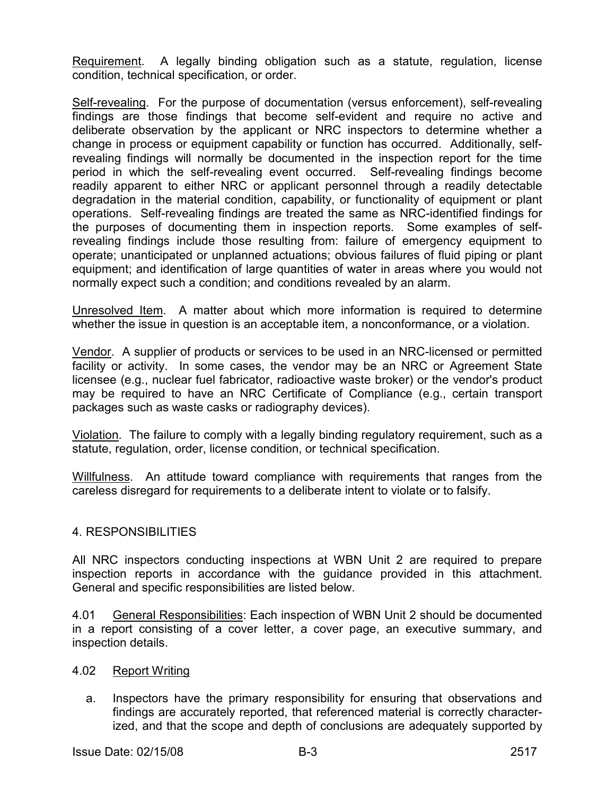Requirement. A legally binding obligation such as a statute, regulation, license condition, technical specification, or order.

Self-revealing. For the purpose of documentation (versus enforcement), self-revealing findings are those findings that become self-evident and require no active and deliberate observation by the applicant or NRC inspectors to determine whether a change in process or equipment capability or function has occurred. Additionally, selfrevealing findings will normally be documented in the inspection report for the time period in which the self-revealing event occurred. Self-revealing findings become readily apparent to either NRC or applicant personnel through a readily detectable degradation in the material condition, capability, or functionality of equipment or plant operations. Self-revealing findings are treated the same as NRC-identified findings for the purposes of documenting them in inspection reports. Some examples of selfrevealing findings include those resulting from: failure of emergency equipment to operate; unanticipated or unplanned actuations; obvious failures of fluid piping or plant equipment; and identification of large quantities of water in areas where you would not normally expect such a condition; and conditions revealed by an alarm.

Unresolved Item. A matter about which more information is required to determine whether the issue in question is an acceptable item, a nonconformance, or a violation.

Vendor. A supplier of products or services to be used in an NRC-licensed or permitted facility or activity. In some cases, the vendor may be an NRC or Agreement State licensee (e.g., nuclear fuel fabricator, radioactive waste broker) or the vendor's product may be required to have an NRC Certificate of Compliance (e.g., certain transport packages such as waste casks or radiography devices).

Violation. The failure to comply with a legally binding regulatory requirement, such as a statute, regulation, order, license condition, or technical specification.

Willfulness. An attitude toward compliance with requirements that ranges from the careless disregard for requirements to a deliberate intent to violate or to falsify.

# 4. RESPONSIBILITIES

All NRC inspectors conducting inspections at WBN Unit 2 are required to prepare inspection reports in accordance with the guidance provided in this attachment. General and specific responsibilities are listed below.

4.01 General Responsibilities: Each inspection of WBN Unit 2 should be documented in a report consisting of a cover letter, a cover page, an executive summary, and inspection details.

- 4.02 Report Writing
	- a. Inspectors have the primary responsibility for ensuring that observations and findings are accurately reported, that referenced material is correctly characterized, and that the scope and depth of conclusions are adequately supported by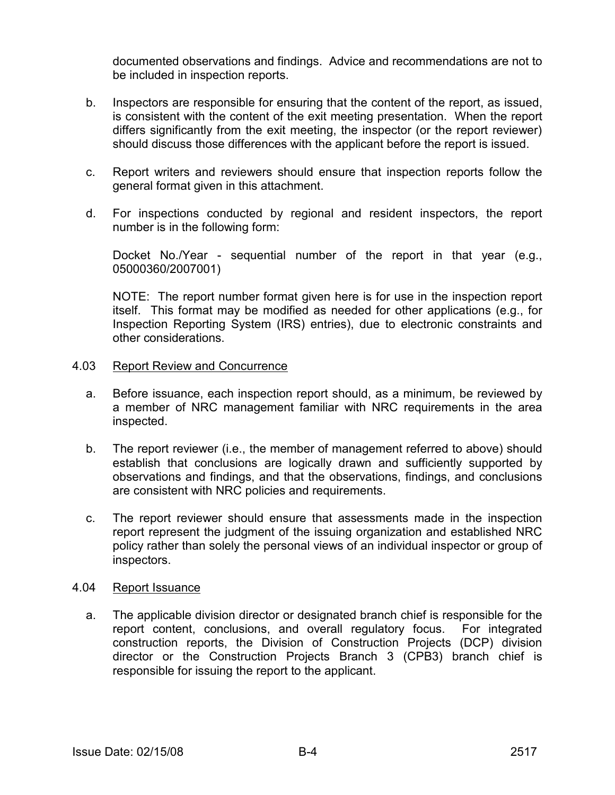documented observations and findings. Advice and recommendations are not to be included in inspection reports.

- b. Inspectors are responsible for ensuring that the content of the report, as issued, is consistent with the content of the exit meeting presentation. When the report differs significantly from the exit meeting, the inspector (or the report reviewer) should discuss those differences with the applicant before the report is issued.
- c. Report writers and reviewers should ensure that inspection reports follow the general format given in this attachment.
- d. For inspections conducted by regional and resident inspectors, the report number is in the following form:

 Docket No./Year - sequential number of the report in that year (e.g., 05000360/2007001)

 NOTE: The report number format given here is for use in the inspection report itself. This format may be modified as needed for other applications (e.g., for Inspection Reporting System (IRS) entries), due to electronic constraints and other considerations.

#### 4.03 Report Review and Concurrence

- a. Before issuance, each inspection report should, as a minimum, be reviewed by a member of NRC management familiar with NRC requirements in the area inspected.
- b. The report reviewer (i.e., the member of management referred to above) should establish that conclusions are logically drawn and sufficiently supported by observations and findings, and that the observations, findings, and conclusions are consistent with NRC policies and requirements.
- c. The report reviewer should ensure that assessments made in the inspection report represent the judgment of the issuing organization and established NRC policy rather than solely the personal views of an individual inspector or group of inspectors.

#### 4.04 Report Issuance

 a. The applicable division director or designated branch chief is responsible for the report content, conclusions, and overall regulatory focus. For integrated construction reports, the Division of Construction Projects (DCP) division director or the Construction Projects Branch 3 (CPB3) branch chief is responsible for issuing the report to the applicant.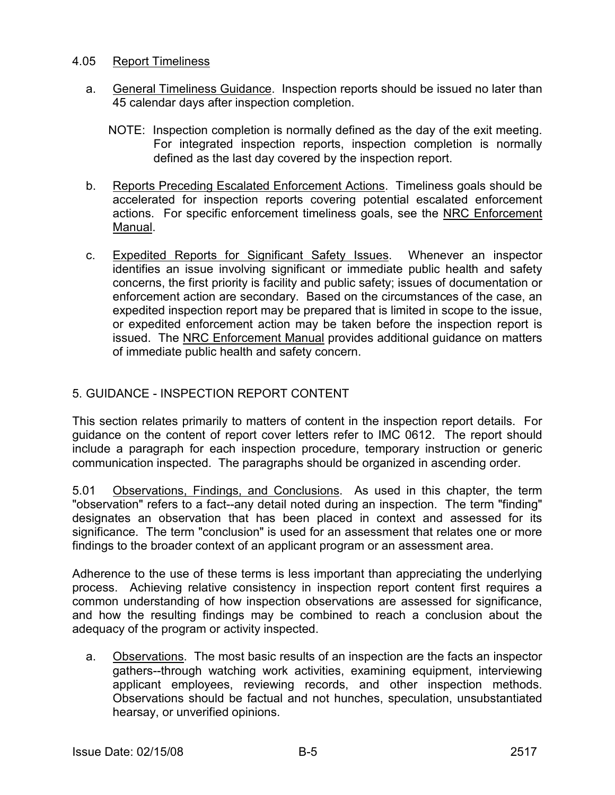# 4.05 Report Timeliness

- a. General Timeliness Guidance. Inspection reports should be issued no later than 45 calendar days after inspection completion.
	- NOTE: Inspection completion is normally defined as the day of the exit meeting. For integrated inspection reports, inspection completion is normally defined as the last day covered by the inspection report.
- b. Reports Preceding Escalated Enforcement Actions. Timeliness goals should be accelerated for inspection reports covering potential escalated enforcement actions. For specific enforcement timeliness goals, see the NRC Enforcement Manual.
- c. Expedited Reports for Significant Safety Issues. Whenever an inspector identifies an issue involving significant or immediate public health and safety concerns, the first priority is facility and public safety; issues of documentation or enforcement action are secondary. Based on the circumstances of the case, an expedited inspection report may be prepared that is limited in scope to the issue, or expedited enforcement action may be taken before the inspection report is issued. The NRC Enforcement Manual provides additional guidance on matters of immediate public health and safety concern.

# 5. GUIDANCE - INSPECTION REPORT CONTENT

This section relates primarily to matters of content in the inspection report details. For guidance on the content of report cover letters refer to IMC 0612. The report should include a paragraph for each inspection procedure, temporary instruction or generic communication inspected. The paragraphs should be organized in ascending order.

5.01 Observations, Findings, and Conclusions. As used in this chapter, the term "observation" refers to a fact--any detail noted during an inspection. The term "finding" designates an observation that has been placed in context and assessed for its significance. The term "conclusion" is used for an assessment that relates one or more findings to the broader context of an applicant program or an assessment area.

Adherence to the use of these terms is less important than appreciating the underlying process. Achieving relative consistency in inspection report content first requires a common understanding of how inspection observations are assessed for significance, and how the resulting findings may be combined to reach a conclusion about the adequacy of the program or activity inspected.

 a. Observations. The most basic results of an inspection are the facts an inspector gathers--through watching work activities, examining equipment, interviewing applicant employees, reviewing records, and other inspection methods. Observations should be factual and not hunches, speculation, unsubstantiated hearsay, or unverified opinions.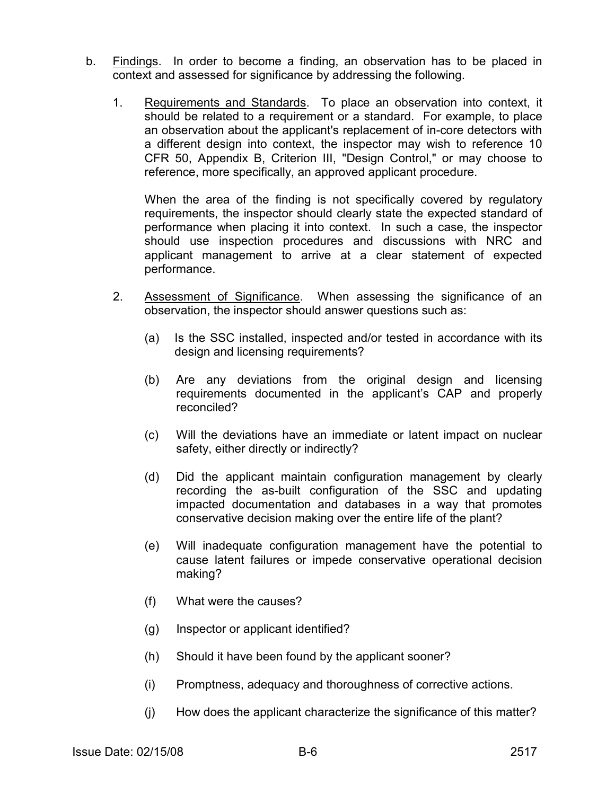- b. Findings. In order to become a finding, an observation has to be placed in context and assessed for significance by addressing the following.
	- 1. Requirements and Standards. To place an observation into context, it should be related to a requirement or a standard. For example, to place an observation about the applicant's replacement of in-core detectors with a different design into context, the inspector may wish to reference 10 CFR 50, Appendix B, Criterion III, "Design Control," or may choose to reference, more specifically, an approved applicant procedure.

When the area of the finding is not specifically covered by regulatory requirements, the inspector should clearly state the expected standard of performance when placing it into context. In such a case, the inspector should use inspection procedures and discussions with NRC and applicant management to arrive at a clear statement of expected performance.

- 2. Assessment of Significance. When assessing the significance of an observation, the inspector should answer questions such as:
	- (a) Is the SSC installed, inspected and/or tested in accordance with its design and licensing requirements?
	- (b) Are any deviations from the original design and licensing requirements documented in the applicant's CAP and properly reconciled?
	- (c) Will the deviations have an immediate or latent impact on nuclear safety, either directly or indirectly?
	- (d) Did the applicant maintain configuration management by clearly recording the as-built configuration of the SSC and updating impacted documentation and databases in a way that promotes conservative decision making over the entire life of the plant?
	- (e) Will inadequate configuration management have the potential to cause latent failures or impede conservative operational decision making?
	- (f) What were the causes?
	- (g) Inspector or applicant identified?
	- (h) Should it have been found by the applicant sooner?
	- (i) Promptness, adequacy and thoroughness of corrective actions.
	- (j) How does the applicant characterize the significance of this matter?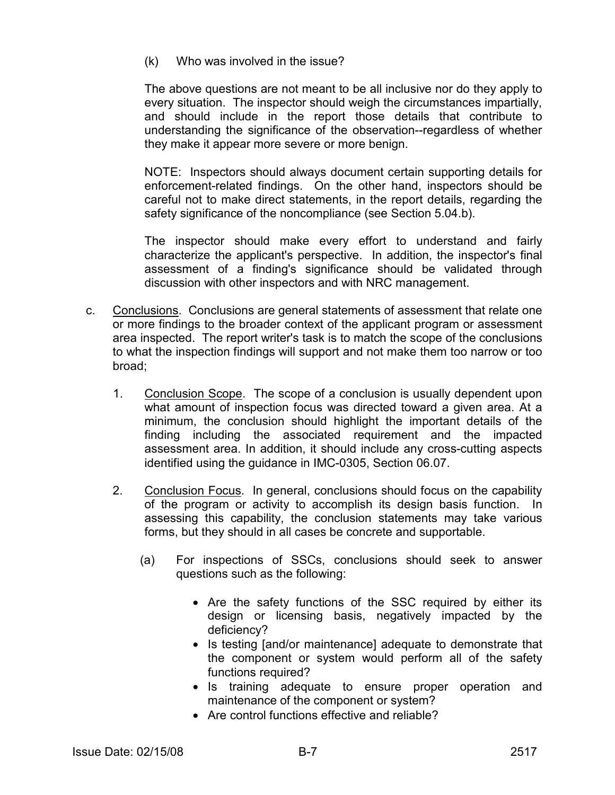(k) Who was involved in the issue?

The above questions are not meant to be all inclusive nor do they apply to every situation. The inspector should weigh the circumstances impartially, and should include in the report those details that contribute to understanding the significance of the observation--regardless of whether they make it appear more severe or more benign.

NOTE: Inspectors should always document certain supporting details for enforcement-related findings. On the other hand, inspectors should be careful not to make direct statements, in the report details, regarding the safety significance of the noncompliance (see Section 5.04.b).

 The inspector should make every effort to understand and fairly characterize the applicant's perspective. In addition, the inspector's final assessment of a finding's significance should be validated through discussion with other inspectors and with NRC management.

- c. Conclusions. Conclusions are general statements of assessment that relate one or more findings to the broader context of the applicant program or assessment area inspected. The report writer's task is to match the scope of the conclusions to what the inspection findings will support and not make them too narrow or too broad;
	- 1. Conclusion Scope. The scope of a conclusion is usually dependent upon what amount of inspection focus was directed toward a given area. At a minimum, the conclusion should highlight the important details of the finding including the associated requirement and the impacted assessment area. In addition, it should include any cross-cutting aspects identified using the guidance in IMC-0305, Section 06.07.
	- 2. Conclusion Focus. In general, conclusions should focus on the capability of the program or activity to accomplish its design basis function. In assessing this capability, the conclusion statements may take various forms, but they should in all cases be concrete and supportable.
		- (a) For inspections of SSCs, conclusions should seek to answer questions such as the following:
			- Are the safety functions of the SSC required by either its design or licensing basis, negatively impacted by the deficiency?
			- Is testing [and/or maintenance] adequate to demonstrate that the component or system would perform all of the safety functions required?
			- Is training adequate to ensure proper operation and maintenance of the component or system?
			- Are control functions effective and reliable?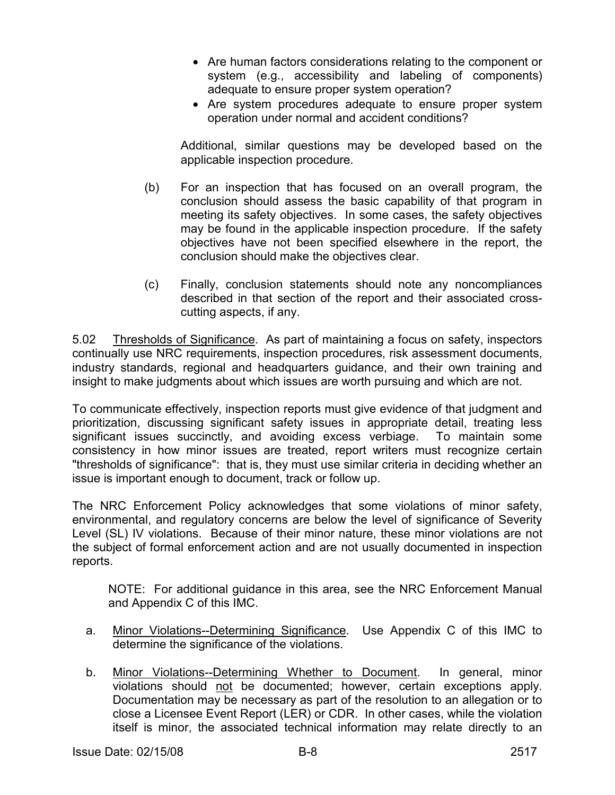- Are human factors considerations relating to the component or system (e.g., accessibility and labeling of components) adequate to ensure proper system operation?
- Are system procedures adequate to ensure proper system operation under normal and accident conditions?

Additional, similar questions may be developed based on the applicable inspection procedure.

- (b) For an inspection that has focused on an overall program, the conclusion should assess the basic capability of that program in meeting its safety objectives. In some cases, the safety objectives may be found in the applicable inspection procedure. If the safety objectives have not been specified elsewhere in the report, the conclusion should make the objectives clear.
- (c) Finally, conclusion statements should note any noncompliances described in that section of the report and their associated crosscutting aspects, if any.

5.02 Thresholds of Significance. As part of maintaining a focus on safety, inspectors continually use NRC requirements, inspection procedures, risk assessment documents, industry standards, regional and headquarters guidance, and their own training and insight to make judgments about which issues are worth pursuing and which are not.

To communicate effectively, inspection reports must give evidence of that judgment and prioritization, discussing significant safety issues in appropriate detail, treating less significant issues succinctly, and avoiding excess verbiage. To maintain some consistency in how minor issues are treated, report writers must recognize certain "thresholds of significance": that is, they must use similar criteria in deciding whether an issue is important enough to document, track or follow up.

The NRC Enforcement Policy acknowledges that some violations of minor safety, environmental, and regulatory concerns are below the level of significance of Severity Level (SL) IV violations. Because of their minor nature, these minor violations are not the subject of formal enforcement action and are not usually documented in inspection reports.

NOTE: For additional guidance in this area, see the NRC Enforcement Manual and Appendix C of this IMC.

- a. Minor Violations--Determining Significance. Use Appendix C of this IMC to determine the significance of the violations.
- b. Minor Violations--Determining Whether to Document. In general, minor violations should not be documented; however, certain exceptions apply. Documentation may be necessary as part of the resolution to an allegation or to close a Licensee Event Report (LER) or CDR. In other cases, while the violation itself is minor, the associated technical information may relate directly to an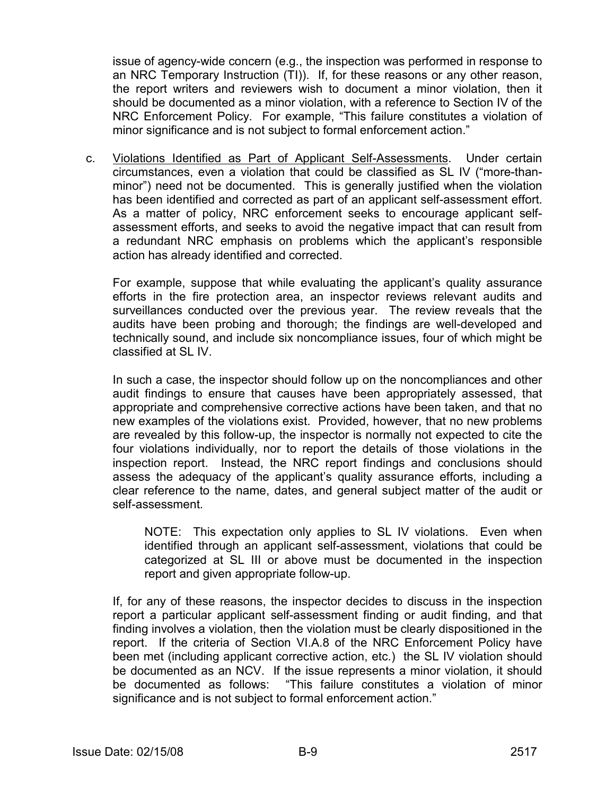issue of agency-wide concern (e.g., the inspection was performed in response to an NRC Temporary Instruction (TI)). If, for these reasons or any other reason, the report writers and reviewers wish to document a minor violation, then it should be documented as a minor violation, with a reference to Section IV of the NRC Enforcement Policy. For example, "This failure constitutes a violation of minor significance and is not subject to formal enforcement action."

 c. Violations Identified as Part of Applicant Self-Assessments. Under certain circumstances, even a violation that could be classified as SL IV ("more-thanminor") need not be documented. This is generally justified when the violation has been identified and corrected as part of an applicant self-assessment effort. As a matter of policy, NRC enforcement seeks to encourage applicant selfassessment efforts, and seeks to avoid the negative impact that can result from a redundant NRC emphasis on problems which the applicant's responsible action has already identified and corrected.

For example, suppose that while evaluating the applicant's quality assurance efforts in the fire protection area, an inspector reviews relevant audits and surveillances conducted over the previous year. The review reveals that the audits have been probing and thorough; the findings are well-developed and technically sound, and include six noncompliance issues, four of which might be classified at SL IV.

In such a case, the inspector should follow up on the noncompliances and other audit findings to ensure that causes have been appropriately assessed, that appropriate and comprehensive corrective actions have been taken, and that no new examples of the violations exist. Provided, however, that no new problems are revealed by this follow-up, the inspector is normally not expected to cite the four violations individually, nor to report the details of those violations in the inspection report. Instead, the NRC report findings and conclusions should assess the adequacy of the applicant's quality assurance efforts, including a clear reference to the name, dates, and general subject matter of the audit or self-assessment.

NOTE: This expectation only applies to SL IV violations. Even when identified through an applicant self-assessment, violations that could be categorized at SL III or above must be documented in the inspection report and given appropriate follow-up.

If, for any of these reasons, the inspector decides to discuss in the inspection report a particular applicant self-assessment finding or audit finding, and that finding involves a violation, then the violation must be clearly dispositioned in the report. If the criteria of Section VI.A.8 of the NRC Enforcement Policy have been met (including applicant corrective action, etc.) the SL IV violation should be documented as an NCV. If the issue represents a minor violation, it should be documented as follows: "This failure constitutes a violation of minor significance and is not subject to formal enforcement action."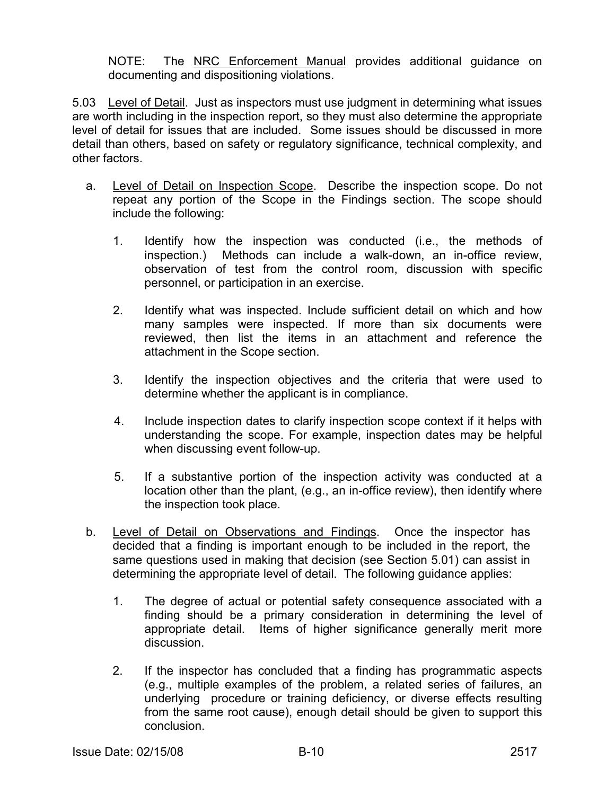NOTE: The NRC Enforcement Manual provides additional guidance on documenting and dispositioning violations.

5.03 Level of Detail. Just as inspectors must use judgment in determining what issues are worth including in the inspection report, so they must also determine the appropriate level of detail for issues that are included. Some issues should be discussed in more detail than others, based on safety or regulatory significance, technical complexity, and other factors.

- a. Level of Detail on Inspection Scope. Describe the inspection scope. Do not repeat any portion of the Scope in the Findings section. The scope should include the following:
	- 1. Identify how the inspection was conducted (i.e., the methods of inspection.) Methods can include a walk-down, an in-office review, observation of test from the control room, discussion with specific personnel, or participation in an exercise.
	- 2. Identify what was inspected. Include sufficient detail on which and how many samples were inspected. If more than six documents were reviewed, then list the items in an attachment and reference the attachment in the Scope section.
	- 3. Identify the inspection objectives and the criteria that were used to determine whether the applicant is in compliance.
	- 4. Include inspection dates to clarify inspection scope context if it helps with understanding the scope. For example, inspection dates may be helpful when discussing event follow-up.
	- 5. If a substantive portion of the inspection activity was conducted at a location other than the plant, (e.g., an in-office review), then identify where the inspection took place.
- b. Level of Detail on Observations and Findings. Once the inspector has decided that a finding is important enough to be included in the report, the same questions used in making that decision (see Section 5.01) can assist in determining the appropriate level of detail. The following guidance applies:
	- 1. The degree of actual or potential safety consequence associated with a finding should be a primary consideration in determining the level of appropriate detail. Items of higher significance generally merit more discussion.
	- 2. If the inspector has concluded that a finding has programmatic aspects (e.g., multiple examples of the problem, a related series of failures, an underlying procedure or training deficiency, or diverse effects resulting from the same root cause), enough detail should be given to support this conclusion.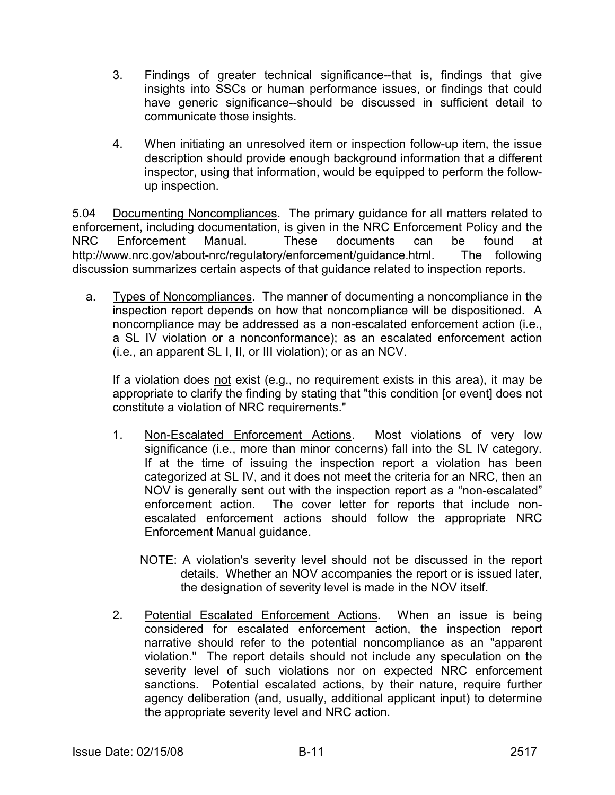- 3. Findings of greater technical significance--that is, findings that give insights into SSCs or human performance issues, or findings that could have generic significance--should be discussed in sufficient detail to communicate those insights.
- 4. When initiating an unresolved item or inspection follow-up item, the issue description should provide enough background information that a different inspector, using that information, would be equipped to perform the followup inspection.

5.04 Documenting Noncompliances. The primary guidance for all matters related to enforcement, including documentation, is given in the NRC Enforcement Policy and the NRC Enforcement Manual. These documents can be found at http://www.nrc.gov/about-nrc/regulatory/enforcement/guidance.html. The following discussion summarizes certain aspects of that guidance related to inspection reports.

 a. Types of Noncompliances. The manner of documenting a noncompliance in the inspection report depends on how that noncompliance will be dispositioned. A noncompliance may be addressed as a non-escalated enforcement action (i.e., a SL IV violation or a nonconformance); as an escalated enforcement action (i.e., an apparent SL I, II, or III violation); or as an NCV.

 If a violation does not exist (e.g., no requirement exists in this area), it may be appropriate to clarify the finding by stating that "this condition [or event] does not constitute a violation of NRC requirements."

- 1. Non-Escalated Enforcement Actions. Most violations of very low significance (i.e., more than minor concerns) fall into the SL IV category. If at the time of issuing the inspection report a violation has been categorized at SL IV, and it does not meet the criteria for an NRC, then an NOV is generally sent out with the inspection report as a "non-escalated" enforcement action. The cover letter for reports that include nonescalated enforcement actions should follow the appropriate NRC Enforcement Manual guidance.
	- NOTE: A violation's severity level should not be discussed in the report details. Whether an NOV accompanies the report or is issued later, the designation of severity level is made in the NOV itself.
- 2. Potential Escalated Enforcement Actions. When an issue is being considered for escalated enforcement action, the inspection report narrative should refer to the potential noncompliance as an "apparent violation." The report details should not include any speculation on the severity level of such violations nor on expected NRC enforcement sanctions. Potential escalated actions, by their nature, require further agency deliberation (and, usually, additional applicant input) to determine the appropriate severity level and NRC action.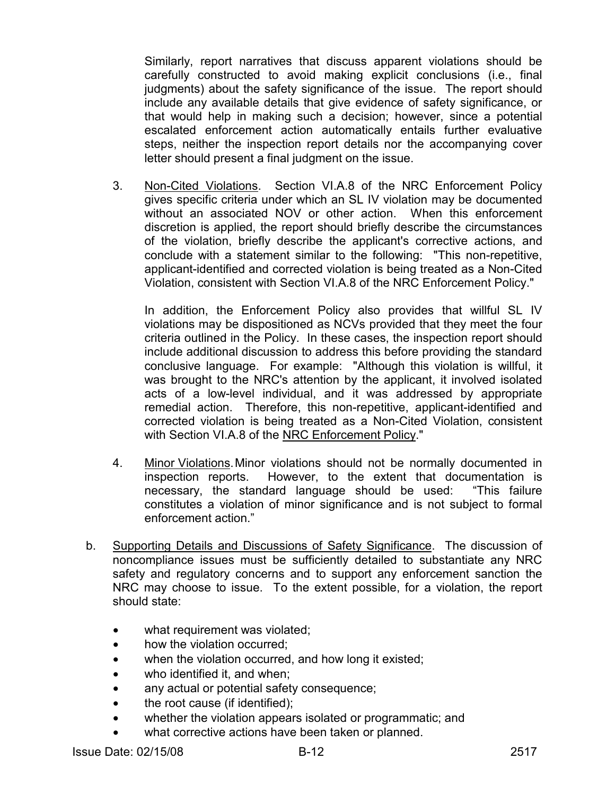Similarly, report narratives that discuss apparent violations should be carefully constructed to avoid making explicit conclusions (i.e., final judgments) about the safety significance of the issue. The report should include any available details that give evidence of safety significance, or that would help in making such a decision; however, since a potential escalated enforcement action automatically entails further evaluative steps, neither the inspection report details nor the accompanying cover letter should present a final judgment on the issue.

 3. Non-Cited Violations. Section VI.A.8 of the NRC Enforcement Policy gives specific criteria under which an SL IV violation may be documented without an associated NOV or other action. When this enforcement discretion is applied, the report should briefly describe the circumstances of the violation, briefly describe the applicant's corrective actions, and conclude with a statement similar to the following: "This non-repetitive, applicant-identified and corrected violation is being treated as a Non-Cited Violation, consistent with Section VI.A.8 of the NRC Enforcement Policy."

 In addition, the Enforcement Policy also provides that willful SL IV violations may be dispositioned as NCVs provided that they meet the four criteria outlined in the Policy. In these cases, the inspection report should include additional discussion to address this before providing the standard conclusive language. For example: "Although this violation is willful, it was brought to the NRC's attention by the applicant, it involved isolated acts of a low-level individual, and it was addressed by appropriate remedial action. Therefore, this non-repetitive, applicant-identified and corrected violation is being treated as a Non-Cited Violation, consistent with Section VI.A.8 of the NRC Enforcement Policy."

- 4. Minor Violations. Minor violations should not be normally documented in inspection reports. However, to the extent that documentation is necessary, the standard language should be used: "This failure constitutes a violation of minor significance and is not subject to formal enforcement action."
- b. Supporting Details and Discussions of Safety Significance. The discussion of noncompliance issues must be sufficiently detailed to substantiate any NRC safety and regulatory concerns and to support any enforcement sanction the NRC may choose to issue. To the extent possible, for a violation, the report should state:
	- what requirement was violated;
	- how the violation occurred;
	- when the violation occurred, and how long it existed;
	- who identified it, and when;
	- any actual or potential safety consequence;
	- the root cause (if identified);
	- whether the violation appears isolated or programmatic; and
	- what corrective actions have been taken or planned.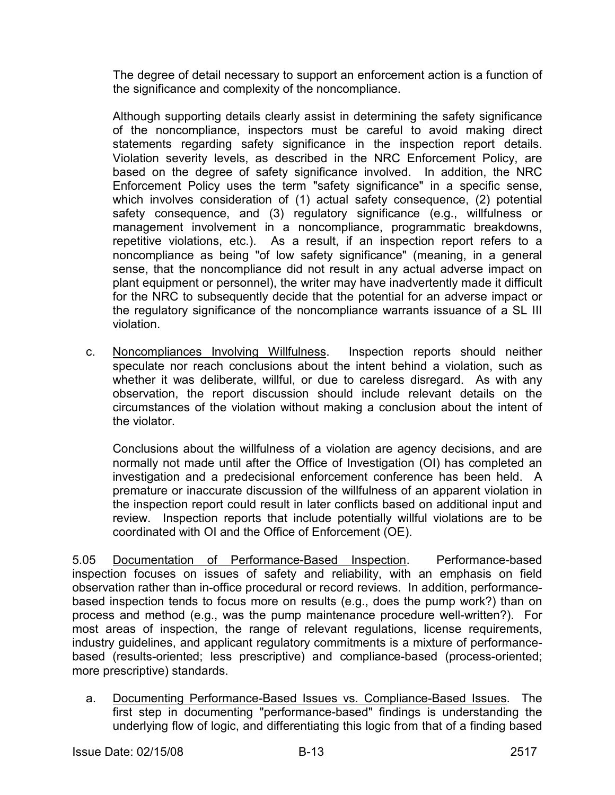The degree of detail necessary to support an enforcement action is a function of the significance and complexity of the noncompliance.

Although supporting details clearly assist in determining the safety significance of the noncompliance, inspectors must be careful to avoid making direct statements regarding safety significance in the inspection report details. Violation severity levels, as described in the NRC Enforcement Policy, are based on the degree of safety significance involved. In addition, the NRC Enforcement Policy uses the term "safety significance" in a specific sense, which involves consideration of (1) actual safety consequence, (2) potential safety consequence, and (3) regulatory significance (e.g., willfulness or management involvement in a noncompliance, programmatic breakdowns, repetitive violations, etc.). As a result, if an inspection report refers to a noncompliance as being "of low safety significance" (meaning, in a general sense, that the noncompliance did not result in any actual adverse impact on plant equipment or personnel), the writer may have inadvertently made it difficult for the NRC to subsequently decide that the potential for an adverse impact or the regulatory significance of the noncompliance warrants issuance of a SL III violation.

 c. Noncompliances Involving Willfulness. Inspection reports should neither speculate nor reach conclusions about the intent behind a violation, such as whether it was deliberate, willful, or due to careless disregard. As with any observation, the report discussion should include relevant details on the circumstances of the violation without making a conclusion about the intent of the violator.

Conclusions about the willfulness of a violation are agency decisions, and are normally not made until after the Office of Investigation (OI) has completed an investigation and a predecisional enforcement conference has been held. A premature or inaccurate discussion of the willfulness of an apparent violation in the inspection report could result in later conflicts based on additional input and review. Inspection reports that include potentially willful violations are to be coordinated with OI and the Office of Enforcement (OE).

5.05 Documentation of Performance-Based Inspection. Performance-based inspection focuses on issues of safety and reliability, with an emphasis on field observation rather than in-office procedural or record reviews. In addition, performancebased inspection tends to focus more on results (e.g., does the pump work?) than on process and method (e.g., was the pump maintenance procedure well-written?). For most areas of inspection, the range of relevant regulations, license requirements, industry guidelines, and applicant regulatory commitments is a mixture of performancebased (results-oriented; less prescriptive) and compliance-based (process-oriented; more prescriptive) standards.

 a. Documenting Performance-Based Issues vs. Compliance-Based Issues. The first step in documenting "performance-based" findings is understanding the underlying flow of logic, and differentiating this logic from that of a finding based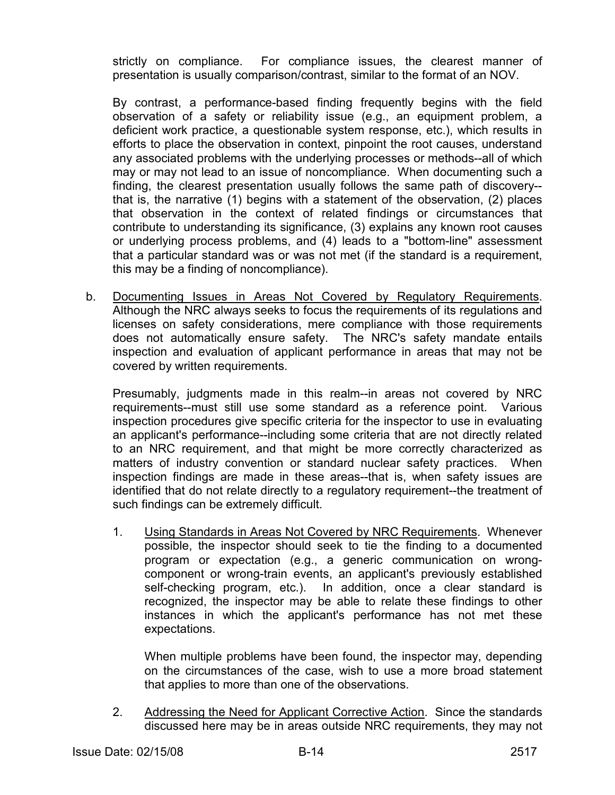strictly on compliance. For compliance issues, the clearest manner of presentation is usually comparison/contrast, similar to the format of an NOV.

 By contrast, a performance-based finding frequently begins with the field observation of a safety or reliability issue (e.g., an equipment problem, a deficient work practice, a questionable system response, etc.), which results in efforts to place the observation in context, pinpoint the root causes, understand any associated problems with the underlying processes or methods--all of which may or may not lead to an issue of noncompliance. When documenting such a finding, the clearest presentation usually follows the same path of discovery- that is, the narrative (1) begins with a statement of the observation, (2) places that observation in the context of related findings or circumstances that contribute to understanding its significance, (3) explains any known root causes or underlying process problems, and (4) leads to a "bottom-line" assessment that a particular standard was or was not met (if the standard is a requirement, this may be a finding of noncompliance).

 b. Documenting Issues in Areas Not Covered by Regulatory Requirements. Although the NRC always seeks to focus the requirements of its regulations and licenses on safety considerations, mere compliance with those requirements does not automatically ensure safety. The NRC's safety mandate entails inspection and evaluation of applicant performance in areas that may not be covered by written requirements.

Presumably, judgments made in this realm--in areas not covered by NRC requirements--must still use some standard as a reference point. Various inspection procedures give specific criteria for the inspector to use in evaluating an applicant's performance--including some criteria that are not directly related to an NRC requirement, and that might be more correctly characterized as matters of industry convention or standard nuclear safety practices. When inspection findings are made in these areas--that is, when safety issues are identified that do not relate directly to a regulatory requirement--the treatment of such findings can be extremely difficult.

 1. Using Standards in Areas Not Covered by NRC Requirements. Whenever possible, the inspector should seek to tie the finding to a documented program or expectation (e.g., a generic communication on wrongcomponent or wrong-train events, an applicant's previously established self-checking program, etc.). In addition, once a clear standard is recognized, the inspector may be able to relate these findings to other instances in which the applicant's performance has not met these expectations.

When multiple problems have been found, the inspector may, depending on the circumstances of the case, wish to use a more broad statement that applies to more than one of the observations.

 2. Addressing the Need for Applicant Corrective Action. Since the standards discussed here may be in areas outside NRC requirements, they may not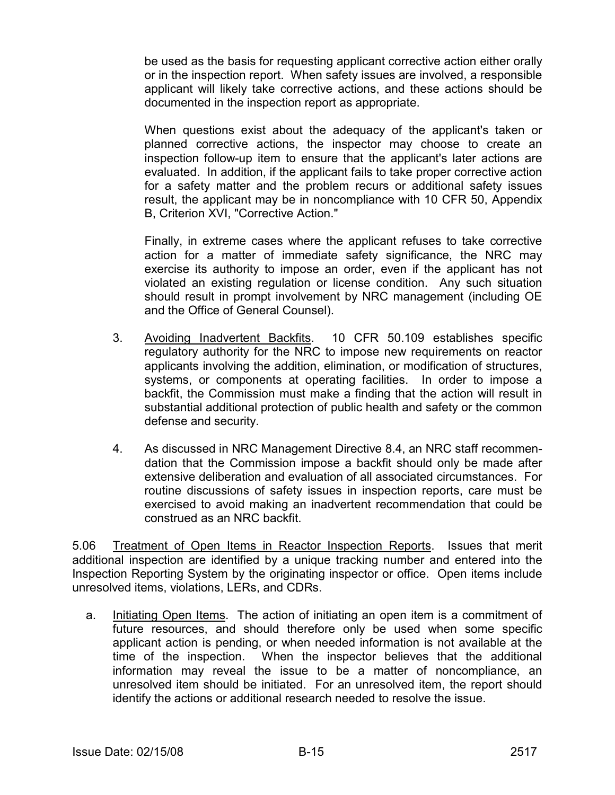be used as the basis for requesting applicant corrective action either orally or in the inspection report. When safety issues are involved, a responsible applicant will likely take corrective actions, and these actions should be documented in the inspection report as appropriate.

When questions exist about the adequacy of the applicant's taken or planned corrective actions, the inspector may choose to create an inspection follow-up item to ensure that the applicant's later actions are evaluated. In addition, if the applicant fails to take proper corrective action for a safety matter and the problem recurs or additional safety issues result, the applicant may be in noncompliance with 10 CFR 50, Appendix B, Criterion XVI, "Corrective Action."

Finally, in extreme cases where the applicant refuses to take corrective action for a matter of immediate safety significance, the NRC may exercise its authority to impose an order, even if the applicant has not violated an existing regulation or license condition. Any such situation should result in prompt involvement by NRC management (including OE and the Office of General Counsel).

- 3. Avoiding Inadvertent Backfits. 10 CFR 50.109 establishes specific regulatory authority for the NRC to impose new requirements on reactor applicants involving the addition, elimination, or modification of structures, systems, or components at operating facilities. In order to impose a backfit, the Commission must make a finding that the action will result in substantial additional protection of public health and safety or the common defense and security.
- 4. As discussed in NRC Management Directive 8.4, an NRC staff recommendation that the Commission impose a backfit should only be made after extensive deliberation and evaluation of all associated circumstances. For routine discussions of safety issues in inspection reports, care must be exercised to avoid making an inadvertent recommendation that could be construed as an NRC backfit.

5.06 Treatment of Open Items in Reactor Inspection Reports. Issues that merit additional inspection are identified by a unique tracking number and entered into the Inspection Reporting System by the originating inspector or office. Open items include unresolved items, violations, LERs, and CDRs.

 a. Initiating Open Items. The action of initiating an open item is a commitment of future resources, and should therefore only be used when some specific applicant action is pending, or when needed information is not available at the time of the inspection. When the inspector believes that the additional information may reveal the issue to be a matter of noncompliance, an unresolved item should be initiated. For an unresolved item, the report should identify the actions or additional research needed to resolve the issue.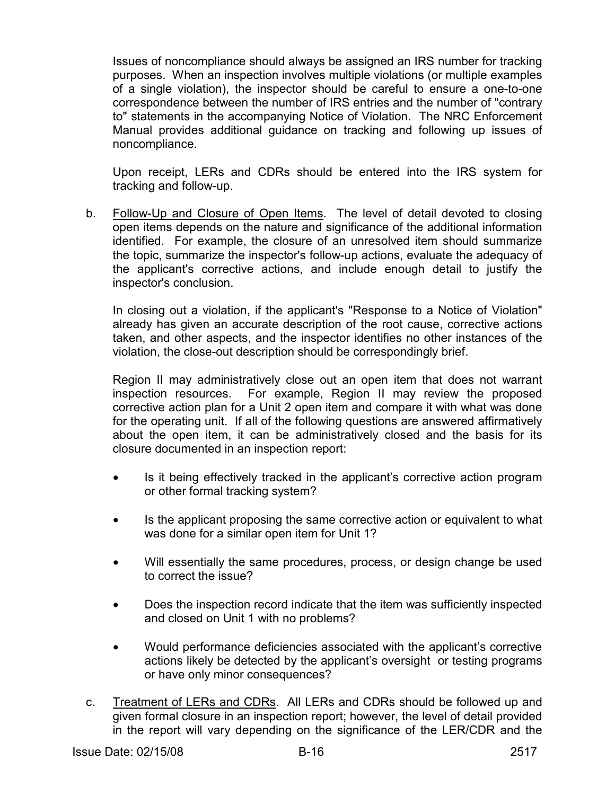Issues of noncompliance should always be assigned an IRS number for tracking purposes. When an inspection involves multiple violations (or multiple examples of a single violation), the inspector should be careful to ensure a one-to-one correspondence between the number of IRS entries and the number of "contrary to" statements in the accompanying Notice of Violation. The NRC Enforcement Manual provides additional guidance on tracking and following up issues of noncompliance.

Upon receipt, LERs and CDRs should be entered into the IRS system for tracking and follow-up.

 b. Follow-Up and Closure of Open Items. The level of detail devoted to closing open items depends on the nature and significance of the additional information identified. For example, the closure of an unresolved item should summarize the topic, summarize the inspector's follow-up actions, evaluate the adequacy of the applicant's corrective actions, and include enough detail to justify the inspector's conclusion.

In closing out a violation, if the applicant's "Response to a Notice of Violation" already has given an accurate description of the root cause, corrective actions taken, and other aspects, and the inspector identifies no other instances of the violation, the close-out description should be correspondingly brief.

Region II may administratively close out an open item that does not warrant inspection resources. For example, Region II may review the proposed corrective action plan for a Unit 2 open item and compare it with what was done for the operating unit. If all of the following questions are answered affirmatively about the open item, it can be administratively closed and the basis for its closure documented in an inspection report:

- Is it being effectively tracked in the applicant's corrective action program or other formal tracking system?
- Is the applicant proposing the same corrective action or equivalent to what was done for a similar open item for Unit 1?
- Will essentially the same procedures, process, or design change be used to correct the issue?
- Does the inspection record indicate that the item was sufficiently inspected and closed on Unit 1 with no problems?
- Would performance deficiencies associated with the applicant's corrective actions likely be detected by the applicant's oversight or testing programs or have only minor consequences?
- c. Treatment of LERs and CDRs. All LERs and CDRs should be followed up and given formal closure in an inspection report; however, the level of detail provided in the report will vary depending on the significance of the LER/CDR and the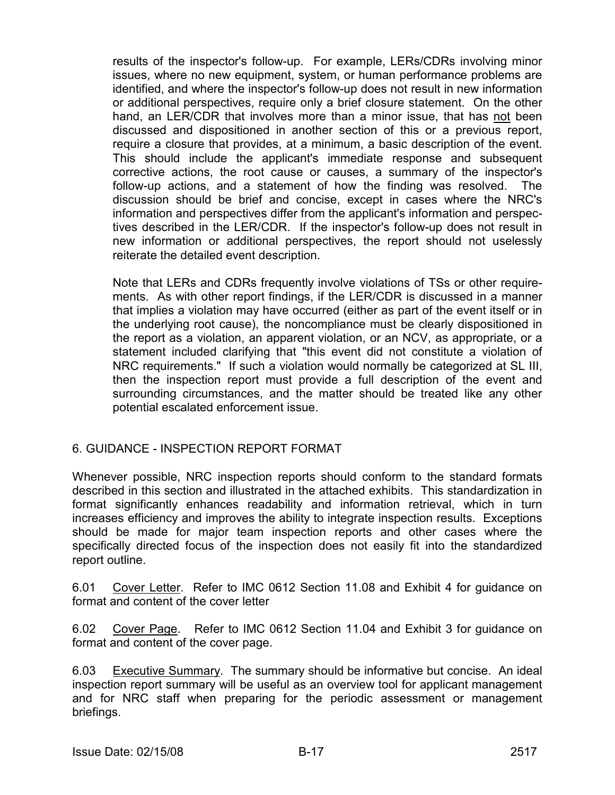results of the inspector's follow-up. For example, LERs/CDRs involving minor issues, where no new equipment, system, or human performance problems are identified, and where the inspector's follow-up does not result in new information or additional perspectives, require only a brief closure statement. On the other hand, an LER/CDR that involves more than a minor issue, that has not been discussed and dispositioned in another section of this or a previous report, require a closure that provides, at a minimum, a basic description of the event. This should include the applicant's immediate response and subsequent corrective actions, the root cause or causes, a summary of the inspector's follow-up actions, and a statement of how the finding was resolved. The discussion should be brief and concise, except in cases where the NRC's information and perspectives differ from the applicant's information and perspectives described in the LER/CDR. If the inspector's follow-up does not result in new information or additional perspectives, the report should not uselessly reiterate the detailed event description.

Note that LERs and CDRs frequently involve violations of TSs or other requirements. As with other report findings, if the LER/CDR is discussed in a manner that implies a violation may have occurred (either as part of the event itself or in the underlying root cause), the noncompliance must be clearly dispositioned in the report as a violation, an apparent violation, or an NCV, as appropriate, or a statement included clarifying that "this event did not constitute a violation of NRC requirements." If such a violation would normally be categorized at SL III, then the inspection report must provide a full description of the event and surrounding circumstances, and the matter should be treated like any other potential escalated enforcement issue.

## 6. GUIDANCE - INSPECTION REPORT FORMAT

Whenever possible, NRC inspection reports should conform to the standard formats described in this section and illustrated in the attached exhibits. This standardization in format significantly enhances readability and information retrieval, which in turn increases efficiency and improves the ability to integrate inspection results. Exceptions should be made for major team inspection reports and other cases where the specifically directed focus of the inspection does not easily fit into the standardized report outline.

6.01 Cover Letter. Refer to IMC 0612 Section 11.08 and Exhibit 4 for guidance on format and content of the cover letter

6.02 Cover Page. Refer to IMC 0612 Section 11.04 and Exhibit 3 for guidance on format and content of the cover page.

6.03 Executive Summary. The summary should be informative but concise. An ideal inspection report summary will be useful as an overview tool for applicant management and for NRC staff when preparing for the periodic assessment or management briefings.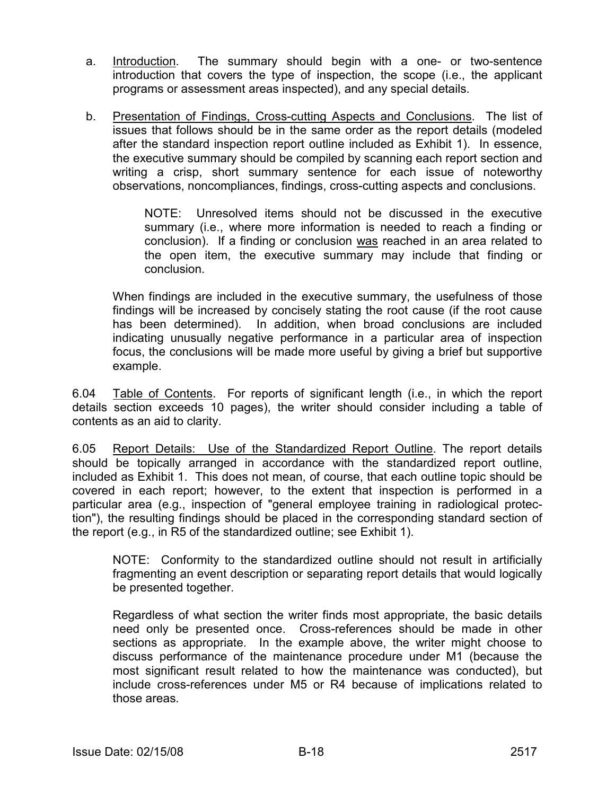- a. Introduction. The summary should begin with a one- or two-sentence introduction that covers the type of inspection, the scope (i.e., the applicant programs or assessment areas inspected), and any special details.
- b. Presentation of Findings, Cross-cutting Aspects and Conclusions. The list of issues that follows should be in the same order as the report details (modeled after the standard inspection report outline included as Exhibit 1). In essence, the executive summary should be compiled by scanning each report section and writing a crisp, short summary sentence for each issue of noteworthy observations, noncompliances, findings, cross-cutting aspects and conclusions.

NOTE: Unresolved items should not be discussed in the executive summary (i.e., where more information is needed to reach a finding or conclusion). If a finding or conclusion was reached in an area related to the open item, the executive summary may include that finding or conclusion.

When findings are included in the executive summary, the usefulness of those findings will be increased by concisely stating the root cause (if the root cause has been determined). In addition, when broad conclusions are included indicating unusually negative performance in a particular area of inspection focus, the conclusions will be made more useful by giving a brief but supportive example.

6.04 Table of Contents. For reports of significant length (i.e., in which the report details section exceeds 10 pages), the writer should consider including a table of contents as an aid to clarity.

6.05 Report Details: Use of the Standardized Report Outline. The report details should be topically arranged in accordance with the standardized report outline, included as Exhibit 1. This does not mean, of course, that each outline topic should be covered in each report; however, to the extent that inspection is performed in a particular area (e.g., inspection of "general employee training in radiological protection"), the resulting findings should be placed in the corresponding standard section of the report (e.g., in R5 of the standardized outline; see Exhibit 1).

NOTE: Conformity to the standardized outline should not result in artificially fragmenting an event description or separating report details that would logically be presented together.

Regardless of what section the writer finds most appropriate, the basic details need only be presented once. Cross-references should be made in other sections as appropriate. In the example above, the writer might choose to discuss performance of the maintenance procedure under M1 (because the most significant result related to how the maintenance was conducted), but include cross-references under M5 or R4 because of implications related to those areas.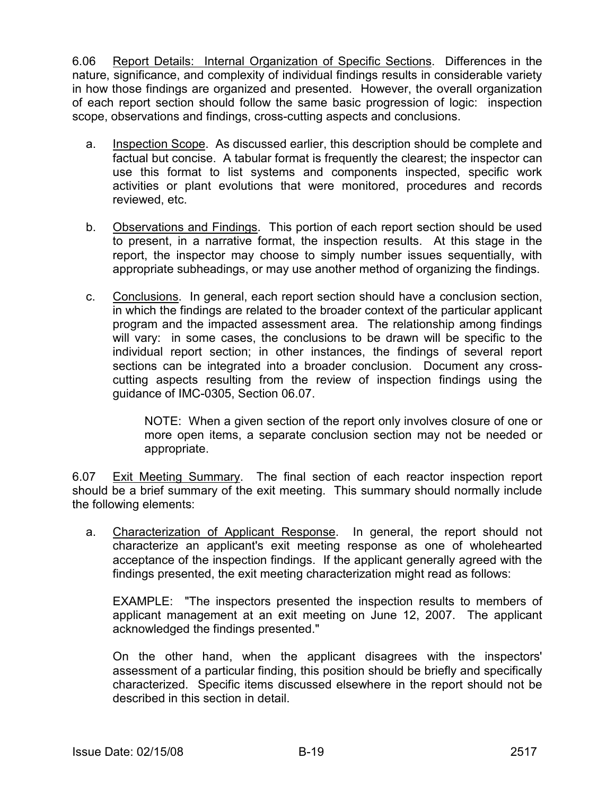6.06 Report Details: Internal Organization of Specific Sections. Differences in the nature, significance, and complexity of individual findings results in considerable variety in how those findings are organized and presented. However, the overall organization of each report section should follow the same basic progression of logic: inspection scope, observations and findings, cross-cutting aspects and conclusions.

- a. Inspection Scope. As discussed earlier, this description should be complete and factual but concise. A tabular format is frequently the clearest; the inspector can use this format to list systems and components inspected, specific work activities or plant evolutions that were monitored, procedures and records reviewed, etc.
- b. Observations and Findings. This portion of each report section should be used to present, in a narrative format, the inspection results. At this stage in the report, the inspector may choose to simply number issues sequentially, with appropriate subheadings, or may use another method of organizing the findings.
- c. Conclusions. In general, each report section should have a conclusion section, in which the findings are related to the broader context of the particular applicant program and the impacted assessment area. The relationship among findings will vary: in some cases, the conclusions to be drawn will be specific to the individual report section; in other instances, the findings of several report sections can be integrated into a broader conclusion. Document any crosscutting aspects resulting from the review of inspection findings using the guidance of IMC-0305, Section 06.07.

NOTE: When a given section of the report only involves closure of one or more open items, a separate conclusion section may not be needed or appropriate.

6.07 Exit Meeting Summary. The final section of each reactor inspection report should be a brief summary of the exit meeting. This summary should normally include the following elements:

 a. Characterization of Applicant Response. In general, the report should not characterize an applicant's exit meeting response as one of wholehearted acceptance of the inspection findings. If the applicant generally agreed with the findings presented, the exit meeting characterization might read as follows:

EXAMPLE: "The inspectors presented the inspection results to members of applicant management at an exit meeting on June 12, 2007. The applicant acknowledged the findings presented."

On the other hand, when the applicant disagrees with the inspectors' assessment of a particular finding, this position should be briefly and specifically characterized. Specific items discussed elsewhere in the report should not be described in this section in detail.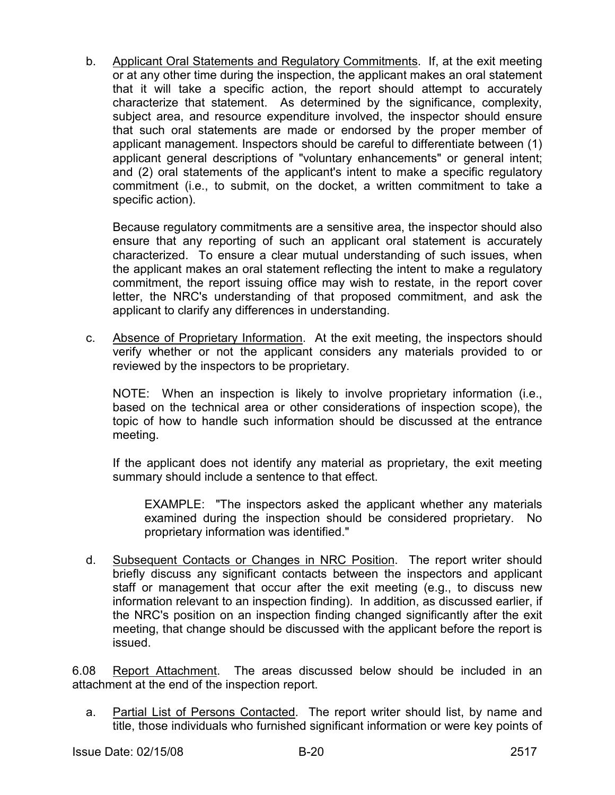b. Applicant Oral Statements and Regulatory Commitments. If, at the exit meeting or at any other time during the inspection, the applicant makes an oral statement that it will take a specific action, the report should attempt to accurately characterize that statement. As determined by the significance, complexity, subject area, and resource expenditure involved, the inspector should ensure that such oral statements are made or endorsed by the proper member of applicant management. Inspectors should be careful to differentiate between (1) applicant general descriptions of "voluntary enhancements" or general intent; and (2) oral statements of the applicant's intent to make a specific regulatory commitment (i.e., to submit, on the docket, a written commitment to take a specific action).

Because regulatory commitments are a sensitive area, the inspector should also ensure that any reporting of such an applicant oral statement is accurately characterized. To ensure a clear mutual understanding of such issues, when the applicant makes an oral statement reflecting the intent to make a regulatory commitment, the report issuing office may wish to restate, in the report cover letter, the NRC's understanding of that proposed commitment, and ask the applicant to clarify any differences in understanding.

 c. Absence of Proprietary Information. At the exit meeting, the inspectors should verify whether or not the applicant considers any materials provided to or reviewed by the inspectors to be proprietary.

 NOTE: When an inspection is likely to involve proprietary information (i.e., based on the technical area or other considerations of inspection scope), the topic of how to handle such information should be discussed at the entrance meeting.

 If the applicant does not identify any material as proprietary, the exit meeting summary should include a sentence to that effect.

 EXAMPLE: "The inspectors asked the applicant whether any materials examined during the inspection should be considered proprietary. No proprietary information was identified."

 d. Subsequent Contacts or Changes in NRC Position. The report writer should briefly discuss any significant contacts between the inspectors and applicant staff or management that occur after the exit meeting (e.g., to discuss new information relevant to an inspection finding). In addition, as discussed earlier, if the NRC's position on an inspection finding changed significantly after the exit meeting, that change should be discussed with the applicant before the report is issued.

6.08 Report Attachment. The areas discussed below should be included in an attachment at the end of the inspection report.

 a. Partial List of Persons Contacted. The report writer should list, by name and title, those individuals who furnished significant information or were key points of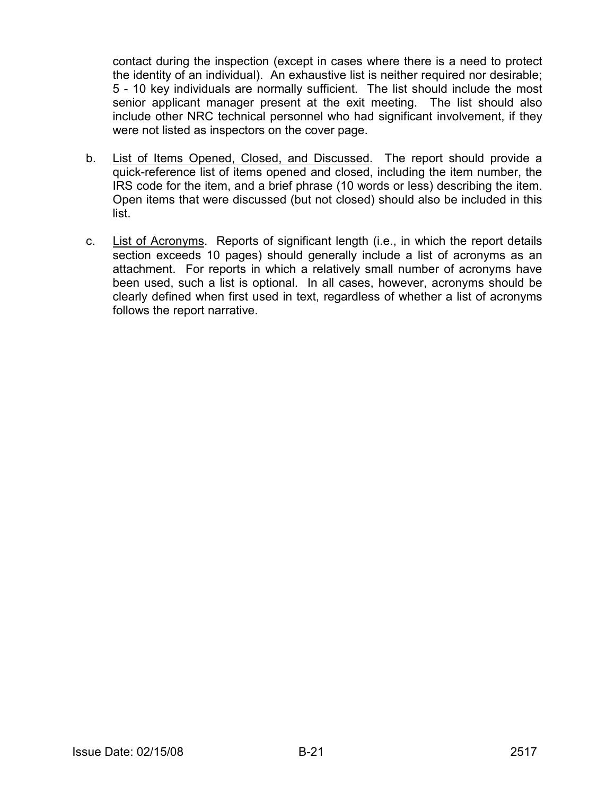contact during the inspection (except in cases where there is a need to protect the identity of an individual). An exhaustive list is neither required nor desirable; 5 - 10 key individuals are normally sufficient. The list should include the most senior applicant manager present at the exit meeting. The list should also include other NRC technical personnel who had significant involvement, if they were not listed as inspectors on the cover page.

- b. List of Items Opened, Closed, and Discussed. The report should provide a quick-reference list of items opened and closed, including the item number, the IRS code for the item, and a brief phrase (10 words or less) describing the item. Open items that were discussed (but not closed) should also be included in this list.
- c. List of Acronyms. Reports of significant length (i.e., in which the report details section exceeds 10 pages) should generally include a list of acronyms as an attachment. For reports in which a relatively small number of acronyms have been used, such a list is optional. In all cases, however, acronyms should be clearly defined when first used in text, regardless of whether a list of acronyms follows the report narrative.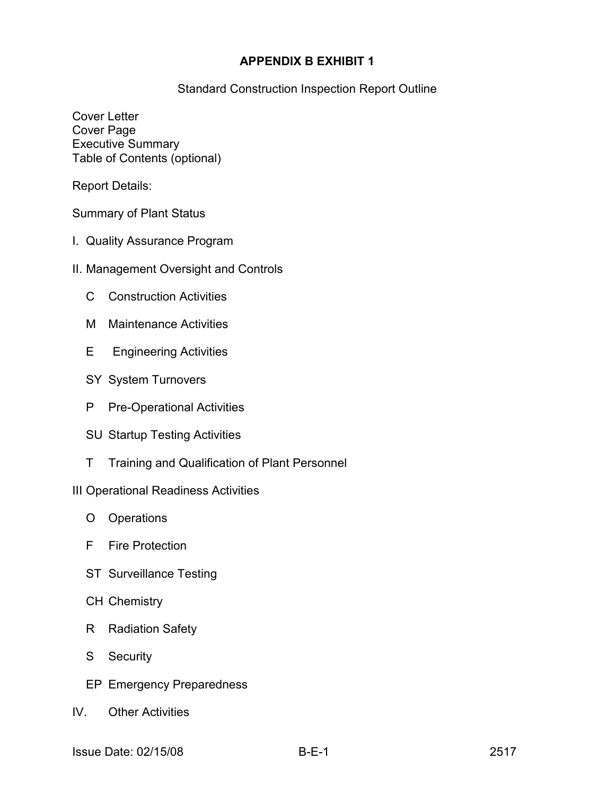### **APPENDIX B EXHIBIT 1**

Standard Construction Inspection Report Outline

Cover Letter Cover Page Executive Summary Table of Contents (optional)

Report Details:

Summary of Plant Status

- I. Quality Assurance Program
- II. Management Oversight and Controls
	- C Construction Activities
	- M Maintenance Activities
	- E Engineering Activities
	- SY System Turnovers
	- P Pre-Operational Activities
	- SU Startup Testing Activities
	- T Training and Qualification of Plant Personnel

#### III Operational Readiness Activities

- O Operations
- F Fire Protection
- ST Surveillance Testing
- CH Chemistry
- R Radiation Safety
- S Security
- EP Emergency Preparedness
- IV. Other Activities
- Issue Date: 02/15/08 B-E-1 2517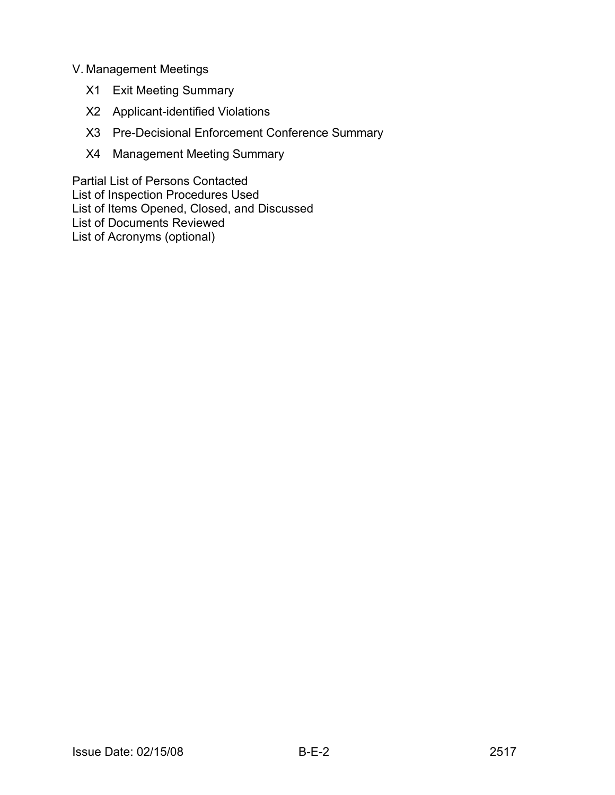## V. Management Meetings

- X1 Exit Meeting Summary
- X2 Applicant-identified Violations
- X3 Pre-Decisional Enforcement Conference Summary
- X4 Management Meeting Summary

Partial List of Persons Contacted List of Inspection Procedures Used List of Items Opened, Closed, and Discussed List of Documents Reviewed List of Acronyms (optional)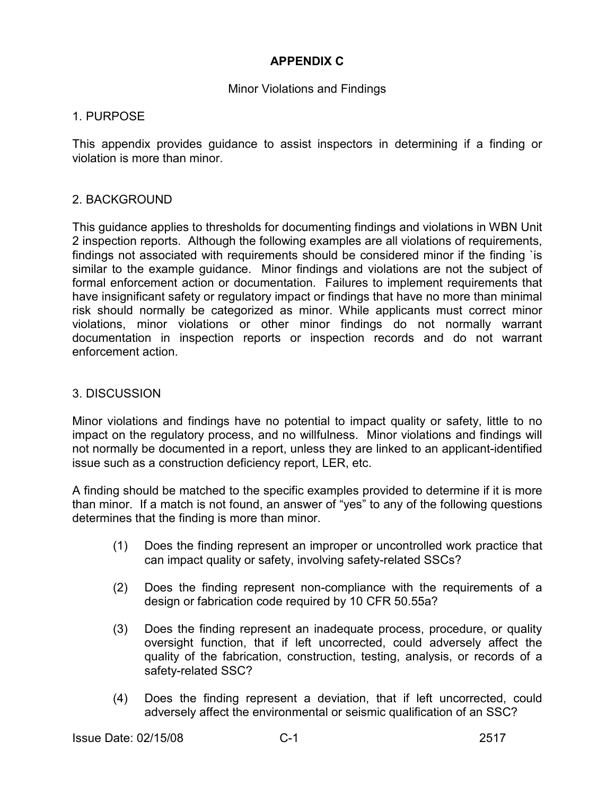## **APPENDIX C**

#### Minor Violations and Findings

#### 1. PURPOSE

This appendix provides guidance to assist inspectors in determining if a finding or violation is more than minor.

### 2. BACKGROUND

This guidance applies to thresholds for documenting findings and violations in WBN Unit 2 inspection reports. Although the following examples are all violations of requirements, findings not associated with requirements should be considered minor if the finding `is similar to the example guidance. Minor findings and violations are not the subject of formal enforcement action or documentation. Failures to implement requirements that have insignificant safety or regulatory impact or findings that have no more than minimal risk should normally be categorized as minor. While applicants must correct minor violations, minor violations or other minor findings do not normally warrant documentation in inspection reports or inspection records and do not warrant enforcement action.

#### 3. DISCUSSION

Minor violations and findings have no potential to impact quality or safety, little to no impact on the regulatory process, and no willfulness. Minor violations and findings will not normally be documented in a report, unless they are linked to an applicant-identified issue such as a construction deficiency report, LER, etc.

A finding should be matched to the specific examples provided to determine if it is more than minor. If a match is not found, an answer of "yes" to any of the following questions determines that the finding is more than minor.

- (1) Does the finding represent an improper or uncontrolled work practice that can impact quality or safety, involving safety-related SSCs?
- (2) Does the finding represent non-compliance with the requirements of a design or fabrication code required by 10 CFR 50.55a?
- (3) Does the finding represent an inadequate process, procedure, or quality oversight function, that if left uncorrected, could adversely affect the quality of the fabrication, construction, testing, analysis, or records of a safety-related SSC?
- (4) Does the finding represent a deviation, that if left uncorrected, could adversely affect the environmental or seismic qualification of an SSC?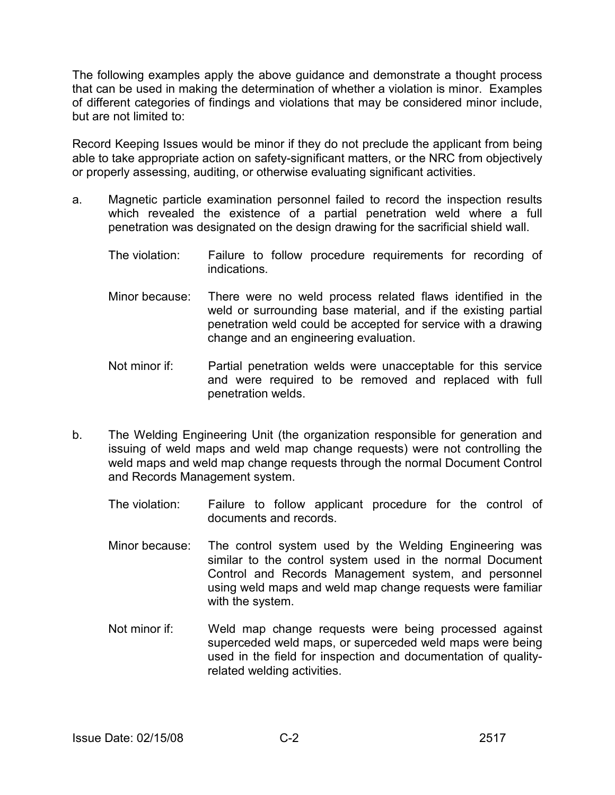The following examples apply the above guidance and demonstrate a thought process that can be used in making the determination of whether a violation is minor. Examples of different categories of findings and violations that may be considered minor include, but are not limited to:

Record Keeping Issues would be minor if they do not preclude the applicant from being able to take appropriate action on safety-significant matters, or the NRC from objectively or properly assessing, auditing, or otherwise evaluating significant activities.

- a. Magnetic particle examination personnel failed to record the inspection results which revealed the existence of a partial penetration weld where a full penetration was designated on the design drawing for the sacrificial shield wall.
	- The violation: Failure to follow procedure requirements for recording of indications.
	- Minor because: There were no weld process related flaws identified in the weld or surrounding base material, and if the existing partial penetration weld could be accepted for service with a drawing change and an engineering evaluation.
	- Not minor if: Partial penetration welds were unacceptable for this service and were required to be removed and replaced with full penetration welds.
- b. The Welding Engineering Unit (the organization responsible for generation and issuing of weld maps and weld map change requests) were not controlling the weld maps and weld map change requests through the normal Document Control and Records Management system.
	- The violation: Failure to follow applicant procedure for the control of documents and records.
	- Minor because: The control system used by the Welding Engineering was similar to the control system used in the normal Document Control and Records Management system, and personnel using weld maps and weld map change requests were familiar with the system.
	- Not minor if: Weld map change requests were being processed against superceded weld maps, or superceded weld maps were being used in the field for inspection and documentation of qualityrelated welding activities.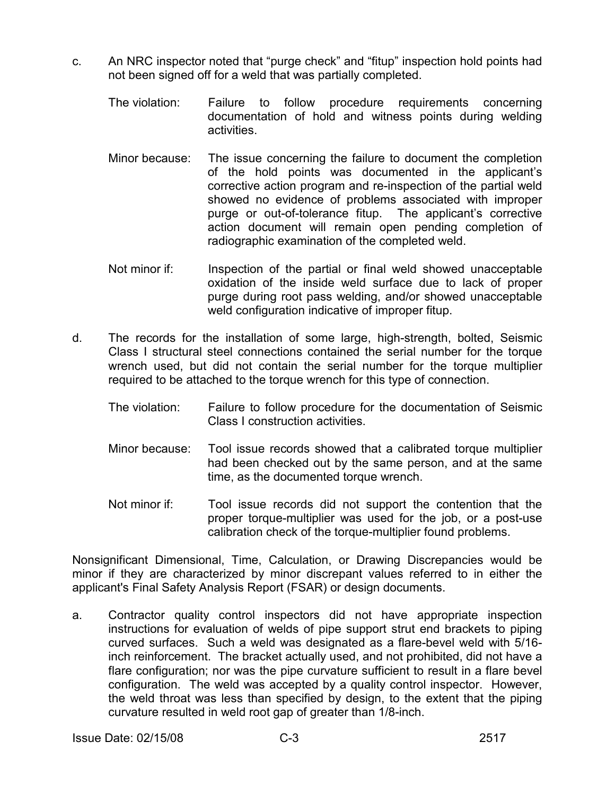- c. An NRC inspector noted that "purge check" and "fitup" inspection hold points had not been signed off for a weld that was partially completed.
	- The violation: Failure to follow procedure requirements concerning documentation of hold and witness points during welding activities.
	- Minor because: The issue concerning the failure to document the completion of the hold points was documented in the applicant's corrective action program and re-inspection of the partial weld showed no evidence of problems associated with improper purge or out-of-tolerance fitup. The applicant's corrective action document will remain open pending completion of radiographic examination of the completed weld.
	- Not minor if: Inspection of the partial or final weld showed unacceptable oxidation of the inside weld surface due to lack of proper purge during root pass welding, and/or showed unacceptable weld configuration indicative of improper fitup.
- d. The records for the installation of some large, high-strength, bolted, Seismic Class I structural steel connections contained the serial number for the torque wrench used, but did not contain the serial number for the torque multiplier required to be attached to the torque wrench for this type of connection.
	- The violation: Failure to follow procedure for the documentation of Seismic Class I construction activities.
	- Minor because: Tool issue records showed that a calibrated torque multiplier had been checked out by the same person, and at the same time, as the documented torque wrench.
	- Not minor if: Tool issue records did not support the contention that the proper torque-multiplier was used for the job, or a post-use calibration check of the torque-multiplier found problems.

Nonsignificant Dimensional, Time, Calculation, or Drawing Discrepancies would be minor if they are characterized by minor discrepant values referred to in either the applicant's Final Safety Analysis Report (FSAR) or design documents.

a. Contractor quality control inspectors did not have appropriate inspection instructions for evaluation of welds of pipe support strut end brackets to piping curved surfaces. Such a weld was designated as a flare-bevel weld with 5/16 inch reinforcement. The bracket actually used, and not prohibited, did not have a flare configuration; nor was the pipe curvature sufficient to result in a flare bevel configuration. The weld was accepted by a quality control inspector. However, the weld throat was less than specified by design, to the extent that the piping curvature resulted in weld root gap of greater than 1/8-inch.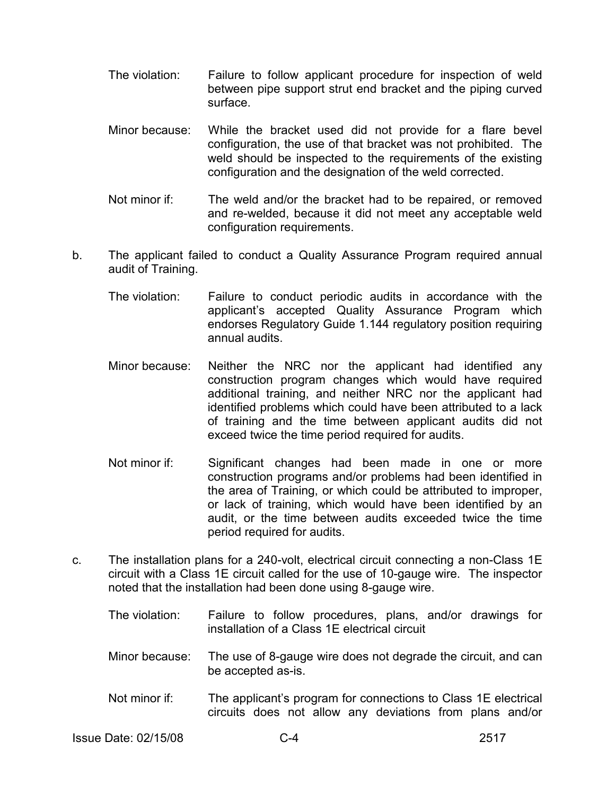- The violation: Failure to follow applicant procedure for inspection of weld between pipe support strut end bracket and the piping curved surface.
- Minor because: While the bracket used did not provide for a flare bevel configuration, the use of that bracket was not prohibited. The weld should be inspected to the requirements of the existing configuration and the designation of the weld corrected.
- Not minor if: The weld and/or the bracket had to be repaired, or removed and re-welded, because it did not meet any acceptable weld configuration requirements.
- b. The applicant failed to conduct a Quality Assurance Program required annual audit of Training.
	- The violation: Failure to conduct periodic audits in accordance with the applicant's accepted Quality Assurance Program which endorses Regulatory Guide 1.144 regulatory position requiring annual audits.
	- Minor because: Neither the NRC nor the applicant had identified any construction program changes which would have required additional training, and neither NRC nor the applicant had identified problems which could have been attributed to a lack of training and the time between applicant audits did not exceed twice the time period required for audits.
	- Not minor if: Significant changes had been made in one or more construction programs and/or problems had been identified in the area of Training, or which could be attributed to improper, or lack of training, which would have been identified by an audit, or the time between audits exceeded twice the time period required for audits.
- c. The installation plans for a 240-volt, electrical circuit connecting a non-Class 1E circuit with a Class 1E circuit called for the use of 10-gauge wire. The inspector noted that the installation had been done using 8-gauge wire.
	- The violation: Failure to follow procedures, plans, and/or drawings for installation of a Class 1E electrical circuit
	- Minor because: The use of 8-gauge wire does not degrade the circuit, and can be accepted as-is.
	- Not minor if: The applicant's program for connections to Class 1E electrical circuits does not allow any deviations from plans and/or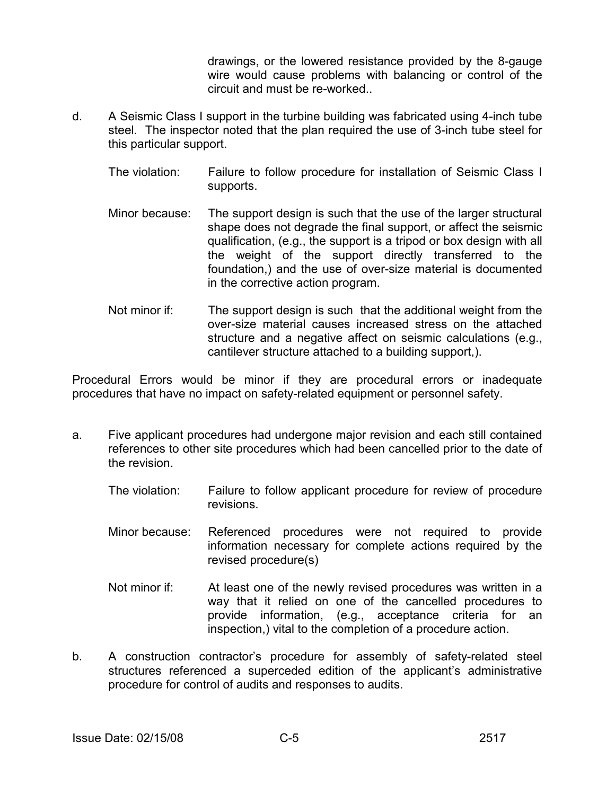drawings, or the lowered resistance provided by the 8-gauge wire would cause problems with balancing or control of the circuit and must be re-worked..

- d. A Seismic Class I support in the turbine building was fabricated using 4-inch tube steel. The inspector noted that the plan required the use of 3-inch tube steel for this particular support.
	- The violation: Failure to follow procedure for installation of Seismic Class I supports.
	- Minor because: The support design is such that the use of the larger structural shape does not degrade the final support, or affect the seismic qualification, (e.g., the support is a tripod or box design with all the weight of the support directly transferred to the foundation,) and the use of over-size material is documented in the corrective action program.
	- Not minor if: The support design is such that the additional weight from the over-size material causes increased stress on the attached structure and a negative affect on seismic calculations (e.g., cantilever structure attached to a building support,).

Procedural Errors would be minor if they are procedural errors or inadequate procedures that have no impact on safety-related equipment or personnel safety.

- a. Five applicant procedures had undergone major revision and each still contained references to other site procedures which had been cancelled prior to the date of the revision.
	- The violation: Failure to follow applicant procedure for review of procedure revisions.
	- Minor because: Referenced procedures were not required to provide information necessary for complete actions required by the revised procedure(s)
	- Not minor if: At least one of the newly revised procedures was written in a way that it relied on one of the cancelled procedures to provide information, (e.g., acceptance criteria for an inspection,) vital to the completion of a procedure action.
- b. A construction contractor's procedure for assembly of safety-related steel structures referenced a superceded edition of the applicant's administrative procedure for control of audits and responses to audits.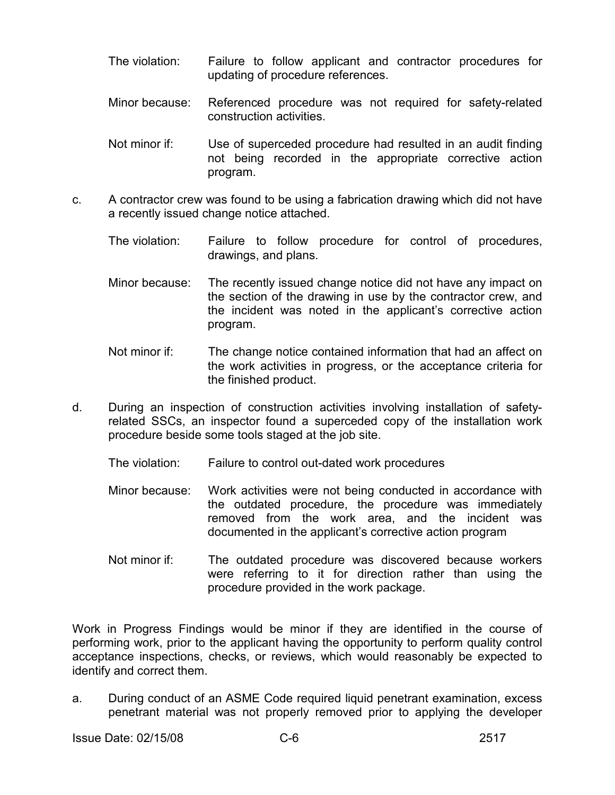- The violation: Failure to follow applicant and contractor procedures for updating of procedure references.
- Minor because: Referenced procedure was not required for safety-related construction activities.
- Not minor if: Use of superceded procedure had resulted in an audit finding not being recorded in the appropriate corrective action program.
- c. A contractor crew was found to be using a fabrication drawing which did not have a recently issued change notice attached.
	- The violation: Failure to follow procedure for control of procedures, drawings, and plans.
	- Minor because: The recently issued change notice did not have any impact on the section of the drawing in use by the contractor crew, and the incident was noted in the applicant's corrective action program.
	- Not minor if: The change notice contained information that had an affect on the work activities in progress, or the acceptance criteria for the finished product.
- d. During an inspection of construction activities involving installation of safetyrelated SSCs, an inspector found a superceded copy of the installation work procedure beside some tools staged at the job site.
	- The violation: Failure to control out-dated work procedures
	- Minor because: Work activities were not being conducted in accordance with the outdated procedure, the procedure was immediately removed from the work area, and the incident was documented in the applicant's corrective action program
	- Not minor if: The outdated procedure was discovered because workers were referring to it for direction rather than using the procedure provided in the work package.

Work in Progress Findings would be minor if they are identified in the course of performing work, prior to the applicant having the opportunity to perform quality control acceptance inspections, checks, or reviews, which would reasonably be expected to identify and correct them.

a. During conduct of an ASME Code required liquid penetrant examination, excess penetrant material was not properly removed prior to applying the developer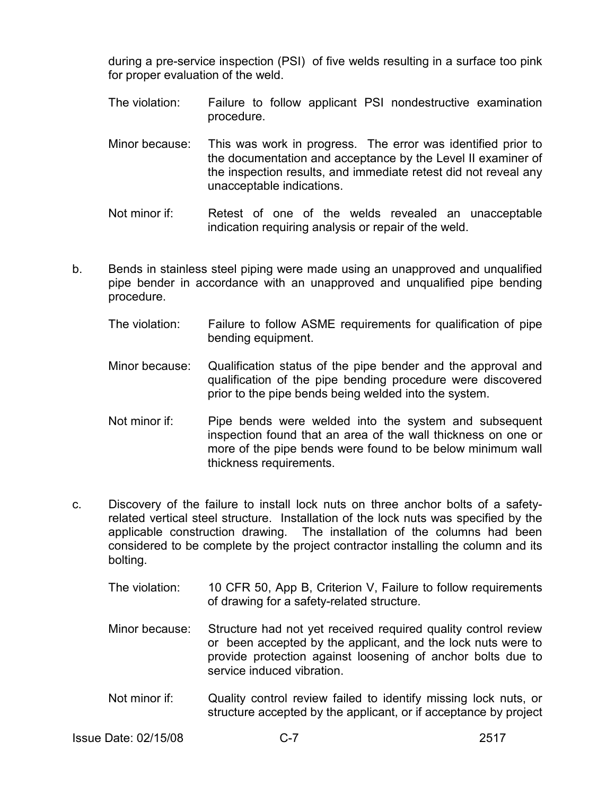during a pre-service inspection (PSI) of five welds resulting in a surface too pink for proper evaluation of the weld.

- The violation: Failure to follow applicant PSI nondestructive examination procedure.
- Minor because: This was work in progress. The error was identified prior to the documentation and acceptance by the Level II examiner of the inspection results, and immediate retest did not reveal any unacceptable indications.
- Not minor if: Retest of one of the welds revealed an unacceptable indication requiring analysis or repair of the weld.
- b. Bends in stainless steel piping were made using an unapproved and unqualified pipe bender in accordance with an unapproved and unqualified pipe bending procedure.
	- The violation: Failure to follow ASME requirements for qualification of pipe bending equipment.
	- Minor because: Qualification status of the pipe bender and the approval and qualification of the pipe bending procedure were discovered prior to the pipe bends being welded into the system.
	- Not minor if: Pipe bends were welded into the system and subsequent inspection found that an area of the wall thickness on one or more of the pipe bends were found to be below minimum wall thickness requirements.
- c. Discovery of the failure to install lock nuts on three anchor bolts of a safetyrelated vertical steel structure. Installation of the lock nuts was specified by the applicable construction drawing. The installation of the columns had been considered to be complete by the project contractor installing the column and its bolting.
	- The violation: 10 CFR 50, App B, Criterion V, Failure to follow requirements of drawing for a safety-related structure.
	- Minor because: Structure had not yet received required quality control review or been accepted by the applicant, and the lock nuts were to provide protection against loosening of anchor bolts due to service induced vibration
	- Not minor if: Quality control review failed to identify missing lock nuts, or structure accepted by the applicant, or if acceptance by project

Issue Date: 02/15/08 C-7 2517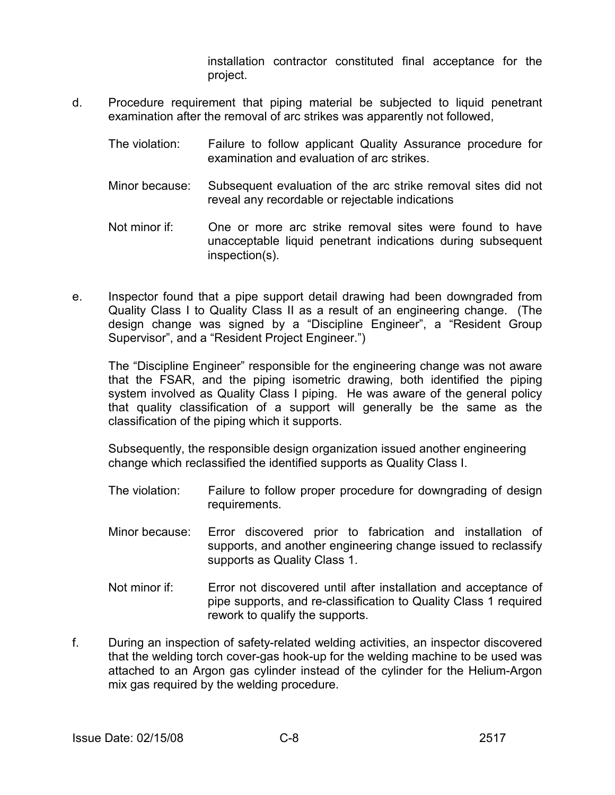installation contractor constituted final acceptance for the project.

- d. Procedure requirement that piping material be subjected to liquid penetrant examination after the removal of arc strikes was apparently not followed,
	- The violation: Failure to follow applicant Quality Assurance procedure for examination and evaluation of arc strikes.
	- Minor because: Subsequent evaluation of the arc strike removal sites did not reveal any recordable or rejectable indications
	- Not minor if: One or more arc strike removal sites were found to have unacceptable liquid penetrant indications during subsequent inspection(s).
- e. Inspector found that a pipe support detail drawing had been downgraded from Quality Class I to Quality Class II as a result of an engineering change. (The design change was signed by a "Discipline Engineer", a "Resident Group Supervisor", and a "Resident Project Engineer.")

The "Discipline Engineer" responsible for the engineering change was not aware that the FSAR, and the piping isometric drawing, both identified the piping system involved as Quality Class I piping. He was aware of the general policy that quality classification of a support will generally be the same as the classification of the piping which it supports.

Subsequently, the responsible design organization issued another engineering change which reclassified the identified supports as Quality Class I.

- The violation: Failure to follow proper procedure for downgrading of design requirements.
- Minor because: Error discovered prior to fabrication and installation of supports, and another engineering change issued to reclassify supports as Quality Class 1.
- Not minor if: Error not discovered until after installation and acceptance of pipe supports, and re-classification to Quality Class 1 required rework to qualify the supports.
- f. During an inspection of safety-related welding activities, an inspector discovered that the welding torch cover-gas hook-up for the welding machine to be used was attached to an Argon gas cylinder instead of the cylinder for the Helium-Argon mix gas required by the welding procedure.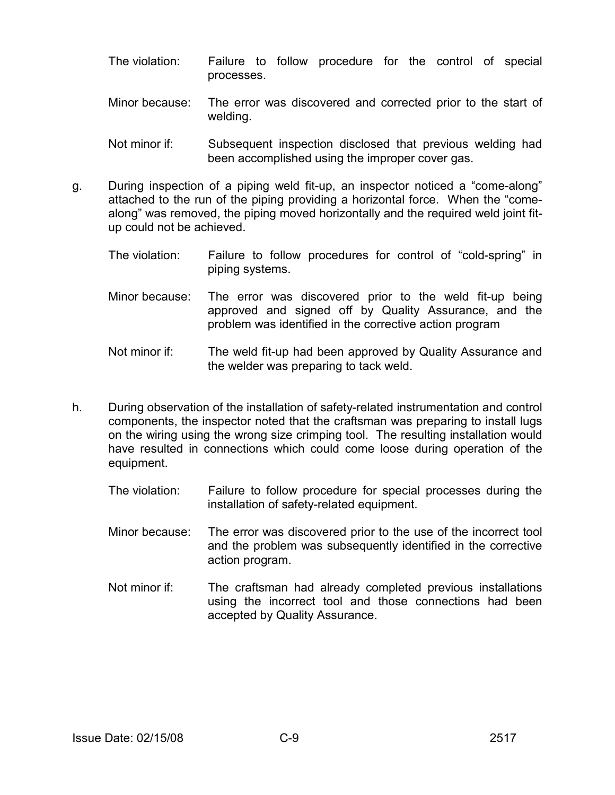- The violation: Failure to follow procedure for the control of special processes.
- Minor because: The error was discovered and corrected prior to the start of welding.
- Not minor if: Subsequent inspection disclosed that previous welding had been accomplished using the improper cover gas.
- g. During inspection of a piping weld fit-up, an inspector noticed a "come-along" attached to the run of the piping providing a horizontal force. When the "comealong" was removed, the piping moved horizontally and the required weld joint fitup could not be achieved.
	- The violation: Failure to follow procedures for control of "cold-spring" in piping systems.
	- Minor because: The error was discovered prior to the weld fit-up being approved and signed off by Quality Assurance, and the problem was identified in the corrective action program
	- Not minor if: The weld fit-up had been approved by Quality Assurance and the welder was preparing to tack weld.
- h. During observation of the installation of safety-related instrumentation and control components, the inspector noted that the craftsman was preparing to install lugs on the wiring using the wrong size crimping tool. The resulting installation would have resulted in connections which could come loose during operation of the equipment.
	- The violation: Failure to follow procedure for special processes during the installation of safety-related equipment.
	- Minor because: The error was discovered prior to the use of the incorrect tool and the problem was subsequently identified in the corrective action program.
	- Not minor if: The craftsman had already completed previous installations using the incorrect tool and those connections had been accepted by Quality Assurance.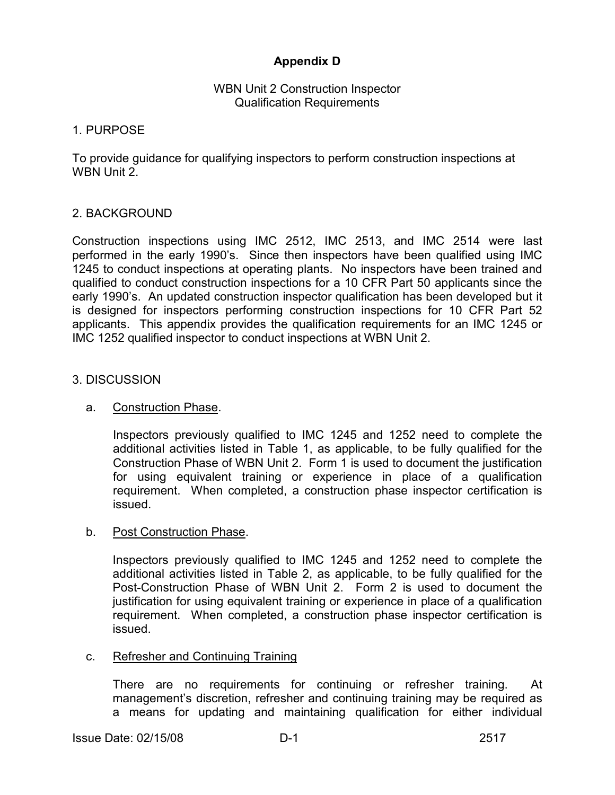## **Appendix D**

### WBN Unit 2 Construction Inspector Qualification Requirements

### 1. PURPOSE

To provide guidance for qualifying inspectors to perform construction inspections at WBN Unit 2.

### 2. BACKGROUND

Construction inspections using IMC 2512, IMC 2513, and IMC 2514 were last performed in the early 1990's. Since then inspectors have been qualified using IMC 1245 to conduct inspections at operating plants. No inspectors have been trained and qualified to conduct construction inspections for a 10 CFR Part 50 applicants since the early 1990's. An updated construction inspector qualification has been developed but it is designed for inspectors performing construction inspections for 10 CFR Part 52 applicants. This appendix provides the qualification requirements for an IMC 1245 or IMC 1252 qualified inspector to conduct inspections at WBN Unit 2.

#### 3. DISCUSSION

### a. Construction Phase.

 Inspectors previously qualified to IMC 1245 and 1252 need to complete the additional activities listed in Table 1, as applicable, to be fully qualified for the Construction Phase of WBN Unit 2. Form 1 is used to document the justification for using equivalent training or experience in place of a qualification requirement. When completed, a construction phase inspector certification is issued.

#### b. Post Construction Phase.

 Inspectors previously qualified to IMC 1245 and 1252 need to complete the additional activities listed in Table 2, as applicable, to be fully qualified for the Post-Construction Phase of WBN Unit 2. Form 2 is used to document the justification for using equivalent training or experience in place of a qualification requirement. When completed, a construction phase inspector certification is issued.

#### c. Refresher and Continuing Training

There are no requirements for continuing or refresher training. At management's discretion, refresher and continuing training may be required as a means for updating and maintaining qualification for either individual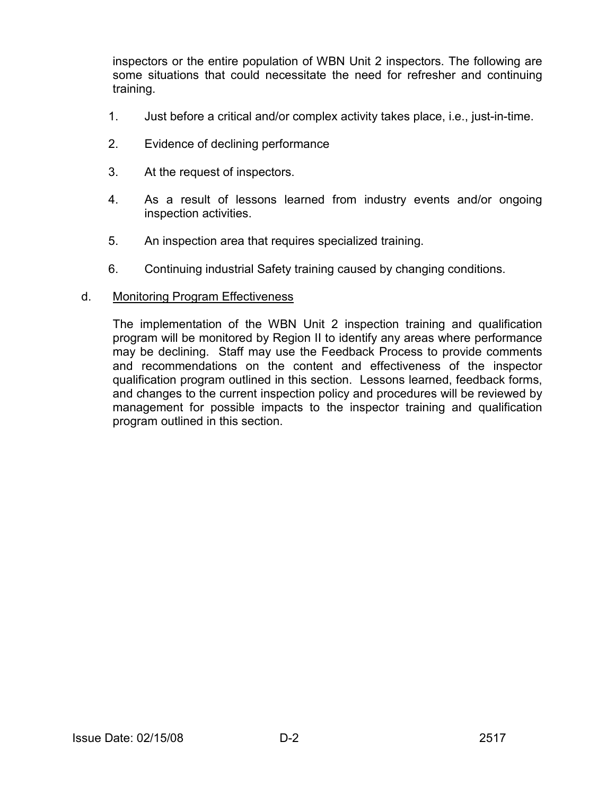inspectors or the entire population of WBN Unit 2 inspectors. The following are some situations that could necessitate the need for refresher and continuing training.

- 1. Just before a critical and/or complex activity takes place, i.e., just-in-time.
- 2. Evidence of declining performance
- 3. At the request of inspectors.
- 4. As a result of lessons learned from industry events and/or ongoing inspection activities.
- 5. An inspection area that requires specialized training.
- 6. Continuing industrial Safety training caused by changing conditions.

### d. Monitoring Program Effectiveness

The implementation of the WBN Unit 2 inspection training and qualification program will be monitored by Region II to identify any areas where performance may be declining. Staff may use the Feedback Process to provide comments and recommendations on the content and effectiveness of the inspector qualification program outlined in this section. Lessons learned, feedback forms, and changes to the current inspection policy and procedures will be reviewed by management for possible impacts to the inspector training and qualification program outlined in this section.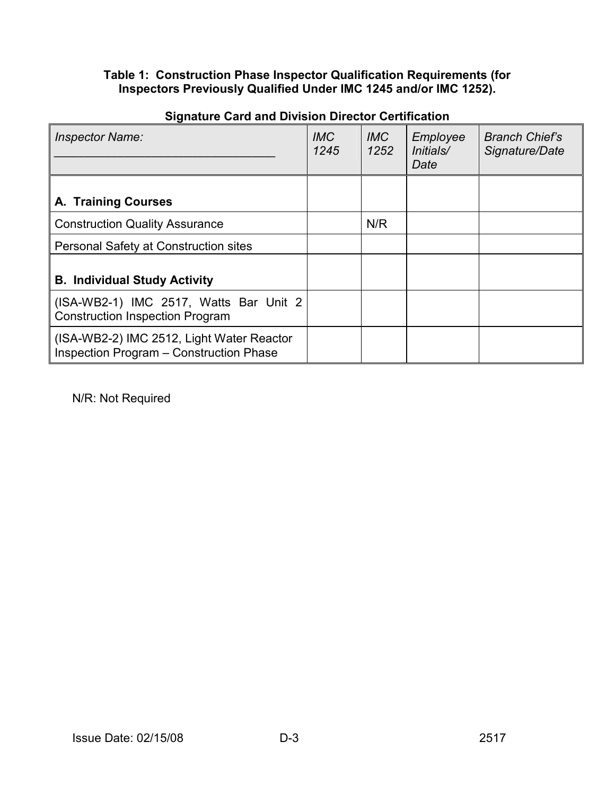### **Table 1: Construction Phase Inspector Qualification Requirements (for Inspectors Previously Qualified Under IMC 1245 and/or IMC 1252).**

| <b>Inspector Name:</b>                                                                      | <b>IMC</b><br>1245 | <b>IMC</b><br>1252 | Employee<br>Initials/<br>Date | <b>Branch Chief's</b><br>Signature/Date |
|---------------------------------------------------------------------------------------------|--------------------|--------------------|-------------------------------|-----------------------------------------|
|                                                                                             |                    |                    |                               |                                         |
| <b>A. Training Courses</b>                                                                  |                    |                    |                               |                                         |
| <b>Construction Quality Assurance</b>                                                       |                    | N/R                |                               |                                         |
| Personal Safety at Construction sites                                                       |                    |                    |                               |                                         |
| <b>B. Individual Study Activity</b>                                                         |                    |                    |                               |                                         |
| (ISA-WB2-1) IMC 2517, Watts Bar Unit 2<br><b>Construction Inspection Program</b>            |                    |                    |                               |                                         |
| (ISA-WB2-2) IMC 2512, Light Water Reactor<br><b>Inspection Program - Construction Phase</b> |                    |                    |                               |                                         |

## **Signature Card and Division Director Certification**

N/R: Not Required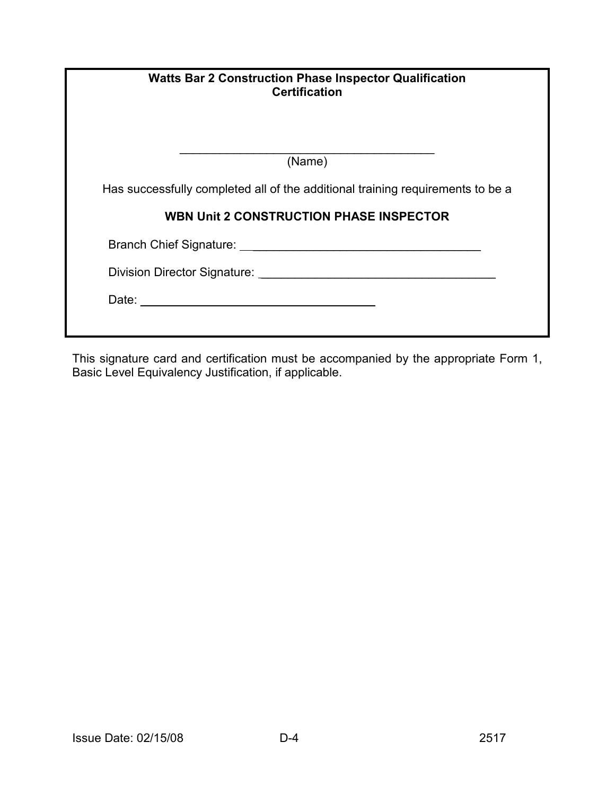| <b>Watts Bar 2 Construction Phase Inspector Qualification</b><br><b>Certification</b> |  |  |
|---------------------------------------------------------------------------------------|--|--|
| $\overline{\text{(Name)}}$                                                            |  |  |
| Has successfully completed all of the additional training requirements to be a        |  |  |
| <b>WBN Unit 2 CONSTRUCTION PHASE INSPECTOR</b>                                        |  |  |
|                                                                                       |  |  |
|                                                                                       |  |  |
|                                                                                       |  |  |

This signature card and certification must be accompanied by the appropriate Form 1, Basic Level Equivalency Justification, if applicable.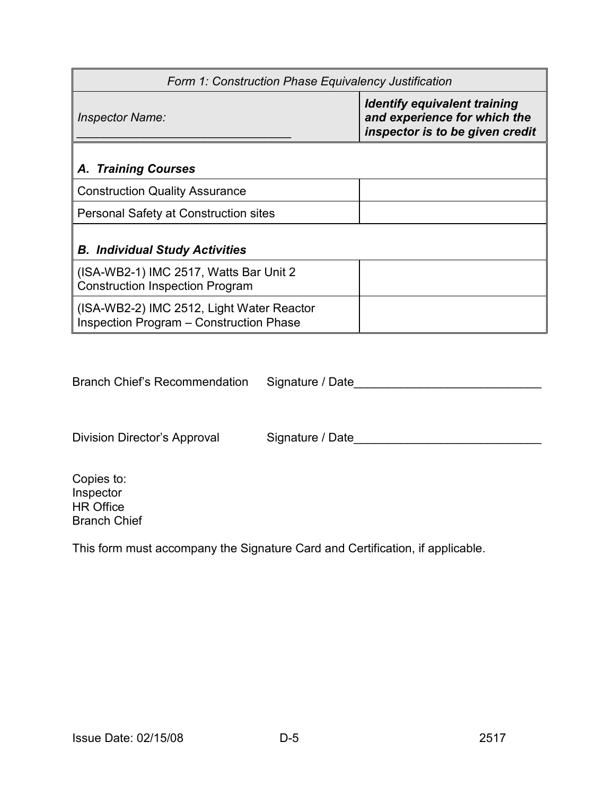| Form 1: Construction Phase Equivalency Justification                                 |                                                                                                        |  |  |  |
|--------------------------------------------------------------------------------------|--------------------------------------------------------------------------------------------------------|--|--|--|
| <b>Inspector Name:</b>                                                               | <b>Identify equivalent training</b><br>and experience for which the<br>inspector is to be given credit |  |  |  |
| <b>A. Training Courses</b>                                                           |                                                                                                        |  |  |  |
| <b>Construction Quality Assurance</b>                                                |                                                                                                        |  |  |  |
| Personal Safety at Construction sites                                                |                                                                                                        |  |  |  |
| <b>B. Individual Study Activities</b>                                                |                                                                                                        |  |  |  |
| (ISA-WB2-1) IMC 2517, Watts Bar Unit 2<br><b>Construction Inspection Program</b>     |                                                                                                        |  |  |  |
| (ISA-WB2-2) IMC 2512, Light Water Reactor<br>Inspection Program - Construction Phase |                                                                                                        |  |  |  |

Branch Chief's Recommendation Signature / Date\_\_\_\_\_\_\_\_\_\_\_\_\_\_\_\_\_\_\_\_\_\_\_\_\_\_\_\_\_\_\_\_\_\_

Division Director's Approval Signature / Date\_\_\_\_\_\_\_\_\_\_\_\_\_\_\_\_\_\_\_\_\_\_\_\_\_\_\_\_\_\_\_\_\_\_\_

Copies to: Inspector HR Office Branch Chief

This form must accompany the Signature Card and Certification, if applicable.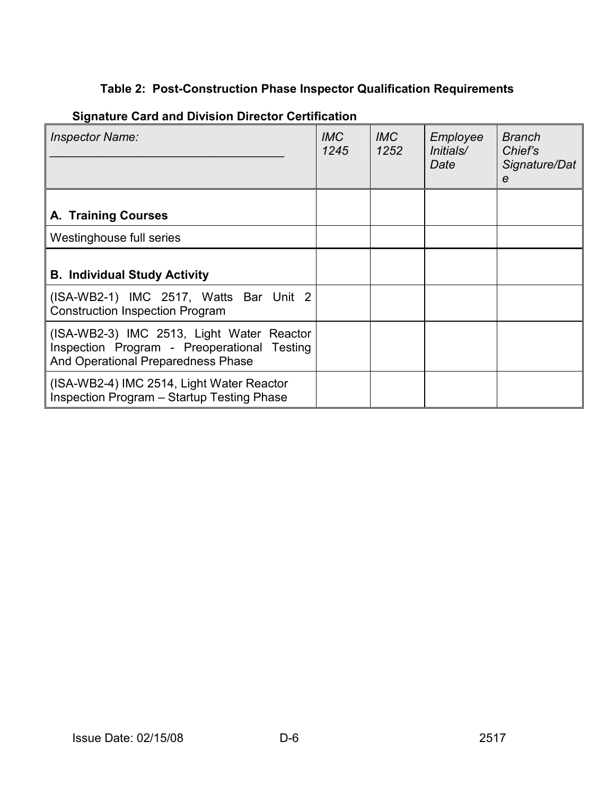# **Table 2: Post-Construction Phase Inspector Qualification Requirements**

| <b>Inspector Name:</b>                                                                                                         | <b>IMC</b><br>1245 | <i>IMC</i><br>1252 | Employee<br>Initials/<br>Date | <b>Branch</b><br>Chief's<br>Signature/Dat<br>e |
|--------------------------------------------------------------------------------------------------------------------------------|--------------------|--------------------|-------------------------------|------------------------------------------------|
| A. Training Courses                                                                                                            |                    |                    |                               |                                                |
| Westinghouse full series                                                                                                       |                    |                    |                               |                                                |
| <b>B. Individual Study Activity</b>                                                                                            |                    |                    |                               |                                                |
| (ISA-WB2-1) IMC 2517, Watts Bar Unit 2<br><b>Construction Inspection Program</b>                                               |                    |                    |                               |                                                |
| (ISA-WB2-3) IMC 2513, Light Water Reactor<br>Inspection Program - Preoperational Testing<br>And Operational Preparedness Phase |                    |                    |                               |                                                |
| (ISA-WB2-4) IMC 2514, Light Water Reactor<br>Inspection Program - Startup Testing Phase                                        |                    |                    |                               |                                                |

# **Signature Card and Division Director Certification**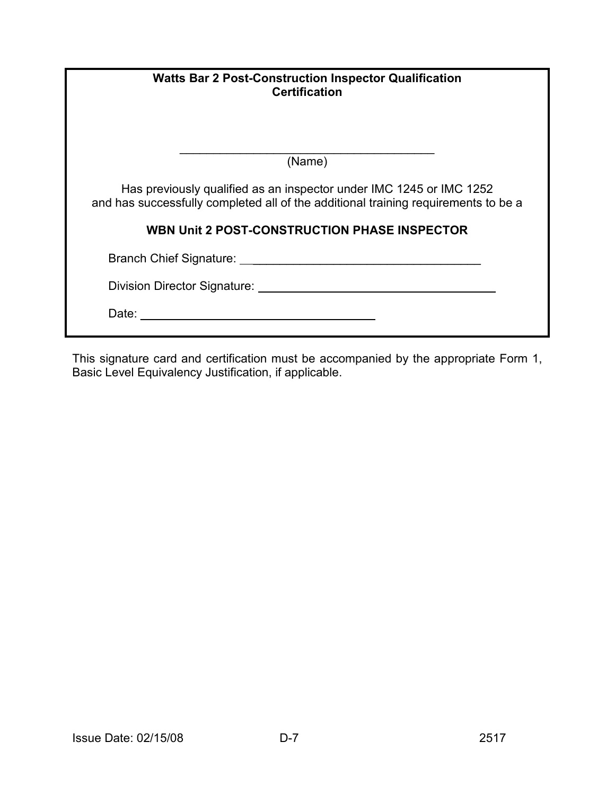| <b>Watts Bar 2 Post-Construction Inspector Qualification</b><br><b>Certification</b>                                                                                                                                           |  |  |
|--------------------------------------------------------------------------------------------------------------------------------------------------------------------------------------------------------------------------------|--|--|
| (Name)                                                                                                                                                                                                                         |  |  |
| Has previously qualified as an inspector under IMC 1245 or IMC 1252<br>and has successfully completed all of the additional training requirements to be a                                                                      |  |  |
| WBN Unit 2 POST-CONSTRUCTION PHASE INSPECTOR                                                                                                                                                                                   |  |  |
| Branch Chief Signature:                                                                                                                                                                                                        |  |  |
| Division Director Signature: University of the University of the University of the University of the University of the University of the University of the University of the University of the University of the University of |  |  |
| Date:                                                                                                                                                                                                                          |  |  |

This signature card and certification must be accompanied by the appropriate Form 1, Basic Level Equivalency Justification, if applicable.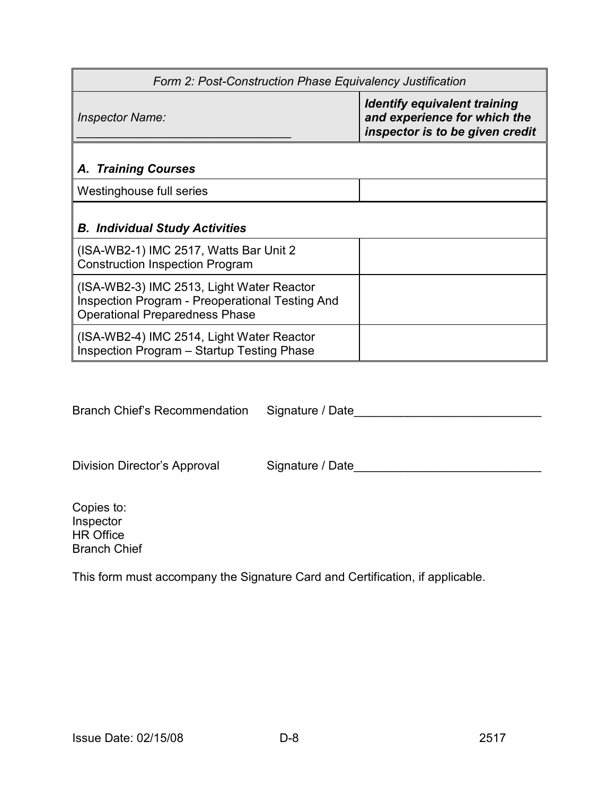| Form 2: Post-Construction Phase Equivalency Justification                                                                             |                                                                                                        |  |  |  |
|---------------------------------------------------------------------------------------------------------------------------------------|--------------------------------------------------------------------------------------------------------|--|--|--|
| <b>Inspector Name:</b>                                                                                                                | <b>Identify equivalent training</b><br>and experience for which the<br>inspector is to be given credit |  |  |  |
| <b>A. Training Courses</b>                                                                                                            |                                                                                                        |  |  |  |
| Westinghouse full series                                                                                                              |                                                                                                        |  |  |  |
| <b>B. Individual Study Activities</b>                                                                                                 |                                                                                                        |  |  |  |
| (ISA-WB2-1) IMC 2517, Watts Bar Unit 2<br><b>Construction Inspection Program</b>                                                      |                                                                                                        |  |  |  |
| (ISA-WB2-3) IMC 2513, Light Water Reactor<br>Inspection Program - Preoperational Testing And<br><b>Operational Preparedness Phase</b> |                                                                                                        |  |  |  |
| (ISA-WB2-4) IMC 2514, Light Water Reactor<br>Inspection Program - Startup Testing Phase                                               |                                                                                                        |  |  |  |

Branch Chief's Recommendation Signature / Date\_\_\_\_\_\_\_\_\_\_\_\_\_\_\_\_\_\_\_\_\_\_\_\_\_\_\_\_\_\_\_\_\_\_

Division Director's Approval Signature / Date\_\_\_\_\_\_\_\_\_\_\_\_\_\_\_\_\_\_\_\_\_\_\_\_\_\_\_\_\_\_\_\_\_\_\_

Copies to: Inspector HR Office Branch Chief

This form must accompany the Signature Card and Certification, if applicable.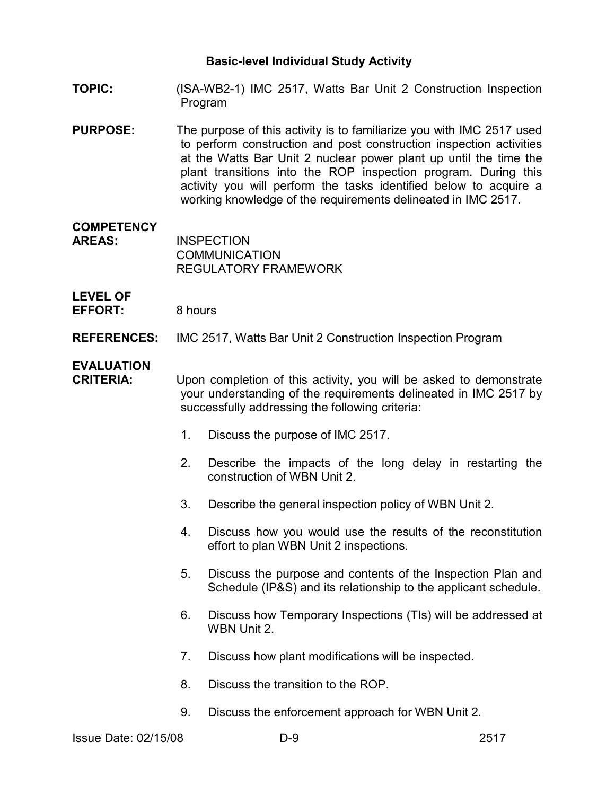- **TOPIC:** (ISA-WB2-1) IMC 2517, Watts Bar Unit 2 Construction Inspection Program
- **PURPOSE:** The purpose of this activity is to familiarize you with IMC 2517 used to perform construction and post construction inspection activities at the Watts Bar Unit 2 nuclear power plant up until the time the plant transitions into the ROP inspection program. During this activity you will perform the tasks identified below to acquire a working knowledge of the requirements delineated in IMC 2517.

## **COMPETENCY**

**AREAS:** INSPECTION COMMUNICATION REGULATORY FRAMEWORK

**LEVEL OF**  EFFORT: 8 hours

**REFERENCES:** IMC 2517, Watts Bar Unit 2 Construction Inspection Program

## **EVALUATION**

**CRITERIA:** Upon completion of this activity, you will be asked to demonstrate your understanding of the requirements delineated in IMC 2517 by successfully addressing the following criteria:

- 1. Discuss the purpose of IMC 2517.
- 2. Describe the impacts of the long delay in restarting the construction of WBN Unit 2.
- 3. Describe the general inspection policy of WBN Unit 2.
- 4. Discuss how you would use the results of the reconstitution effort to plan WBN Unit 2 inspections.
- 5. Discuss the purpose and contents of the Inspection Plan and Schedule (IP&S) and its relationship to the applicant schedule.
- 6. Discuss how Temporary Inspections (TIs) will be addressed at WBN Unit 2.
- 7. Discuss how plant modifications will be inspected.
- 8. Discuss the transition to the ROP.
- 9. Discuss the enforcement approach for WBN Unit 2.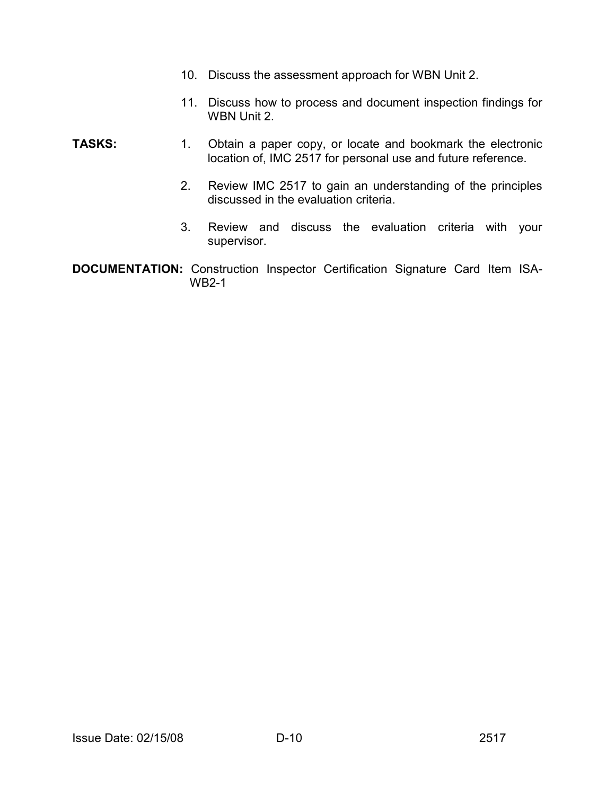- 10. Discuss the assessment approach for WBN Unit 2.
	- 11. Discuss how to process and document inspection findings for WBN Unit 2.
- **TASKS:** 1. Obtain a paper copy, or locate and bookmark the electronic location of, IMC 2517 for personal use and future reference.
	- 2. Review IMC 2517 to gain an understanding of the principles discussed in the evaluation criteria.
	- 3. Review and discuss the evaluation criteria with your supervisor.
- **DOCUMENTATION:** Construction Inspector Certification Signature Card Item ISA-WB2-1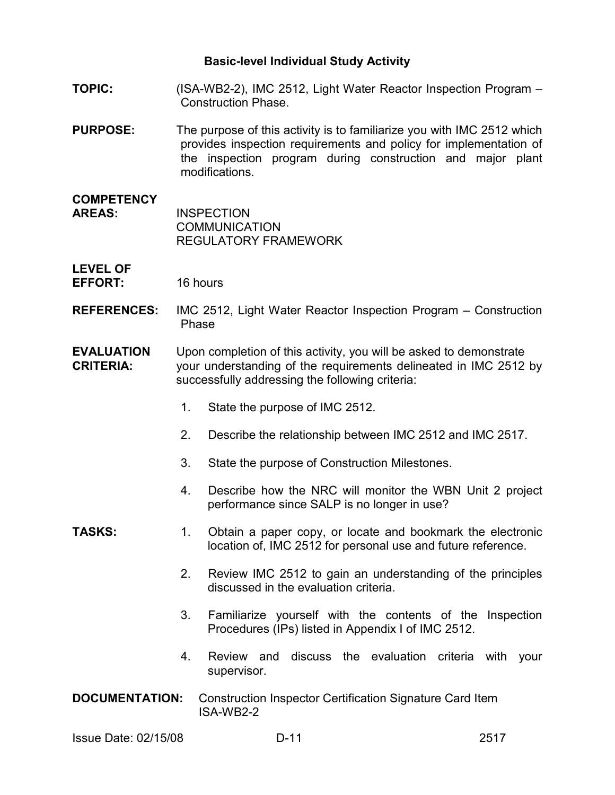- **TOPIC:** (ISA-WB2-2), IMC 2512, Light Water Reactor Inspection Program Construction Phase.
- **PURPOSE:** The purpose of this activity is to familiarize you with IMC 2512 which provides inspection requirements and policy for implementation of the inspection program during construction and major plant modifications.
- **COMPETENCY AREAS:** INSPECTION **COMMUNICATION** REGULATORY FRAMEWORK

#### **LEVEL OF EFFORT:** 16 hours

- **REFERENCES:** IMC 2512, Light Water Reactor Inspection Program Construction Phase
- **EVALUATION** Upon completion of this activity, you will be asked to demonstrate **CRITERIA:** your understanding of the requirements delineated in IMC 2512 by successfully addressing the following criteria:
	- 1. State the purpose of IMC 2512.
	- 2. Describe the relationship between IMC 2512 and IMC 2517.
	- 3. State the purpose of Construction Milestones.
	- 4. Describe how the NRC will monitor the WBN Unit 2 project performance since SALP is no longer in use?

#### **TASKS:** 1. Obtain a paper copy, or locate and bookmark the electronic location of, IMC 2512 for personal use and future reference.

- 2. Review IMC 2512 to gain an understanding of the principles discussed in the evaluation criteria.
- 3. Familiarize yourself with the contents of the Inspection Procedures (IPs) listed in Appendix I of IMC 2512.
- 4. Review and discuss the evaluation criteria with your supervisor.
- **DOCUMENTATION:** Construction Inspector Certification Signature Card Item ISA-WB2-2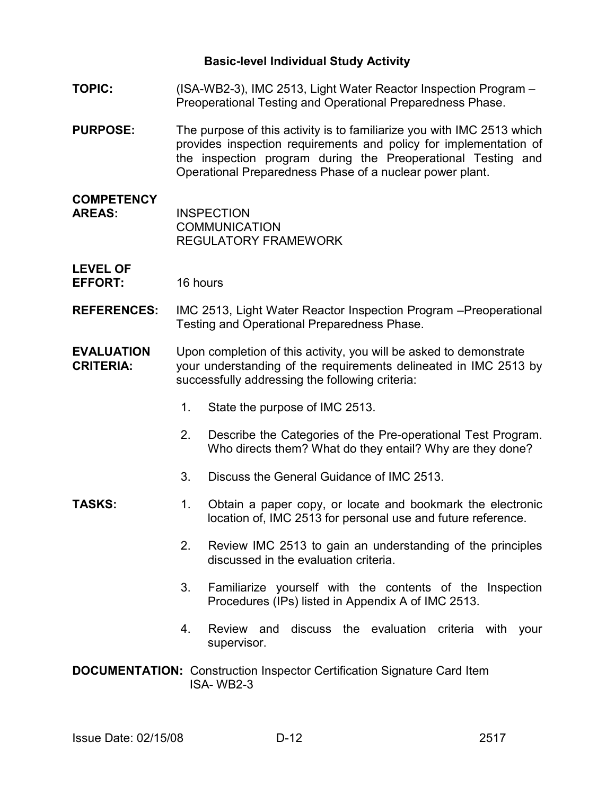- **TOPIC:** (ISA-WB2-3), IMC 2513, Light Water Reactor Inspection Program Preoperational Testing and Operational Preparedness Phase.
- **PURPOSE:** The purpose of this activity is to familiarize you with IMC 2513 which provides inspection requirements and policy for implementation of the inspection program during the Preoperational Testing and Operational Preparedness Phase of a nuclear power plant.
- **COMPETENCY AREAS:** INSPECTION **COMMUNICATION** REGULATORY FRAMEWORK

#### **LEVEL OF EFFORT:** 16 hours

- **REFERENCES:** IMC 2513, Light Water Reactor Inspection Program –Preoperational Testing and Operational Preparedness Phase.
- **EVALUATION** Upon completion of this activity, you will be asked to demonstrate **CRITERIA:** your understanding of the requirements delineated in IMC 2513 by successfully addressing the following criteria:
	- 1. State the purpose of IMC 2513.
	- 2. Describe the Categories of the Pre-operational Test Program. Who directs them? What do they entail? Why are they done?
	- 3. Discuss the General Guidance of IMC 2513.
- **TASKS:** 1. Obtain a paper copy, or locate and bookmark the electronic location of, IMC 2513 for personal use and future reference.
	- 2. Review IMC 2513 to gain an understanding of the principles discussed in the evaluation criteria.
	- 3. Familiarize yourself with the contents of the Inspection Procedures (IPs) listed in Appendix A of IMC 2513.
	- 4. Review and discuss the evaluation criteria with your supervisor.
- **DOCUMENTATION:** Construction Inspector Certification Signature Card Item ISA- WB2-3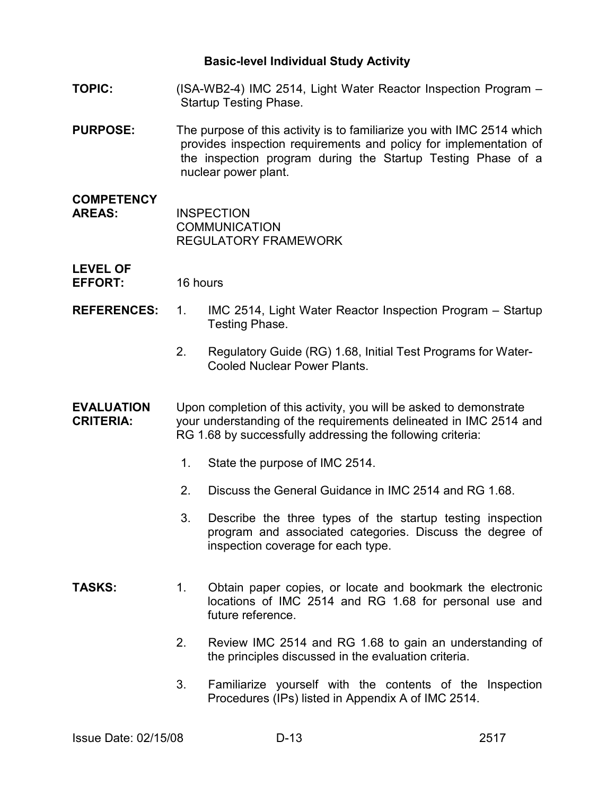- **TOPIC:** (ISA-WB2-4) IMC 2514, Light Water Reactor Inspection Program Startup Testing Phase.
- **PURPOSE:** The purpose of this activity is to familiarize you with IMC 2514 which provides inspection requirements and policy for implementation of the inspection program during the Startup Testing Phase of a nuclear power plant.
- **COMPETENCY AREAS:** INSPECTION **COMMUNICATION** REGULATORY FRAMEWORK

**LEVEL OF EFFORT:** 16 hours

- 
- **REFERENCES:** 1. IMC 2514, Light Water Reactor Inspection Program Startup Testing Phase.
	- 2. Regulatory Guide (RG) 1.68, Initial Test Programs for Water-Cooled Nuclear Power Plants.

#### **EVALUATION** Upon completion of this activity, you will be asked to demonstrate **CRITERIA:** your understanding of the requirements delineated in IMC 2514 and RG 1.68 by successfully addressing the following criteria:

- 1. State the purpose of IMC 2514.
- 2. Discuss the General Guidance in IMC 2514 and RG 1.68.
- 3. Describe the three types of the startup testing inspection program and associated categories. Discuss the degree of inspection coverage for each type.
- **TASKS:** 1. Obtain paper copies, or locate and bookmark the electronic locations of IMC 2514 and RG 1.68 for personal use and future reference.
	- 2. Review IMC 2514 and RG 1.68 to gain an understanding of the principles discussed in the evaluation criteria.
	- 3. Familiarize yourself with the contents of the Inspection Procedures (IPs) listed in Appendix A of IMC 2514.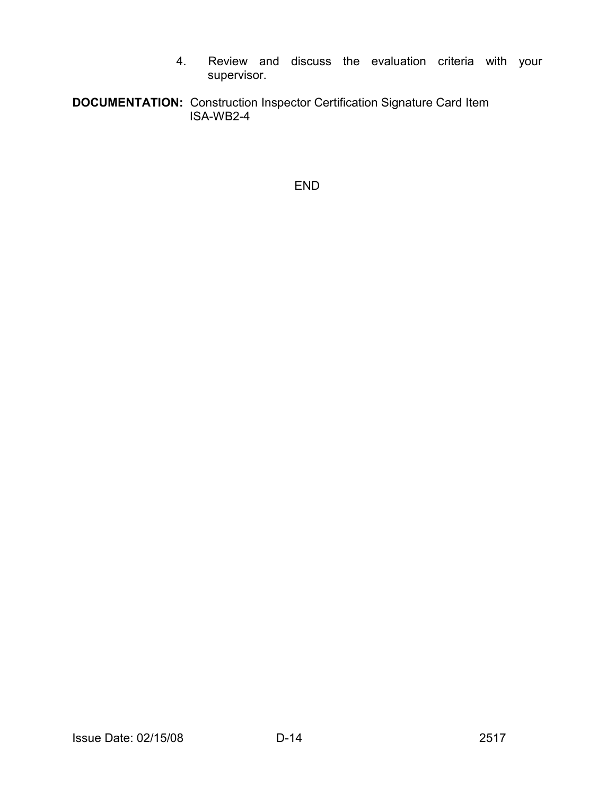- 4. Review and discuss the evaluation criteria with your supervisor.
- **DOCUMENTATION:** Construction Inspector Certification Signature Card Item **ISA-WB2-4**

END